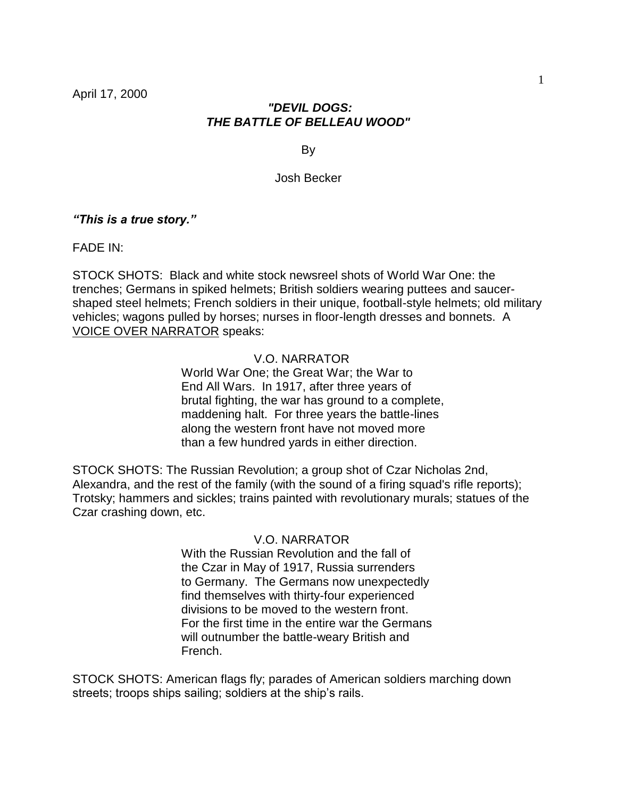# *"DEVIL DOGS: THE BATTLE OF BELLEAU WOOD"*

By

## Josh Becker

*"This is a true story."*

FADE IN:

STOCK SHOTS: Black and white stock newsreel shots of World War One: the trenches; Germans in spiked helmets; British soldiers wearing puttees and saucershaped steel helmets; French soldiers in their unique, football-style helmets; old military vehicles; wagons pulled by horses; nurses in floor-length dresses and bonnets. A VOICE OVER NARRATOR speaks:

## V.O. NARRATOR

World War One; the Great War; the War to End All Wars. In 1917, after three years of brutal fighting, the war has ground to a complete, maddening halt. For three years the battle-lines along the western front have not moved more than a few hundred yards in either direction.

STOCK SHOTS: The Russian Revolution; a group shot of Czar Nicholas 2nd, Alexandra, and the rest of the family (with the sound of a firing squad's rifle reports); Trotsky; hammers and sickles; trains painted with revolutionary murals; statues of the Czar crashing down, etc.

# V.O. NARRATOR

With the Russian Revolution and the fall of the Czar in May of 1917, Russia surrenders to Germany. The Germans now unexpectedly find themselves with thirty-four experienced divisions to be moved to the western front. For the first time in the entire war the Germans will outnumber the battle-weary British and French.

STOCK SHOTS: American flags fly; parades of American soldiers marching down streets; troops ships sailing; soldiers at the ship's rails.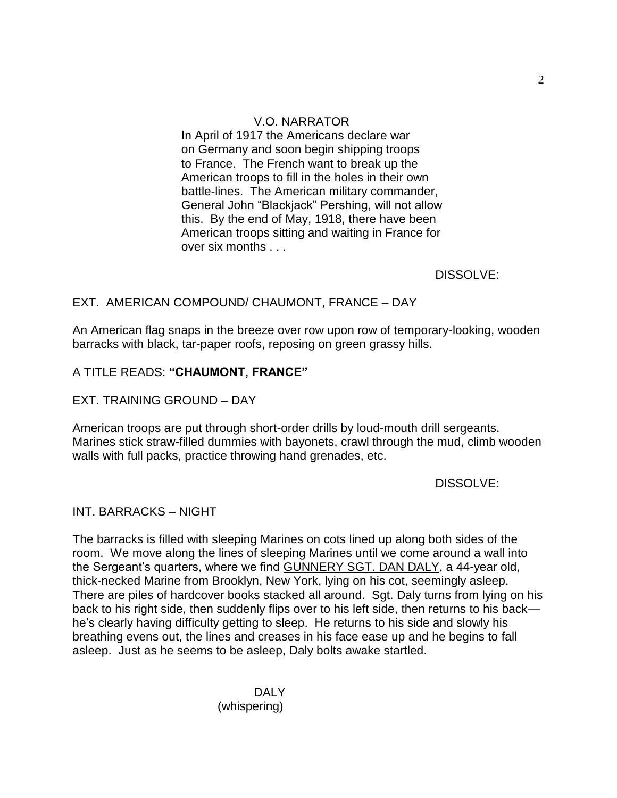# V.O. NARRATOR

In April of 1917 the Americans declare war on Germany and soon begin shipping troops to France. The French want to break up the American troops to fill in the holes in their own battle-lines. The American military commander, General John "Blackjack" Pershing, will not allow this. By the end of May, 1918, there have been American troops sitting and waiting in France for over six months . . .

DISSOLVE:

## EXT. AMERICAN COMPOUND/ CHAUMONT, FRANCE – DAY

An American flag snaps in the breeze over row upon row of temporary-looking, wooden barracks with black, tar-paper roofs, reposing on green grassy hills.

# A TITLE READS: **"CHAUMONT, FRANCE"**

## EXT. TRAINING GROUND – DAY

American troops are put through short-order drills by loud-mouth drill sergeants. Marines stick straw-filled dummies with bayonets, crawl through the mud, climb wooden walls with full packs, practice throwing hand grenades, etc.

DISSOLVE:

## INT. BARRACKS – NIGHT

The barracks is filled with sleeping Marines on cots lined up along both sides of the room. We move along the lines of sleeping Marines until we come around a wall into the Sergeant's quarters, where we find GUNNERY SGT. DAN DALY, a 44-year old, thick-necked Marine from Brooklyn, New York, lying on his cot, seemingly asleep. There are piles of hardcover books stacked all around. Sgt. Daly turns from lying on his back to his right side, then suddenly flips over to his left side, then returns to his back he's clearly having difficulty getting to sleep. He returns to his side and slowly his breathing evens out, the lines and creases in his face ease up and he begins to fall asleep. Just as he seems to be asleep, Daly bolts awake startled.

> DALY (whispering)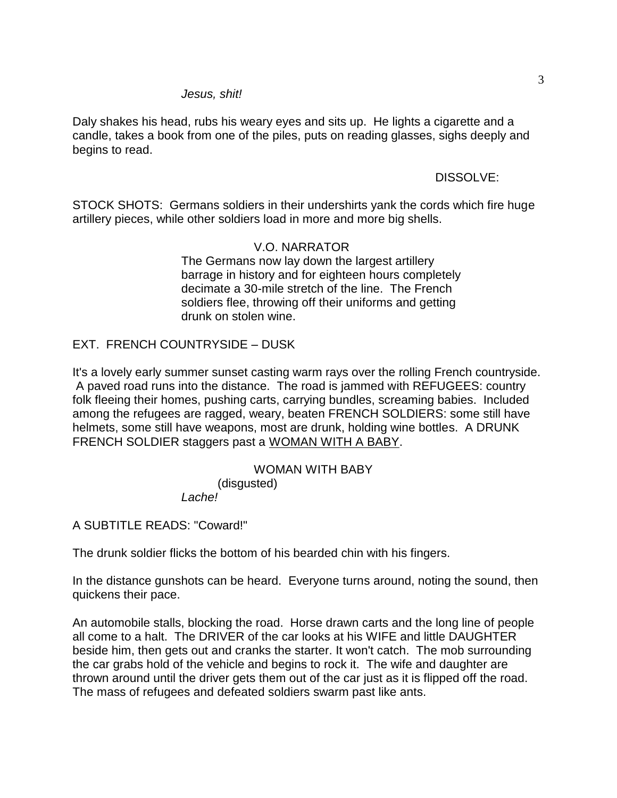## *Jesus, shit!*

Daly shakes his head, rubs his weary eyes and sits up. He lights a cigarette and a candle, takes a book from one of the piles, puts on reading glasses, sighs deeply and begins to read.

# DISSOLVE:

STOCK SHOTS: Germans soldiers in their undershirts yank the cords which fire huge artillery pieces, while other soldiers load in more and more big shells.

# V.O. NARRATOR

The Germans now lay down the largest artillery barrage in history and for eighteen hours completely decimate a 30-mile stretch of the line. The French soldiers flee, throwing off their uniforms and getting drunk on stolen wine.

# EXT. FRENCH COUNTRYSIDE – DUSK

It's a lovely early summer sunset casting warm rays over the rolling French countryside. A paved road runs into the distance. The road is jammed with REFUGEES: country folk fleeing their homes, pushing carts, carrying bundles, screaming babies. Included among the refugees are ragged, weary, beaten FRENCH SOLDIERS: some still have helmets, some still have weapons, most are drunk, holding wine bottles. A DRUNK FRENCH SOLDIER staggers past a WOMAN WITH A BABY.

# WOMAN WITH BABY (disgusted)

*Lache!*

A SUBTITLE READS: "Coward!"

The drunk soldier flicks the bottom of his bearded chin with his fingers.

In the distance gunshots can be heard. Everyone turns around, noting the sound, then quickens their pace.

An automobile stalls, blocking the road. Horse drawn carts and the long line of people all come to a halt. The DRIVER of the car looks at his WIFE and little DAUGHTER beside him, then gets out and cranks the starter. It won't catch. The mob surrounding the car grabs hold of the vehicle and begins to rock it. The wife and daughter are thrown around until the driver gets them out of the car just as it is flipped off the road. The mass of refugees and defeated soldiers swarm past like ants.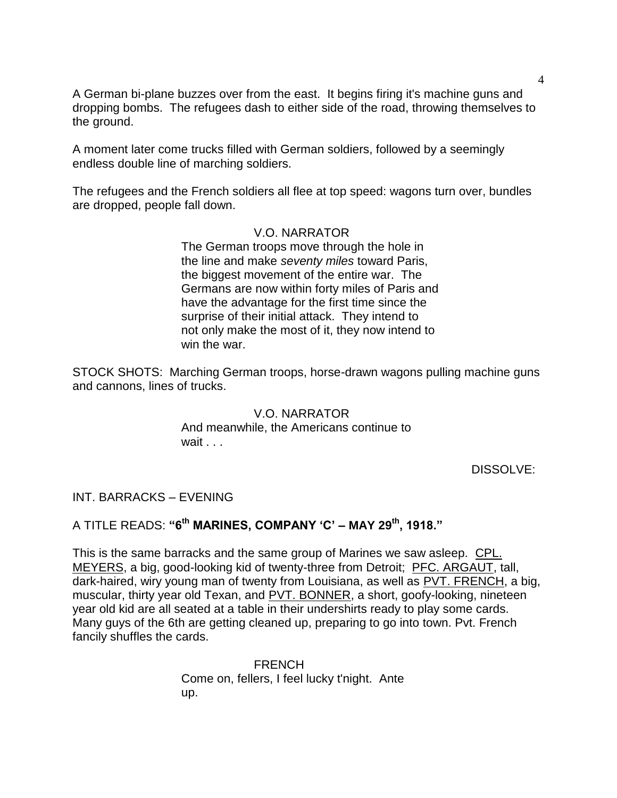A German bi-plane buzzes over from the east. It begins firing it's machine guns and dropping bombs. The refugees dash to either side of the road, throwing themselves to the ground.

A moment later come trucks filled with German soldiers, followed by a seemingly endless double line of marching soldiers.

The refugees and the French soldiers all flee at top speed: wagons turn over, bundles are dropped, people fall down.

## V.O. NARRATOR

The German troops move through the hole in the line and make *seventy miles* toward Paris, the biggest movement of the entire war. The Germans are now within forty miles of Paris and have the advantage for the first time since the surprise of their initial attack. They intend to not only make the most of it, they now intend to win the war.

STOCK SHOTS: Marching German troops, horse-drawn wagons pulling machine guns and cannons, lines of trucks.

## V.O. NARRATOR

And meanwhile, the Americans continue to wait . . .

DISSOLVE:

### INT. BARRACKS – EVENING

# A TITLE READS: **"6th MARINES, COMPANY "C" – MAY 29th, 1918."**

This is the same barracks and the same group of Marines we saw asleep. CPL. MEYERS, a big, good-looking kid of twenty-three from Detroit; PFC. ARGAUT, tall, dark-haired, wiry young man of twenty from Louisiana, as well as PVT. FRENCH, a big, muscular, thirty year old Texan, and PVT. BONNER, a short, goofy-looking, nineteen year old kid are all seated at a table in their undershirts ready to play some cards. Many guys of the 6th are getting cleaned up, preparing to go into town. Pvt. French fancily shuffles the cards.

> FRENCH Come on, fellers, I feel lucky t'night. Ante up.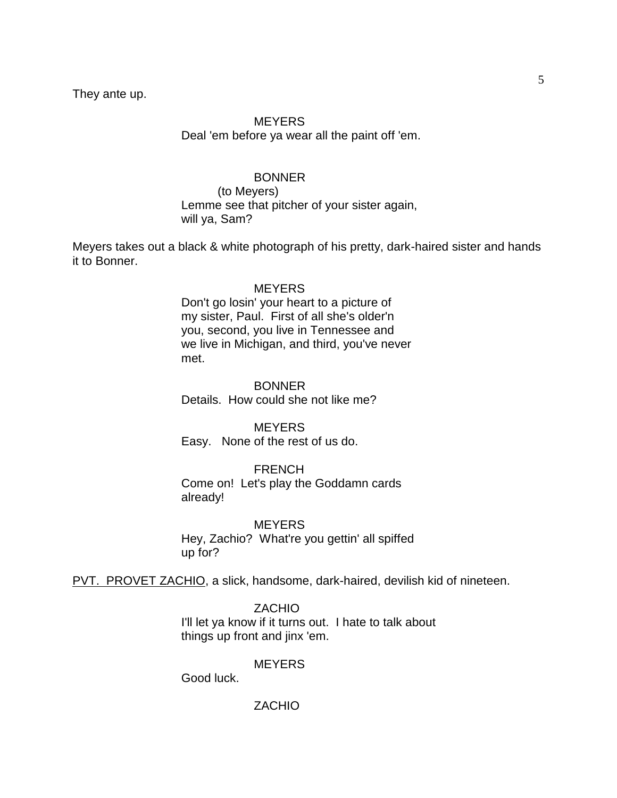They ante up.

# MEYERS Deal 'em before ya wear all the paint off 'em.

## BONNER

(to Meyers) Lemme see that pitcher of your sister again, will ya, Sam?

Meyers takes out a black & white photograph of his pretty, dark-haired sister and hands it to Bonner.

### **MEYERS**

Don't go losin' your heart to a picture of my sister, Paul. First of all she's older'n you, second, you live in Tennessee and we live in Michigan, and third, you've never met.

**BONNER** Details. How could she not like me?

**MEYERS** Easy. None of the rest of us do.

FRENCH

Come on! Let's play the Goddamn cards already!

**MEYERS** Hey, Zachio? What're you gettin' all spiffed up for?

PVT. PROVET ZACHIO, a slick, handsome, dark-haired, devilish kid of nineteen.

ZACHIO

I'll let ya know if it turns out. I hate to talk about things up front and jinx 'em.

**MEYERS** 

Good luck.

ZACHIO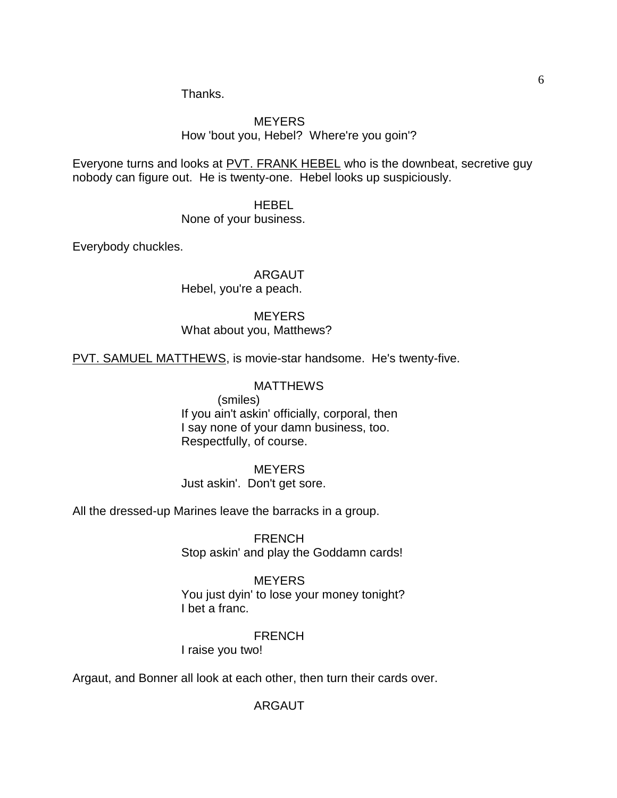Thanks.

# **MEYERS** How 'bout you, Hebel? Where're you goin'?

Everyone turns and looks at PVT. FRANK HEBEL who is the downbeat, secretive guy nobody can figure out. He is twenty-one. Hebel looks up suspiciously.

> HEBEL None of your business.

Everybody chuckles.

ARGAUT

Hebel, you're a peach.

# **MEYERS**

What about you, Matthews?

PVT. SAMUEL MATTHEWS, is movie-star handsome. He's twenty-five.

# MATTHEWS

(smiles) If you ain't askin' officially, corporal, then I say none of your damn business, too. Respectfully, of course.

# **MEYERS**

Just askin'. Don't get sore.

All the dressed-up Marines leave the barracks in a group.

**FRENCH** Stop askin' and play the Goddamn cards!

# **MEYERS**

You just dyin' to lose your money tonight? I bet a franc.

# FRENCH

I raise you two!

Argaut, and Bonner all look at each other, then turn their cards over.

# ARGAUT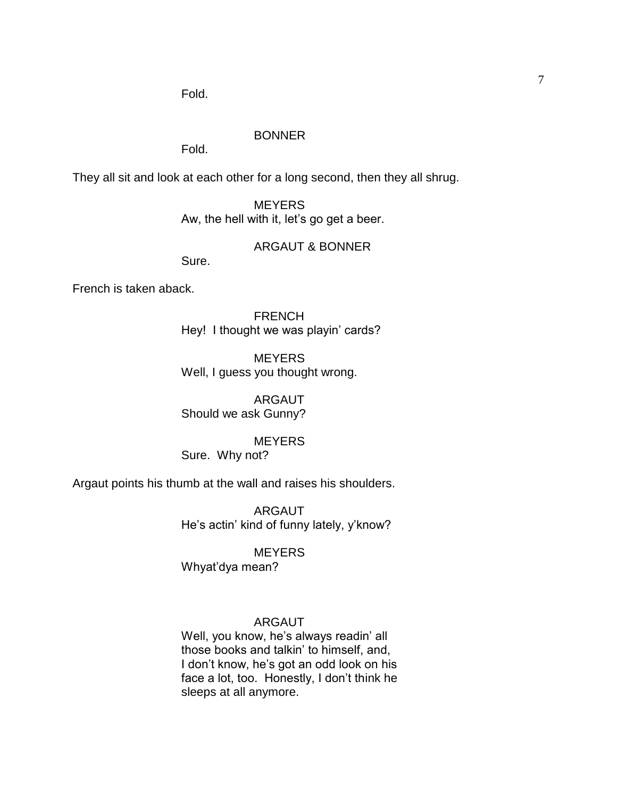# BONNER

Fold.

They all sit and look at each other for a long second, then they all shrug.

**MEYERS** Aw, the hell with it, let's go get a beer.

## ARGAUT & BONNER

Sure.

French is taken aback.

FRENCH Hey! I thought we was playin' cards?

**MEYERS** Well, I guess you thought wrong.

ARGAUT Should we ask Gunny?

MEYERS Sure. Why not?

Argaut points his thumb at the wall and raises his shoulders.

ARGAUT He's actin' kind of funny lately, y'know?

**MEYERS** 

Whyat'dya mean?

# ARGAUT

Well, you know, he's always readin' all those books and talkin' to himself, and, I don't know, he's got an odd look on his face a lot, too. Honestly, I don't think he sleeps at all anymore.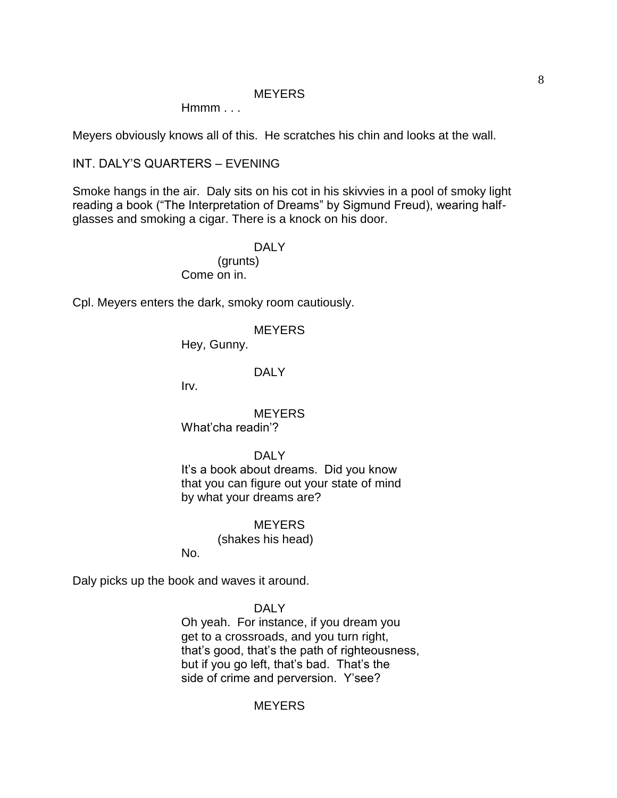### **MEYERS**

 $Hmmm...$ 

Meyers obviously knows all of this. He scratches his chin and looks at the wall.

INT. DALY'S QUARTERS – EVENING

Smoke hangs in the air. Daly sits on his cot in his skivvies in a pool of smoky light reading a book ("The Interpretation of Dreams" by Sigmund Freud), wearing halfglasses and smoking a cigar. There is a knock on his door.

> DAI<sub>Y</sub> (grunts) Come on in.

Cpl. Meyers enters the dark, smoky room cautiously.

**MEYERS** 

Hey, Gunny.

### DALY

Irv.

**MEYERS** What'cha readin'?

DAI<sub>Y</sub>

It's a book about dreams. Did you know that you can figure out your state of mind by what your dreams are?

## **MEYERS**

(shakes his head)

No.

Daly picks up the book and waves it around.

DALY

Oh yeah. For instance, if you dream you get to a crossroads, and you turn right, that's good, that's the path of righteousness, but if you go left, that's bad. That's the side of crime and perversion. Y'see?

# **MEYERS**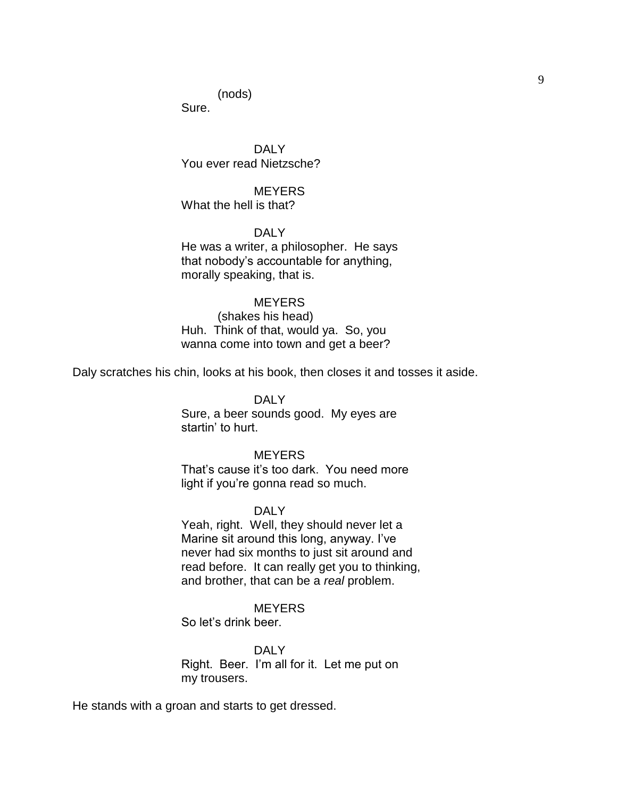(nods)

Sure.

DAI Y You ever read Nietzsche?

**MEYERS** What the hell is that?

DALY He was a writer, a philosopher. He says that nobody's accountable for anything, morally speaking, that is.

## **MEYERS**

(shakes his head) Huh. Think of that, would ya. So, you wanna come into town and get a beer?

Daly scratches his chin, looks at his book, then closes it and tosses it aside.

#### DALY

Sure, a beer sounds good. My eyes are startin' to hurt.

#### **MEYERS**

That's cause it's too dark. You need more light if you're gonna read so much.

#### DALY

Yeah, right. Well, they should never let a Marine sit around this long, anyway. I've never had six months to just sit around and read before. It can really get you to thinking, and brother, that can be a *real* problem.

## **MEYERS**

So let's drink beer.

DALY Right. Beer. I'm all for it. Let me put on my trousers.

He stands with a groan and starts to get dressed.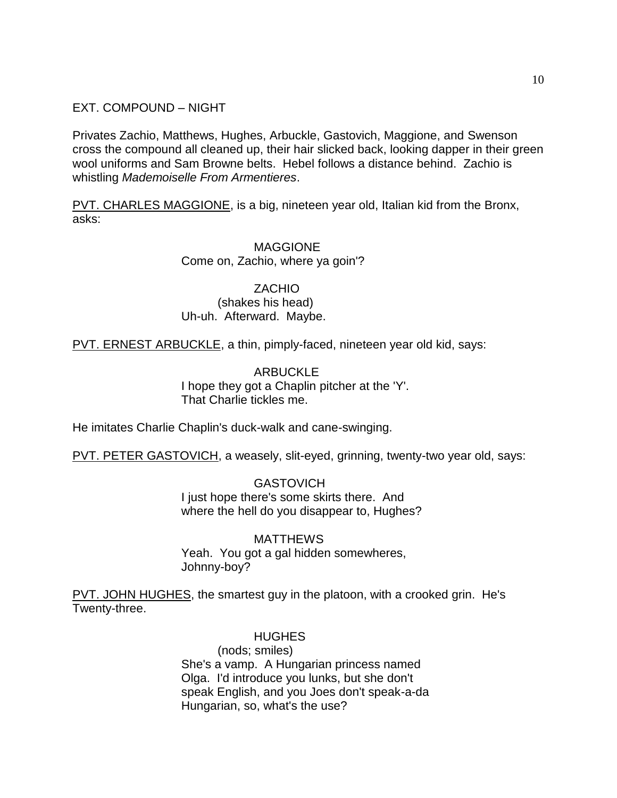EXT. COMPOUND – NIGHT

Privates Zachio, Matthews, Hughes, Arbuckle, Gastovich, Maggione, and Swenson cross the compound all cleaned up, their hair slicked back, looking dapper in their green wool uniforms and Sam Browne belts. Hebel follows a distance behind. Zachio is whistling *Mademoiselle From Armentieres*.

PVT. CHARLES MAGGIONE, is a big, nineteen year old, Italian kid from the Bronx, asks:

# **MAGGIONE** Come on, Zachio, where ya goin'?

ZACHIO (shakes his head) Uh-uh. Afterward. Maybe.

PVT. ERNEST ARBUCKLE, a thin, pimply-faced, nineteen year old kid, says:

# ARBUCKLE I hope they got a Chaplin pitcher at the 'Y'. That Charlie tickles me.

He imitates Charlie Chaplin's duck-walk and cane-swinging.

PVT. PETER GASTOVICH, a weasely, slit-eyed, grinning, twenty-two year old, says:

GASTOVICH I just hope there's some skirts there. And where the hell do you disappear to, Hughes?

# MATTHEWS Yeah. You got a gal hidden somewheres, Johnny-boy?

PVT. JOHN HUGHES, the smartest guy in the platoon, with a crooked grin. He's Twenty-three.

# HUGHES

(nods; smiles) She's a vamp. A Hungarian princess named Olga. I'd introduce you lunks, but she don't speak English, and you Joes don't speak-a-da Hungarian, so, what's the use?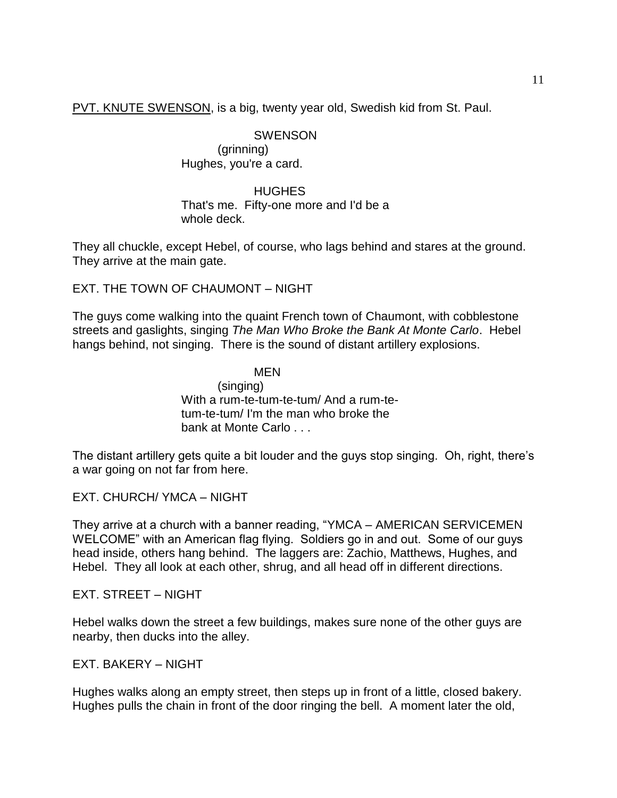PVT. KNUTE SWENSON, is a big, twenty year old, Swedish kid from St. Paul.

# **SWENSON**

(grinning) Hughes, you're a card.

## HUGHES That's me. Fifty-one more and I'd be a whole deck.

They all chuckle, except Hebel, of course, who lags behind and stares at the ground. They arrive at the main gate.

EXT. THE TOWN OF CHAUMONT – NIGHT

The guys come walking into the quaint French town of Chaumont, with cobblestone streets and gaslights, singing *The Man Who Broke the Bank At Monte Carlo*. Hebel hangs behind, not singing. There is the sound of distant artillery explosions.

> MEN (singing) With a rum-te-tum-te-tum/ And a rum-tetum-te-tum/ I'm the man who broke the bank at Monte Carlo . . .

The distant artillery gets quite a bit louder and the guys stop singing. Oh, right, there's a war going on not far from here.

EXT. CHURCH/ YMCA – NIGHT

They arrive at a church with a banner reading, "YMCA – AMERICAN SERVICEMEN WELCOME" with an American flag flying. Soldiers go in and out. Some of our guys head inside, others hang behind. The laggers are: Zachio, Matthews, Hughes, and Hebel. They all look at each other, shrug, and all head off in different directions.

EXT. STREET – NIGHT

Hebel walks down the street a few buildings, makes sure none of the other guys are nearby, then ducks into the alley.

EXT. BAKERY – NIGHT

Hughes walks along an empty street, then steps up in front of a little, closed bakery. Hughes pulls the chain in front of the door ringing the bell. A moment later the old,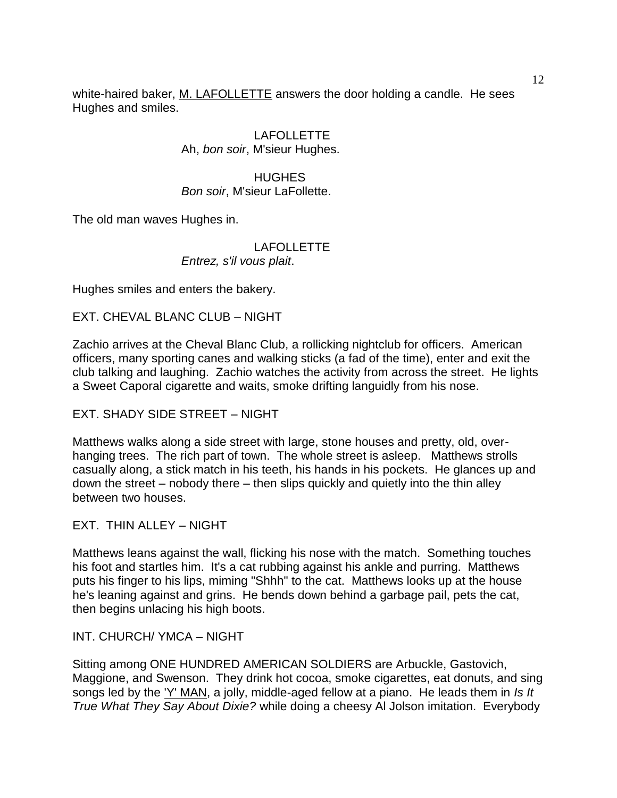white-haired baker, M. LAFOLLETTE answers the door holding a candle. He sees Hughes and smiles.

> LAFOLLETTE Ah, *bon soir*, M'sieur Hughes.

**HUGHES** *Bon soir*, M'sieur LaFollette.

The old man waves Hughes in.

# LAFOLLETTE *Entrez, s'il vous plait*.

Hughes smiles and enters the bakery.

EXT. CHEVAL BLANC CLUB – NIGHT

Zachio arrives at the Cheval Blanc Club, a rollicking nightclub for officers. American officers, many sporting canes and walking sticks (a fad of the time), enter and exit the club talking and laughing. Zachio watches the activity from across the street. He lights a Sweet Caporal cigarette and waits, smoke drifting languidly from his nose.

EXT. SHADY SIDE STREET – NIGHT

Matthews walks along a side street with large, stone houses and pretty, old, overhanging trees. The rich part of town. The whole street is asleep. Matthews strolls casually along, a stick match in his teeth, his hands in his pockets. He glances up and down the street – nobody there – then slips quickly and quietly into the thin alley between two houses.

EXT. THIN ALLEY – NIGHT

Matthews leans against the wall, flicking his nose with the match. Something touches his foot and startles him. It's a cat rubbing against his ankle and purring. Matthews puts his finger to his lips, miming "Shhh" to the cat. Matthews looks up at the house he's leaning against and grins. He bends down behind a garbage pail, pets the cat, then begins unlacing his high boots.

INT. CHURCH/ YMCA – NIGHT

Sitting among ONE HUNDRED AMERICAN SOLDIERS are Arbuckle, Gastovich, Maggione, and Swenson. They drink hot cocoa, smoke cigarettes, eat donuts, and sing songs led by the 'Y' MAN, a jolly, middle-aged fellow at a piano. He leads them in *Is It True What They Say About Dixie?* while doing a cheesy Al Jolson imitation. Everybody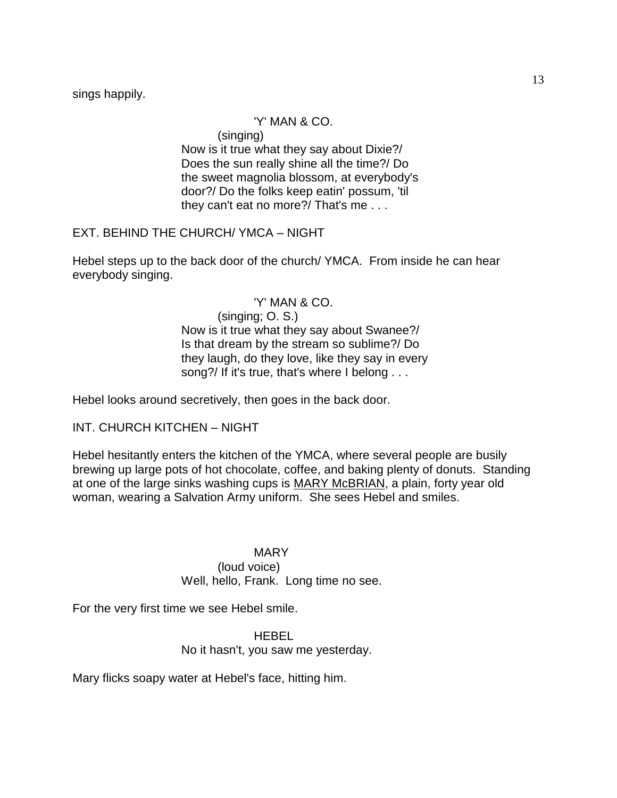sings happily.

# 'Y' MAN & CO.

(singing)

Now is it true what they say about Dixie?/ Does the sun really shine all the time?/ Do the sweet magnolia blossom, at everybody's door?/ Do the folks keep eatin' possum, 'til they can't eat no more?/ That's me . . .

EXT. BEHIND THE CHURCH/ YMCA – NIGHT

Hebel steps up to the back door of the church/ YMCA. From inside he can hear everybody singing.

> 'Y' MAN & CO. (singing; O. S.) Now is it true what they say about Swanee?/ Is that dream by the stream so sublime?/ Do they laugh, do they love, like they say in every song?/ If it's true, that's where I belong . . .

Hebel looks around secretively, then goes in the back door.

INT. CHURCH KITCHEN – NIGHT

Hebel hesitantly enters the kitchen of the YMCA, where several people are busily brewing up large pots of hot chocolate, coffee, and baking plenty of donuts. Standing at one of the large sinks washing cups is MARY McBRIAN, a plain, forty year old woman, wearing a Salvation Army uniform. She sees Hebel and smiles.

MARY

(loud voice)

Well, hello, Frank. Long time no see.

For the very first time we see Hebel smile.

HEBEL No it hasn't, you saw me yesterday.

Mary flicks soapy water at Hebel's face, hitting him.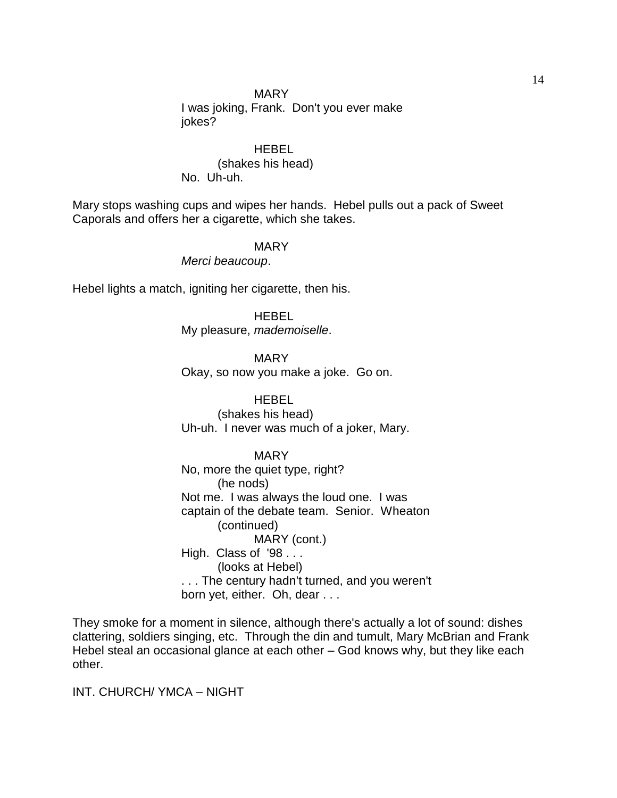## MARY

I was joking, Frank. Don't you ever make jokes?

# **HEBEL**

(shakes his head) No. Uh-uh.

Mary stops washing cups and wipes her hands. Hebel pulls out a pack of Sweet Caporals and offers her a cigarette, which she takes.

#### MARY

*Merci beaucoup*.

Hebel lights a match, igniting her cigarette, then his.

#### HEBEL

My pleasure, *mademoiselle*.

MARY Okay, so now you make a joke. Go on.

#### HEBEL

(shakes his head) Uh-uh. I never was much of a joker, Mary.

#### MARY

No, more the quiet type, right? (he nods) Not me. I was always the loud one. I was captain of the debate team. Senior. Wheaton (continued) MARY (cont.) High. Class of '98... (looks at Hebel) . . . The century hadn't turned, and you weren't born yet, either. Oh, dear . . .

They smoke for a moment in silence, although there's actually a lot of sound: dishes clattering, soldiers singing, etc. Through the din and tumult, Mary McBrian and Frank Hebel steal an occasional glance at each other – God knows why, but they like each other.

INT. CHURCH/ YMCA – NIGHT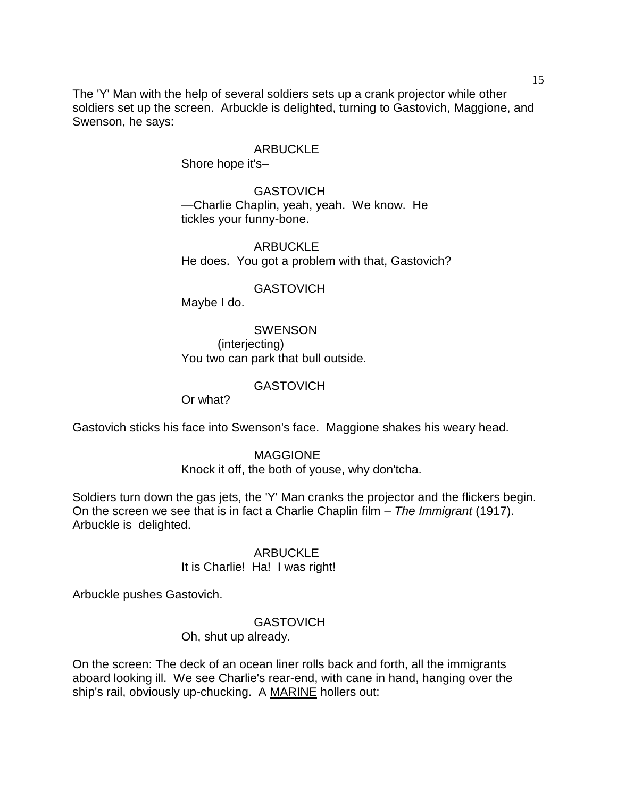The 'Y' Man with the help of several soldiers sets up a crank projector while other soldiers set up the screen. Arbuckle is delighted, turning to Gastovich, Maggione, and Swenson, he says:

## ARBUCKLE

Shore hope it's–

**GASTOVICH** —Charlie Chaplin, yeah, yeah. We know. He tickles your funny-bone.

ARBUCKLE He does. You got a problem with that, Gastovich?

## **GASTOVICH**

Maybe I do.

SWENSON (interjecting) You two can park that bull outside.

#### **GASTOVICH**

Or what?

Gastovich sticks his face into Swenson's face. Maggione shakes his weary head.

### MAGGIONE

Knock it off, the both of youse, why don'tcha.

Soldiers turn down the gas jets, the 'Y' Man cranks the projector and the flickers begin. On the screen we see that is in fact a Charlie Chaplin film – *The Immigrant* (1917). Arbuckle is delighted.

## ARBUCKLE

It is Charlie! Ha! I was right!

Arbuckle pushes Gastovich.

# **GASTOVICH**

Oh, shut up already.

On the screen: The deck of an ocean liner rolls back and forth, all the immigrants aboard looking ill. We see Charlie's rear-end, with cane in hand, hanging over the ship's rail, obviously up-chucking. A MARINE hollers out: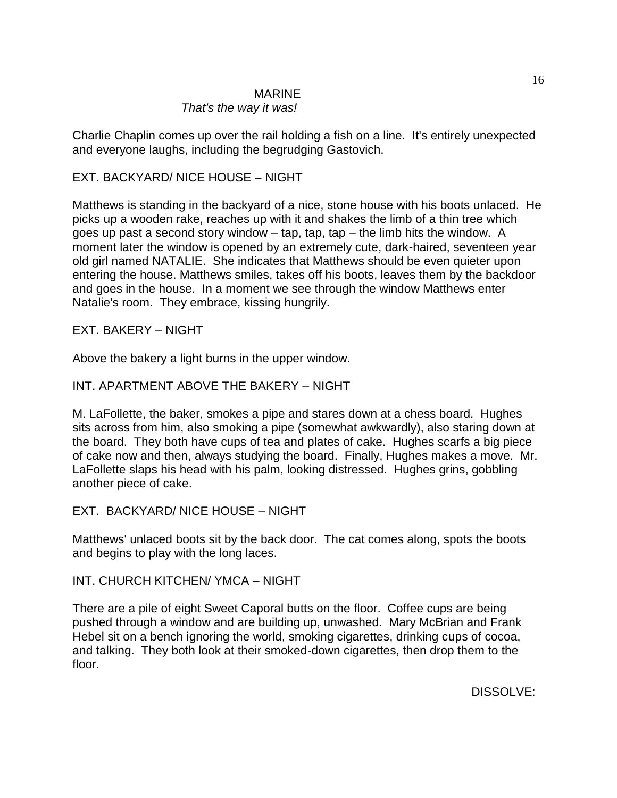# **MARINE**

# *That's the way it was!*

Charlie Chaplin comes up over the rail holding a fish on a line. It's entirely unexpected and everyone laughs, including the begrudging Gastovich.

# EXT. BACKYARD/ NICE HOUSE – NIGHT

Matthews is standing in the backyard of a nice, stone house with his boots unlaced. He picks up a wooden rake, reaches up with it and shakes the limb of a thin tree which goes up past a second story window  $-$  tap, tap, tap  $-$  the limb hits the window. A moment later the window is opened by an extremely cute, dark-haired, seventeen year old girl named NATALIE. She indicates that Matthews should be even quieter upon entering the house. Matthews smiles, takes off his boots, leaves them by the backdoor and goes in the house. In a moment we see through the window Matthews enter Natalie's room. They embrace, kissing hungrily.

# EXT. BAKERY – NIGHT

Above the bakery a light burns in the upper window.

# INT. APARTMENT ABOVE THE BAKERY – NIGHT

M. LaFollette, the baker, smokes a pipe and stares down at a chess board. Hughes sits across from him, also smoking a pipe (somewhat awkwardly), also staring down at the board. They both have cups of tea and plates of cake. Hughes scarfs a big piece of cake now and then, always studying the board. Finally, Hughes makes a move. Mr. LaFollette slaps his head with his palm, looking distressed. Hughes grins, gobbling another piece of cake.

# EXT. BACKYARD/ NICE HOUSE – NIGHT

Matthews' unlaced boots sit by the back door. The cat comes along, spots the boots and begins to play with the long laces.

# INT. CHURCH KITCHEN/ YMCA – NIGHT

There are a pile of eight Sweet Caporal butts on the floor. Coffee cups are being pushed through a window and are building up, unwashed. Mary McBrian and Frank Hebel sit on a bench ignoring the world, smoking cigarettes, drinking cups of cocoa, and talking. They both look at their smoked-down cigarettes, then drop them to the floor.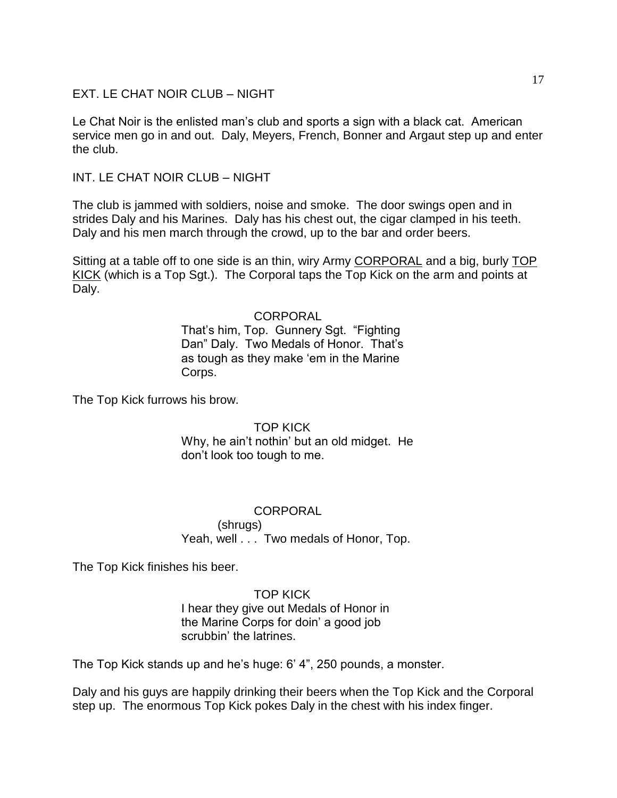EXT. LE CHAT NOIR CLUB – NIGHT

Le Chat Noir is the enlisted man's club and sports a sign with a black cat. American service men go in and out. Daly, Meyers, French, Bonner and Argaut step up and enter the club.

INT. LE CHAT NOIR CLUB – NIGHT

The club is jammed with soldiers, noise and smoke. The door swings open and in strides Daly and his Marines. Daly has his chest out, the cigar clamped in his teeth. Daly and his men march through the crowd, up to the bar and order beers.

Sitting at a table off to one side is an thin, wiry Army CORPORAL and a big, burly TOP KICK (which is a Top Sgt.). The Corporal taps the Top Kick on the arm and points at Daly.

# **CORPORAL**

That's him, Top. Gunnery Sgt. "Fighting Dan" Daly. Two Medals of Honor. That's as tough as they make 'em in the Marine' Corps.

The Top Kick furrows his brow.

TOP KICK

Why, he ain't nothin' but an old midget. He don't look too tough to me.

**CORPORAL** (shrugs) Yeah, well . . . Two medals of Honor, Top.

The Top Kick finishes his beer.

## TOP KICK

I hear they give out Medals of Honor in the Marine Corps for doin' a good job scrubbin' the latrines.

The Top Kick stands up and he's huge: 6' 4‖, 250 pounds, a monster.

Daly and his guys are happily drinking their beers when the Top Kick and the Corporal step up. The enormous Top Kick pokes Daly in the chest with his index finger.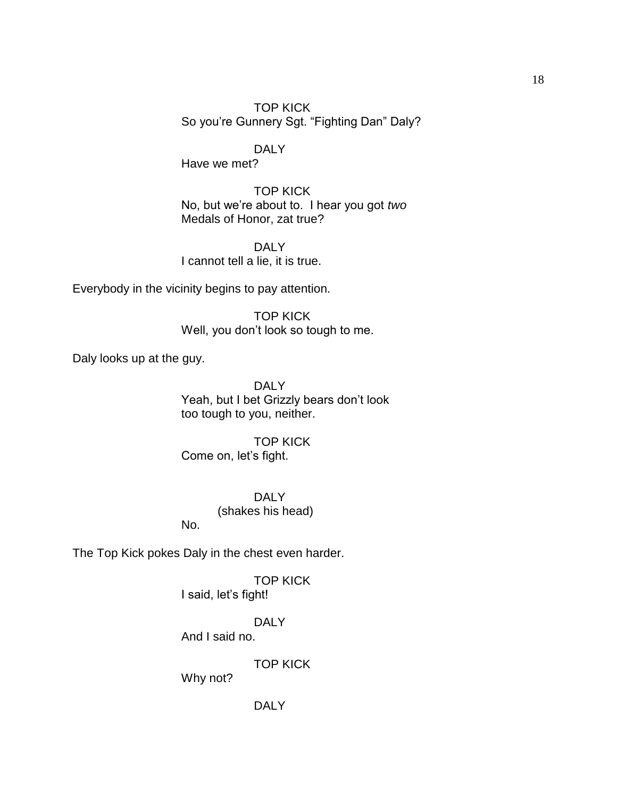TOP KICK So you're Gunnery Sgt. "Fighting Dan" Daly?

DALY

Have we met?

TOP KICK No, but we're about to. I hear you got *two* Medals of Honor, zat true?

DAI<sub>Y</sub> I cannot tell a lie, it is true.

Everybody in the vicinity begins to pay attention.

TOP KICK Well, you don't look so tough to me.

Daly looks up at the guy.

DAI<sub>Y</sub> Yeah, but I bet Grizzly bears don't look too tough to you, neither.

TOP KICK Come on, let's fight.

> DALY (shakes his head)

The Top Kick pokes Daly in the chest even harder.

No.

TOP KICK I said, let's fight!

DAI<sub>Y</sub> And I said no.

TOP KICK

Why not?

DALY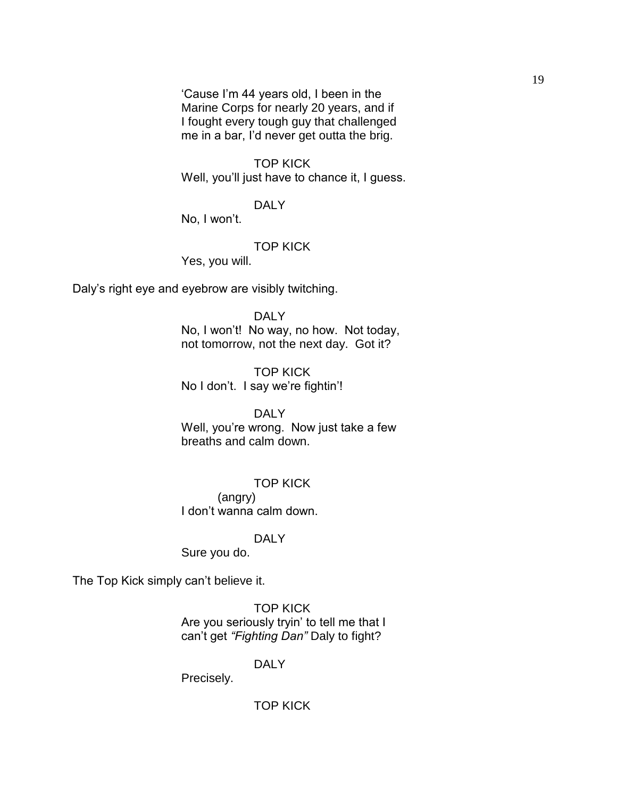‗Cause I'm 44 years old, I been in the Marine Corps for nearly 20 years, and if I fought every tough guy that challenged me in a bar, I'd never get outta the brig.

TOP KICK Well, you'll just have to chance it, I guess.

DALY

No, I won't.

TOP KICK

Yes, you will.

Daly's right eye and eyebrow are visibly twitching.

DALY

No, I won't! No way, no how. Not today, not tomorrow, not the next day. Got it?

TOP KICK No I don't. I say we're fightin'!

DALY

Well, you're wrong. Now just take a few breaths and calm down.

TOP KICK

(angry) I don't wanna calm down.

### DALY

Sure you do.

The Top Kick simply can't believe it.

TOP KICK Are you seriously tryin' to tell me that I can't get *"Fighting Dan"* Daly to fight?

## DALY

Precisely.

TOP KICK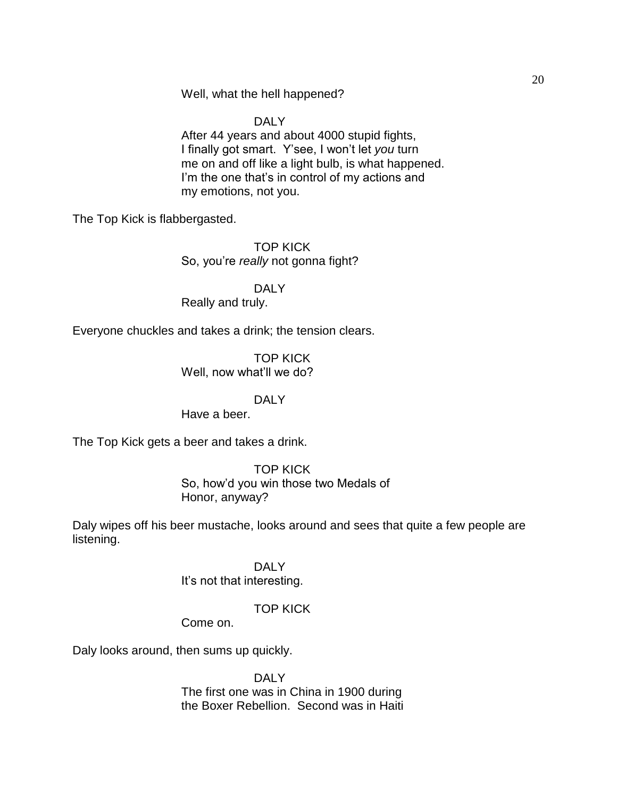Well, what the hell happened?

DALY

After 44 years and about 4000 stupid fights, I finally got smart. Y'see, I won't let *you* turn me on and off like a light bulb, is what happened. I'm the one that's in control of my actions and my emotions, not you.

The Top Kick is flabbergasted.

TOP KICK So, you're *really* not gonna fight?

DALY

Really and truly.

Everyone chuckles and takes a drink; the tension clears.

TOP KICK Well, now what'll we do?

# DALY

Have a beer.

The Top Kick gets a beer and takes a drink.

TOP KICK So, how'd you win those two Medals of Honor, anyway?

Daly wipes off his beer mustache, looks around and sees that quite a few people are listening.

> DALY It's not that interesting.

# TOP KICK

Come on.

Daly looks around, then sums up quickly.

DALY The first one was in China in 1900 during the Boxer Rebellion. Second was in Haiti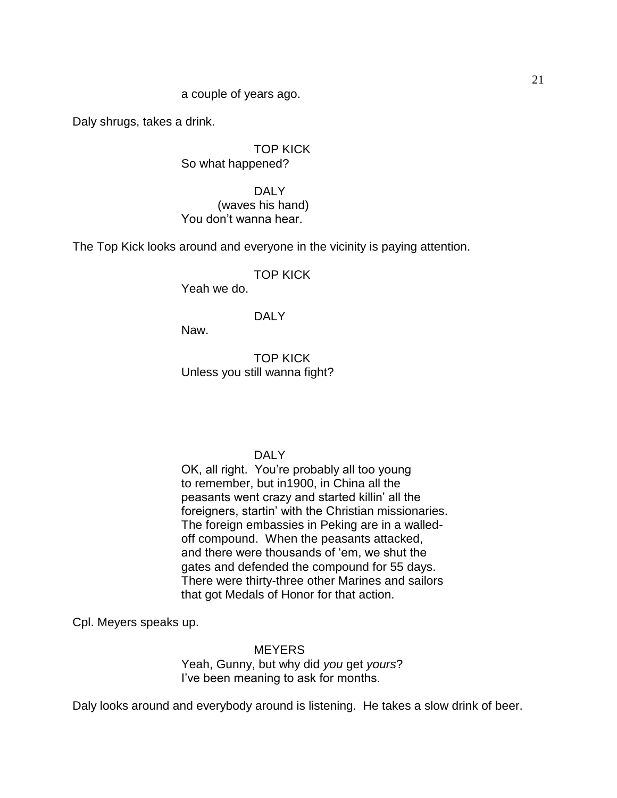## a couple of years ago.

Daly shrugs, takes a drink.

TOP KICK So what happened?

DALY (waves his hand) You don't wanna hear.

The Top Kick looks around and everyone in the vicinity is paying attention.

# TOP KICK

Yeah we do.

## DALY

Naw.

TOP KICK Unless you still wanna fight?

### DALY

OK, all right. You're probably all too young to remember, but in1900, in China all the peasants went crazy and started killin' all the foreigners, startin' with the Christian missionaries. The foreign embassies in Peking are in a walledoff compound. When the peasants attacked, and there were thousands of 'em, we shut the gates and defended the compound for 55 days. There were thirty-three other Marines and sailors that got Medals of Honor for that action.

Cpl. Meyers speaks up.

**MEYERS** Yeah, Gunny, but why did *you* get *yours*? I've been meaning to ask for months.

Daly looks around and everybody around is listening. He takes a slow drink of beer.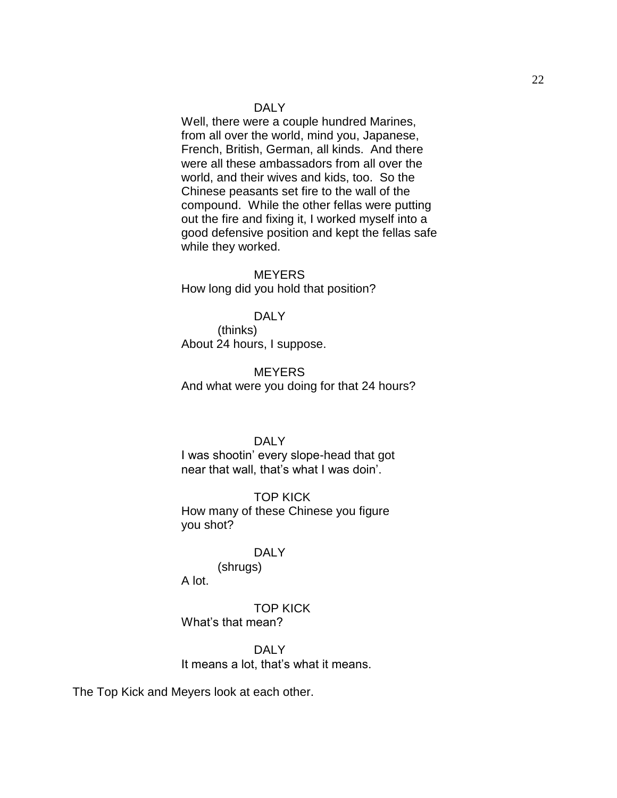### DALY

Well, there were a couple hundred Marines, from all over the world, mind you, Japanese, French, British, German, all kinds. And there were all these ambassadors from all over the world, and their wives and kids, too. So the Chinese peasants set fire to the wall of the compound. While the other fellas were putting out the fire and fixing it, I worked myself into a good defensive position and kept the fellas safe while they worked.

MEYERS How long did you hold that position?

# DALY

(thinks) About 24 hours, I suppose.

#### **MEYERS**

And what were you doing for that 24 hours?

### DALY

I was shootin' every slope-head that got near that wall, that's what I was doin'.

TOP KICK How many of these Chinese you figure you shot?

### DALY

(shrugs)

A lot.

TOP KICK What's that mean?

DALY It means a lot, that's what it means.

The Top Kick and Meyers look at each other.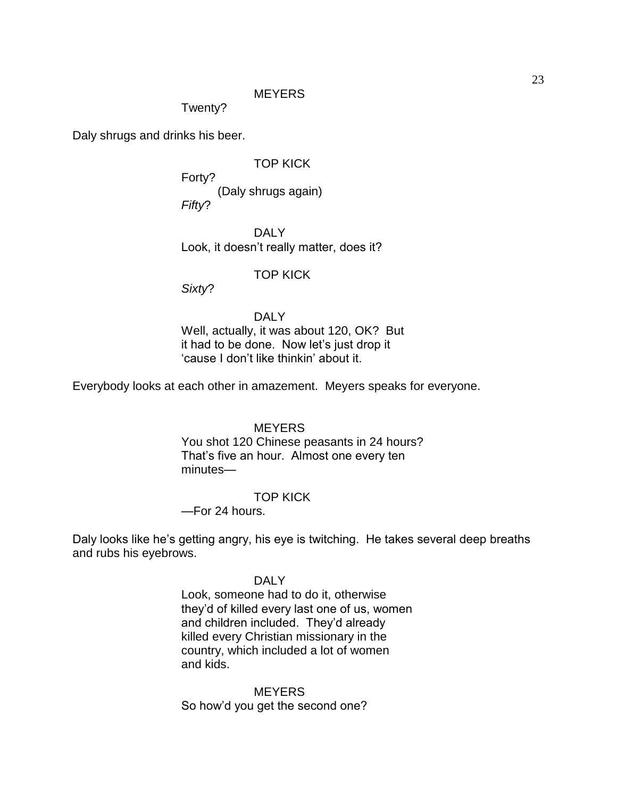## **MEYERS**

Twenty?

Daly shrugs and drinks his beer.

TOP KICK

Forty? (Daly shrugs again) *Fifty*?

DALY Look, it doesn't really matter, does it?

## TOP KICK

*Sixty*?

# DALY

Well, actually, it was about 120, OK? But it had to be done. Now let's just drop it ‗cause I don't like thinkin' about it.

Everybody looks at each other in amazement. Meyers speaks for everyone.

## **MEYERS**

You shot 120 Chinese peasants in 24 hours? That's five an hour. Almost one every ten minutes—

#### TOP KICK

—For 24 hours.

Daly looks like he's getting angry, his eye is twitching. He takes several deep breaths and rubs his eyebrows.

#### DALY

Look, someone had to do it, otherwise they'd of killed every last one of us, women and children included. They'd already killed every Christian missionary in the country, which included a lot of women and kids.

MEYERS So how'd you get the second one?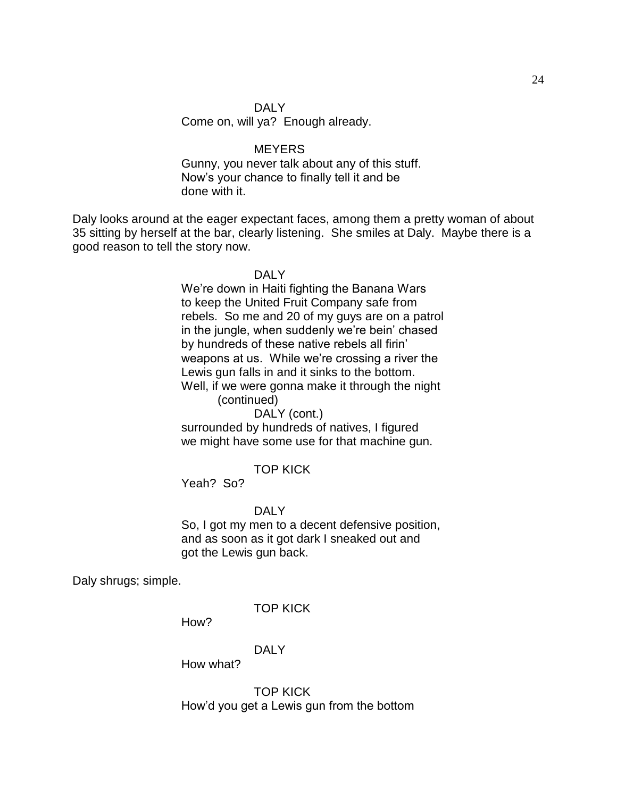## DALY

Come on, will ya? Enough already.

## **MEYERS**

Gunny, you never talk about any of this stuff. Now's your chance to finally tell it and be done with it.

Daly looks around at the eager expectant faces, among them a pretty woman of about 35 sitting by herself at the bar, clearly listening. She smiles at Daly. Maybe there is a good reason to tell the story now.

#### DALY

We're down in Haiti fighting the Banana Wars to keep the United Fruit Company safe from rebels. So me and 20 of my guys are on a patrol in the jungle, when suddenly we're bein' chased by hundreds of these native rebels all firin' weapons at us. While we're crossing a river the Lewis gun falls in and it sinks to the bottom. Well, if we were gonna make it through the night

(continued)

DALY (cont.) surrounded by hundreds of natives, I figured we might have some use for that machine gun.

## TOP KICK

Yeah? So?

#### DALY

So, I got my men to a decent defensive position, and as soon as it got dark I sneaked out and got the Lewis gun back.

Daly shrugs; simple.

TOP KICK

How?

## DALY

How what?

TOP KICK How'd you get a Lewis gun from the bottom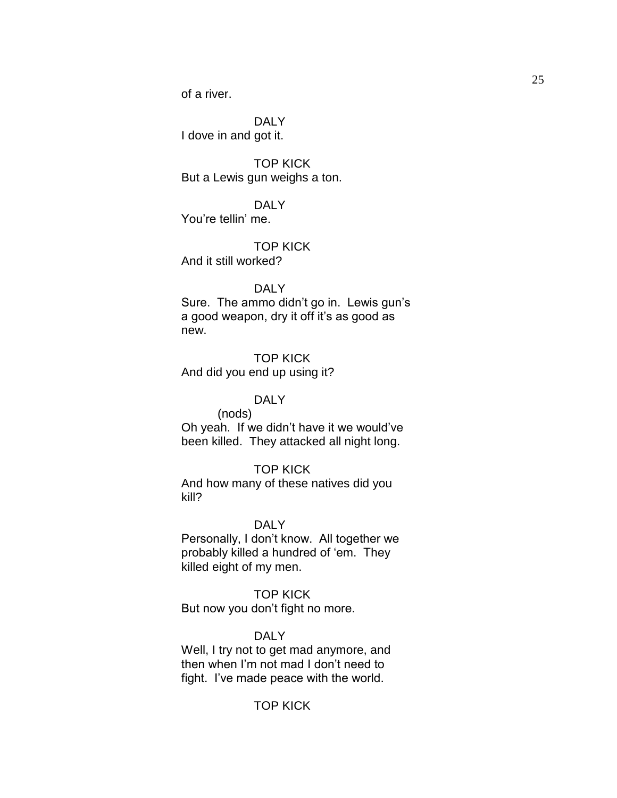of a river.

DALY I dove in and got it.

TOP KICK But a Lewis gun weighs a ton.

DALY You're tellin' me.

TOP KICK And it still worked?

## DAI<sub>Y</sub>

Sure. The ammo didn't go in. Lewis gun's a good weapon, dry it off it's as good as new.

TOP KICK And did you end up using it?

# DALY

(nods) Oh yeah. If we didn't have it we would've been killed. They attacked all night long.

## TOP KICK

And how many of these natives did you kill?

#### DAI<sub>Y</sub>

Personally, I don't know. All together we probably killed a hundred of 'em. They killed eight of my men.

# TOP KICK

But now you don't fight no more.

## DALY

Well, I try not to get mad anymore, and then when I'm not mad I don't need to fight. I've made peace with the world.

# TOP KICK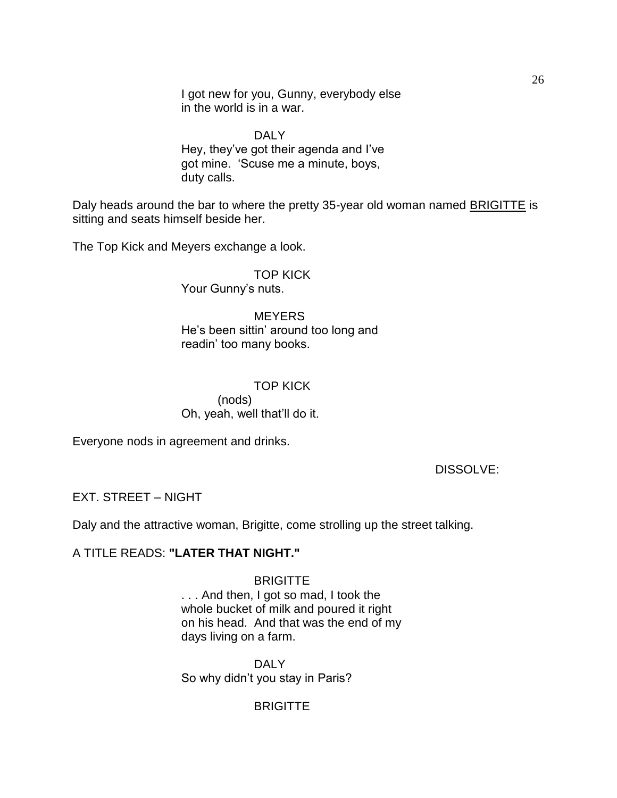I got new for you, Gunny, everybody else in the world is in a war.

DALY Hey, they've got their agenda and I've got mine. 'Scuse me a minute, boys, duty calls.

Daly heads around the bar to where the pretty 35-year old woman named **BRIGITTE** is sitting and seats himself beside her.

The Top Kick and Meyers exchange a look.

## TOP KICK Your Gunny's nuts.

**MEYERS** 

He's been sittin' around too long and readin' too many books.

# TOP KICK (nods) Oh, yeah, well that'll do it.

Everyone nods in agreement and drinks.

DISSOLVE:

# EXT. STREET – NIGHT

Daly and the attractive woman, Brigitte, come strolling up the street talking.

## A TITLE READS: **"LATER THAT NIGHT."**

### **BRIGITTE**

. . . And then, I got so mad, I took the whole bucket of milk and poured it right on his head. And that was the end of my days living on a farm.

DALY So why didn't you stay in Paris?

# **BRIGITTE**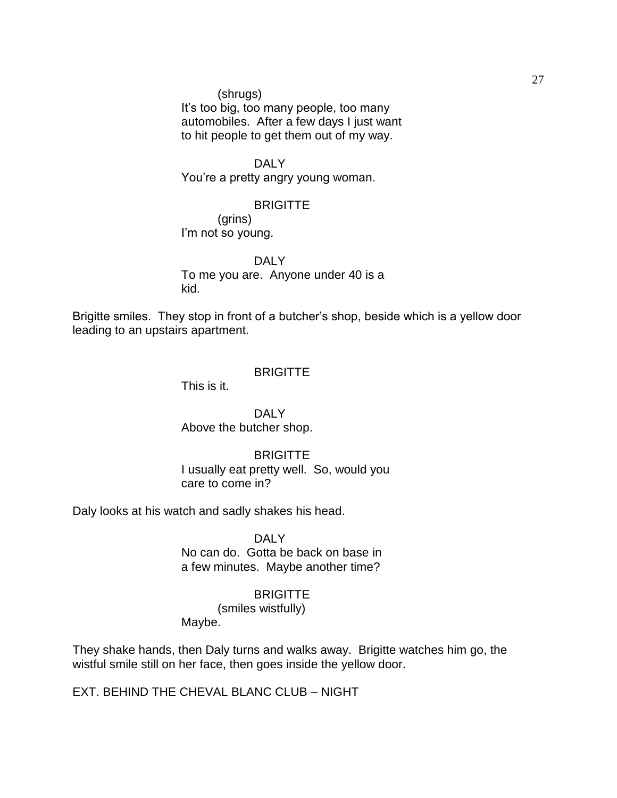(shrugs) It's too big, too many people, too many automobiles. After a few days I just want to hit people to get them out of my way.

DALY You're a pretty angry young woman.

## **BRIGITTE**

(grins) I'm not so young.

DALY To me you are. Anyone under 40 is a kid.

Brigitte smiles. They stop in front of a butcher's shop, beside which is a yellow door leading to an upstairs apartment.

# **BRIGITTE**

This is it.

DALY Above the butcher shop.

### **BRIGITTE**

I usually eat pretty well. So, would you care to come in?

Daly looks at his watch and sadly shakes his head.

DALY No can do. Gotta be back on base in a few minutes. Maybe another time?

# **BRIGITTE**

(smiles wistfully)

Maybe.

They shake hands, then Daly turns and walks away. Brigitte watches him go, the wistful smile still on her face, then goes inside the yellow door.

EXT. BEHIND THE CHEVAL BLANC CLUB – NIGHT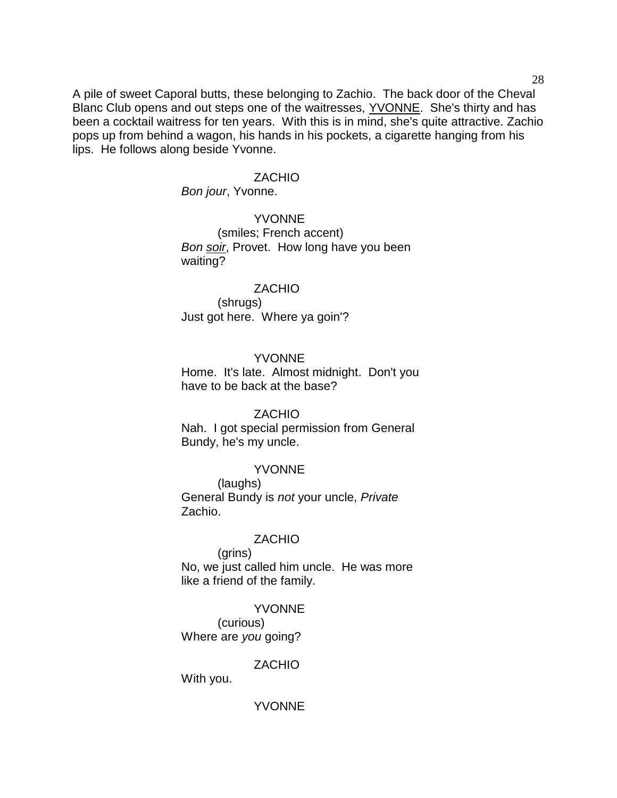A pile of sweet Caporal butts, these belonging to Zachio. The back door of the Cheval Blanc Club opens and out steps one of the waitresses, YVONNE. She's thirty and has been a cocktail waitress for ten years. With this is in mind, she's quite attractive. Zachio pops up from behind a wagon, his hands in his pockets, a cigarette hanging from his lips. He follows along beside Yvonne.

#### **ZACHIO**

*Bon jour*, Yvonne.

## YVONNE (smiles; French accent) *Bon soir*, Provet. How long have you been waiting?

## ZACHIO (shrugs) Just got here. Where ya goin'?

### YVONNE

Home. It's late. Almost midnight. Don't you have to be back at the base?

### ZACHIO

Nah. I got special permission from General Bundy, he's my uncle.

## **YVONNE**

(laughs) General Bundy is *not* your uncle, *Private* Zachio.

### ZACHIO

(grins) No, we just called him uncle. He was more like a friend of the family.

#### **YVONNE**

(curious) Where are *you* going?

# **ZACHIO**

With you.

# YVONNE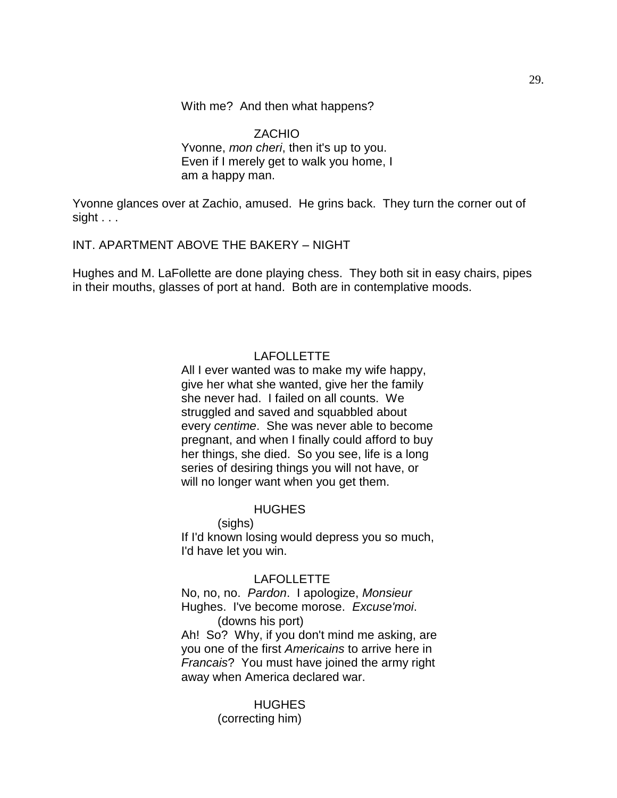With me? And then what happens?

ZACHIO Yvonne, *mon cheri*, then it's up to you. Even if I merely get to walk you home, I am a happy man.

Yvonne glances over at Zachio, amused. He grins back. They turn the corner out of sight . . .

INT. APARTMENT ABOVE THE BAKERY – NIGHT

Hughes and M. LaFollette are done playing chess. They both sit in easy chairs, pipes in their mouths, glasses of port at hand. Both are in contemplative moods.

# LAFOLLETTE

All I ever wanted was to make my wife happy, give her what she wanted, give her the family she never had. I failed on all counts. We struggled and saved and squabbled about every *centime*. She was never able to become pregnant, and when I finally could afford to buy her things, she died. So you see, life is a long series of desiring things you will not have, or will no longer want when you get them.

# **HUGHES**

(sighs)

If I'd known losing would depress you so much, I'd have let you win.

### LAFOLLETTE

No, no, no. *Pardon*. I apologize, *Monsieur*  Hughes. I've become morose. *Excuse'moi*. (downs his port)

Ah! So? Why, if you don't mind me asking, are you one of the first *Americains* to arrive here in *Francais*? You must have joined the army right away when America declared war.

## **HUGHES** (correcting him)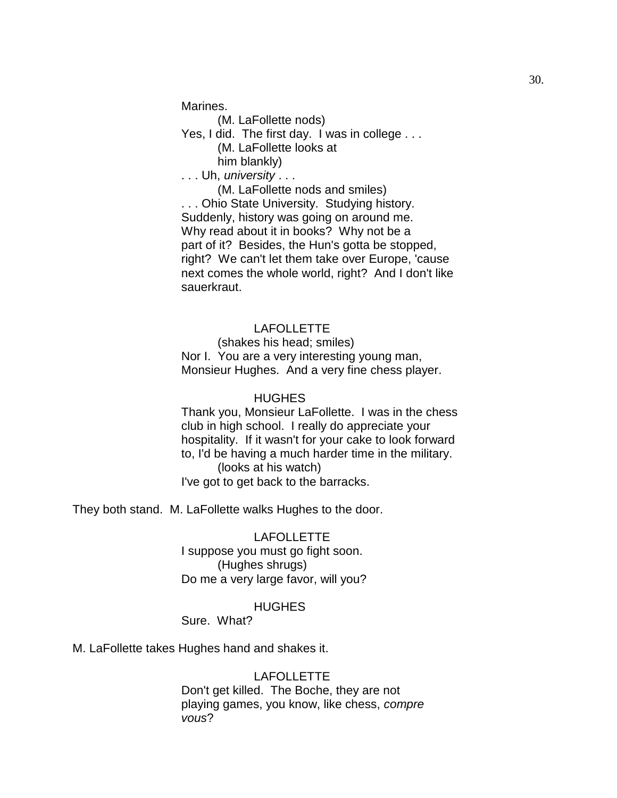Marines.

(M. LaFollette nods)

Yes, I did. The first day. I was in college ...

(M. LaFollette looks at

him blankly)

. . . Uh, *university* . . .

(M. LaFollette nods and smiles)

. . . Ohio State University. Studying history. Suddenly, history was going on around me. Why read about it in books? Why not be a part of it? Besides, the Hun's gotta be stopped, right? We can't let them take over Europe, 'cause next comes the whole world, right? And I don't like sauerkraut.

# LAFOLLETTE

(shakes his head; smiles) Nor I. You are a very interesting young man, Monsieur Hughes. And a very fine chess player.

#### **HUGHES**

Thank you, Monsieur LaFollette. I was in the chess club in high school. I really do appreciate your hospitality. If it wasn't for your cake to look forward to, I'd be having a much harder time in the military. (looks at his watch) I've got to get back to the barracks.

They both stand. M. LaFollette walks Hughes to the door.

# LAFOLLETTE I suppose you must go fight soon. (Hughes shrugs) Do me a very large favor, will you?

### **HUGHES**

Sure. What?

M. LaFollette takes Hughes hand and shakes it.

## LAFOLLETTE

Don't get killed. The Boche, they are not playing games, you know, like chess, *compre vous*?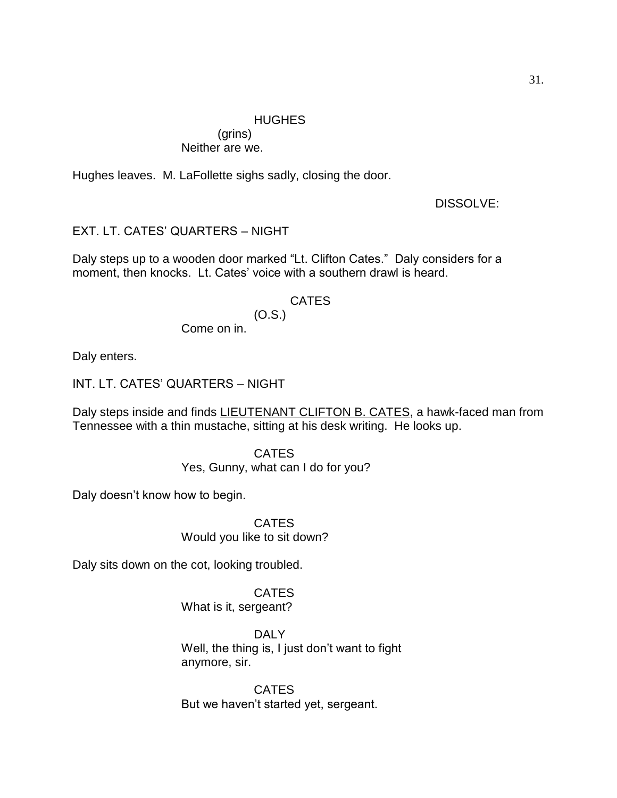## HUGHES

(grins) Neither are we.

Hughes leaves. M. LaFollette sighs sadly, closing the door.

DISSOLVE:

EXT. LT. CATES' QUARTERS – NIGHT

Daly steps up to a wooden door marked "Lt. Clifton Cates." Daly considers for a moment, then knocks. Lt. Cates' voice with a southern drawl is heard.

# CATES

(O.S.) Come on in.

Daly enters.

INT. LT. CATES' QUARTERS – NIGHT

Daly steps inside and finds LIEUTENANT CLIFTON B. CATES, a hawk-faced man from Tennessee with a thin mustache, sitting at his desk writing. He looks up.

> CATES Yes, Gunny, what can I do for you?

Daly doesn't know how to begin.

CATES Would you like to sit down?

Daly sits down on the cot, looking troubled.

**CATES** What is it, sergeant?

DALY Well, the thing is, I just don't want to fight anymore, sir.

**CATES** But we haven't started yet, sergeant.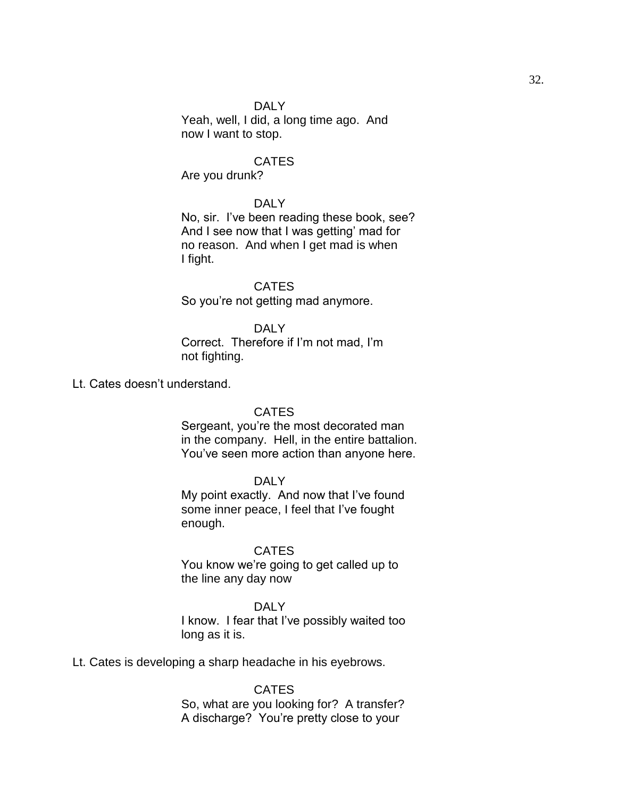## DALY

Yeah, well, I did, a long time ago. And now I want to stop.

## **CATES**

Are you drunk?

## DALY

No, sir. I've been reading these book, see? And I see now that I was getting' mad for no reason. And when I get mad is when I fight.

**CATES** So you're not getting mad anymore.

## DALY

Correct. Therefore if I'm not mad, I'm not fighting.

Lt. Cates doesn't understand.

#### CATES

Sergeant, you're the most decorated man in the company. Hell, in the entire battalion. You've seen more action than anyone here.

# DALY

My point exactly. And now that I've found some inner peace, I feel that I've fought enough.

## CATES

You know we're going to get called up to the line any day now

# DAI<sub>Y</sub>

I know. I fear that I've possibly waited too long as it is.

Lt. Cates is developing a sharp headache in his eyebrows.

**CATES** So, what are you looking for? A transfer? A discharge? You're pretty close to your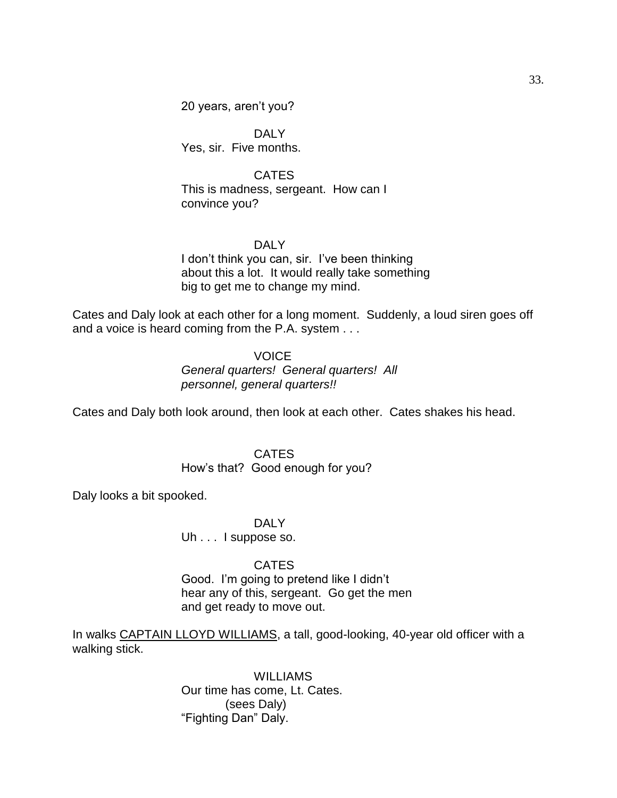20 years, aren't you?

DALY Yes, sir. Five months.

**CATES** This is madness, sergeant. How can I convince you?

## DALY

I don't think you can, sir. I've been thinking about this a lot. It would really take something big to get me to change my mind.

Cates and Daly look at each other for a long moment. Suddenly, a loud siren goes off and a voice is heard coming from the P.A. system . . .

### **VOICE**

*General quarters! General quarters! All personnel, general quarters!!*

Cates and Daly both look around, then look at each other. Cates shakes his head.

#### **CATES**

How's that? Good enough for you?

Daly looks a bit spooked.

DALY

Uh . . . I suppose so.

### **CATES**

Good. I'm going to pretend like I didn't hear any of this, sergeant. Go get the men and get ready to move out.

In walks CAPTAIN LLOYD WILLIAMS, a tall, good-looking, 40-year old officer with a walking stick.

> WILLIAMS Our time has come, Lt. Cates. (sees Daly) ―Fighting Dan‖ Daly.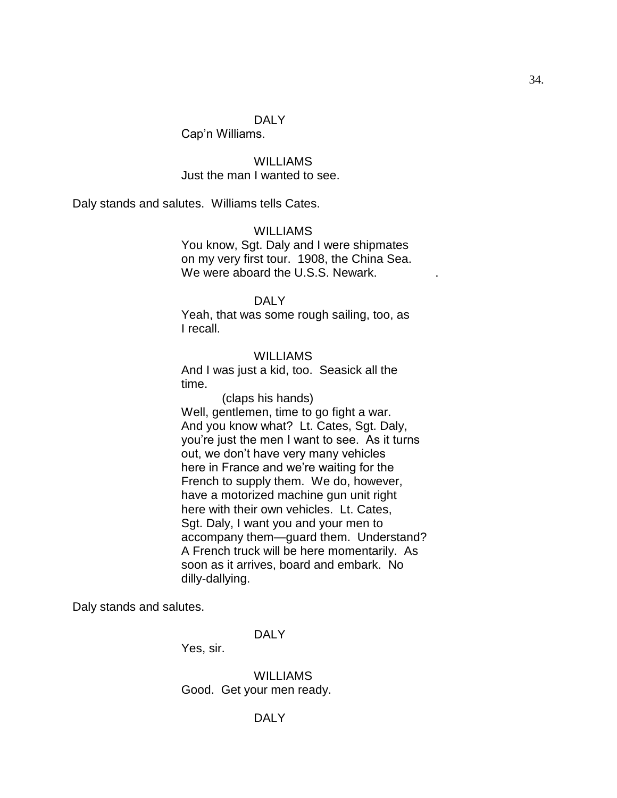## DALY

Cap'n Williams.

**WILLIAMS** Just the man I wanted to see.

Daly stands and salutes. Williams tells Cates.

### WILLIAMS

You know, Sgt. Daly and I were shipmates on my very first tour. 1908, the China Sea. We were aboard the U.S.S. Newark.

# DALY

Yeah, that was some rough sailing, too, as I recall.

## WILLIAMS

And I was just a kid, too. Seasick all the time.

 (claps his hands) Well, gentlemen, time to go fight a war. And you know what? Lt. Cates, Sgt. Daly, you're just the men I want to see. As it turns out, we don't have very many vehicles here in France and we're waiting for the French to supply them. We do, however, have a motorized machine gun unit right here with their own vehicles. Lt. Cates, Sgt. Daly, I want you and your men to accompany them—guard them. Understand? A French truck will be here momentarily. As soon as it arrives, board and embark. No dilly-dallying.

Daly stands and salutes.

## DALY

Yes, sir.

WILLIAMS Good. Get your men ready.

## DALY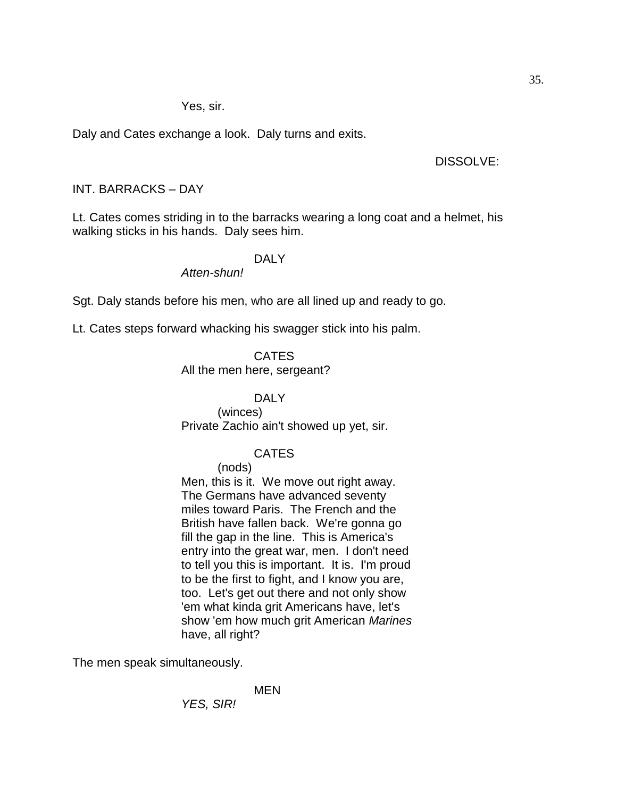Yes, sir.

Daly and Cates exchange a look. Daly turns and exits.

DISSOLVE:

# INT. BARRACKS – DAY

Lt. Cates comes striding in to the barracks wearing a long coat and a helmet, his walking sticks in his hands. Daly sees him.

## DALY

*Atten-shun!*

Sgt. Daly stands before his men, who are all lined up and ready to go.

Lt. Cates steps forward whacking his swagger stick into his palm.

CATES

All the men here, sergeant?

## DALY

(winces) Private Zachio ain't showed up yet, sir.

# CATES

(nods)

Men, this is it. We move out right away. The Germans have advanced seventy miles toward Paris. The French and the British have fallen back. We're gonna go fill the gap in the line. This is America's entry into the great war, men. I don't need to tell you this is important. It is. I'm proud to be the first to fight, and I know you are, too. Let's get out there and not only show 'em what kinda grit Americans have, let's show 'em how much grit American *Marines* have, all right?

The men speak simultaneously.

MEN

*YES, SIR!*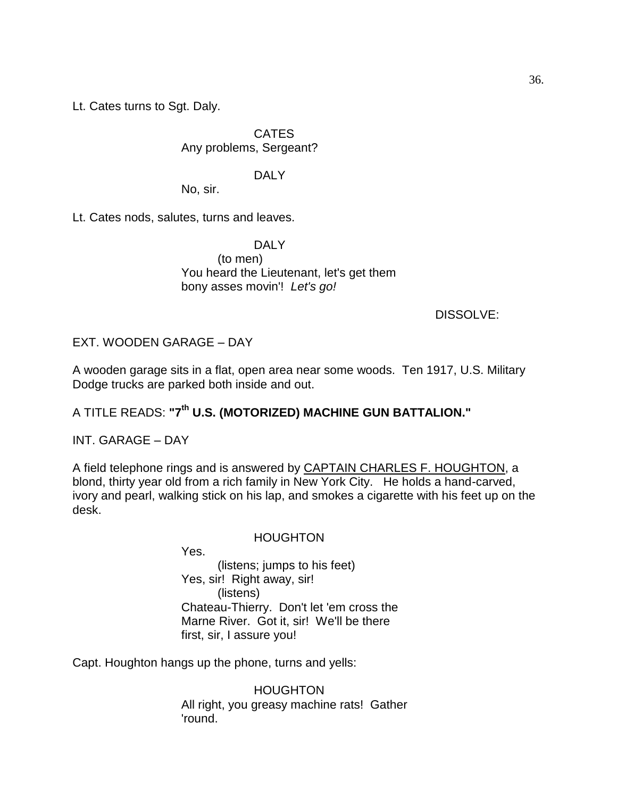Lt. Cates turns to Sgt. Daly.

CATES Any problems, Sergeant?

## DALY

No, sir.

Lt. Cates nods, salutes, turns and leaves.

DALY (to men) You heard the Lieutenant, let's get them bony asses movin'! *Let's go!*

# DISSOLVE:

# EXT. WOODEN GARAGE – DAY

A wooden garage sits in a flat, open area near some woods. Ten 1917, U.S. Military Dodge trucks are parked both inside and out.

# A TITLE READS: **"7th U.S. (MOTORIZED) MACHINE GUN BATTALION."**

INT. GARAGE – DAY

A field telephone rings and is answered by CAPTAIN CHARLES F. HOUGHTON, a blond, thirty year old from a rich family in New York City. He holds a hand-carved, ivory and pearl, walking stick on his lap, and smokes a cigarette with his feet up on the desk.

## HOUGHTON

Yes.

(listens; jumps to his feet) Yes, sir! Right away, sir! (listens) Chateau-Thierry. Don't let 'em cross the Marne River. Got it, sir! We'll be there first, sir, I assure you!

Capt. Houghton hangs up the phone, turns and yells:

**HOUGHTON** All right, you greasy machine rats! Gather 'round.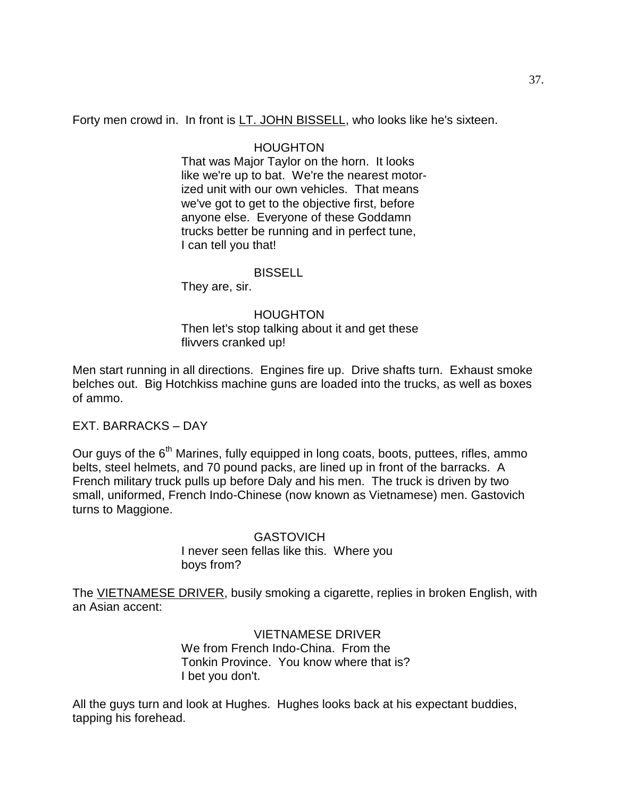Forty men crowd in. In front is LT. JOHN BISSELL, who looks like he's sixteen.

### HOUGHTON

That was Major Taylor on the horn. It looks like we're up to bat. We're the nearest motorized unit with our own vehicles. That means we've got to get to the objective first, before anyone else. Everyone of these Goddamn trucks better be running and in perfect tune, I can tell you that!

#### BISSELL

They are, sir.

#### HOUGHTON

Then let's stop talking about it and get these flivvers cranked up!

Men start running in all directions. Engines fire up. Drive shafts turn. Exhaust smoke belches out. Big Hotchkiss machine guns are loaded into the trucks, as well as boxes of ammo.

EXT. BARRACKS – DAY

Our guys of the 6<sup>th</sup> Marines, fully equipped in long coats, boots, puttees, rifles, ammo belts, steel helmets, and 70 pound packs, are lined up in front of the barracks. A French military truck pulls up before Daly and his men. The truck is driven by two small, uniformed, French Indo-Chinese (now known as Vietnamese) men. Gastovich turns to Maggione.

> **GASTOVICH** I never seen fellas like this. Where you boys from?

The VIETNAMESE DRIVER, busily smoking a cigarette, replies in broken English, with an Asian accent:

> VIETNAMESE DRIVER We from French Indo-China. From the Tonkin Province. You know where that is? I bet you don't.

All the guys turn and look at Hughes. Hughes looks back at his expectant buddies, tapping his forehead.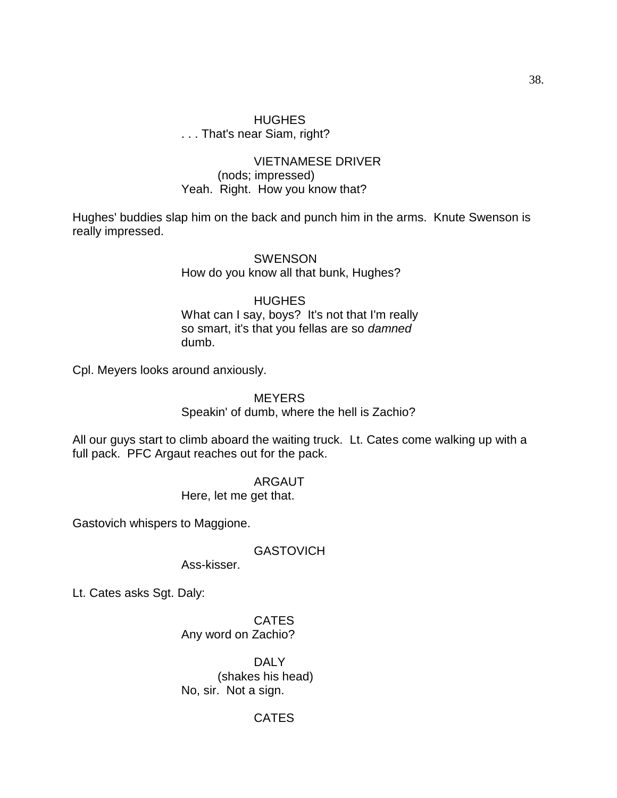# HUGHES . . . That's near Siam, right?

### VIETNAMESE DRIVER (nods; impressed) Yeah. Right. How you know that?

Hughes' buddies slap him on the back and punch him in the arms. Knute Swenson is really impressed.

> **SWENSON** How do you know all that bunk, Hughes?

# **HUGHES**

What can I say, boys? It's not that I'm really so smart, it's that you fellas are so *damned*  dumb.

Cpl. Meyers looks around anxiously.

### **MEYERS**

Speakin' of dumb, where the hell is Zachio?

All our guys start to climb aboard the waiting truck. Lt. Cates come walking up with a full pack. PFC Argaut reaches out for the pack.

> ARGAUT Here, let me get that.

Gastovich whispers to Maggione.

GASTOVICH

Ass-kisser.

Lt. Cates asks Sgt. Daly:

**CATES** Any word on Zachio?

DALY (shakes his head) No, sir. Not a sign.

# CATES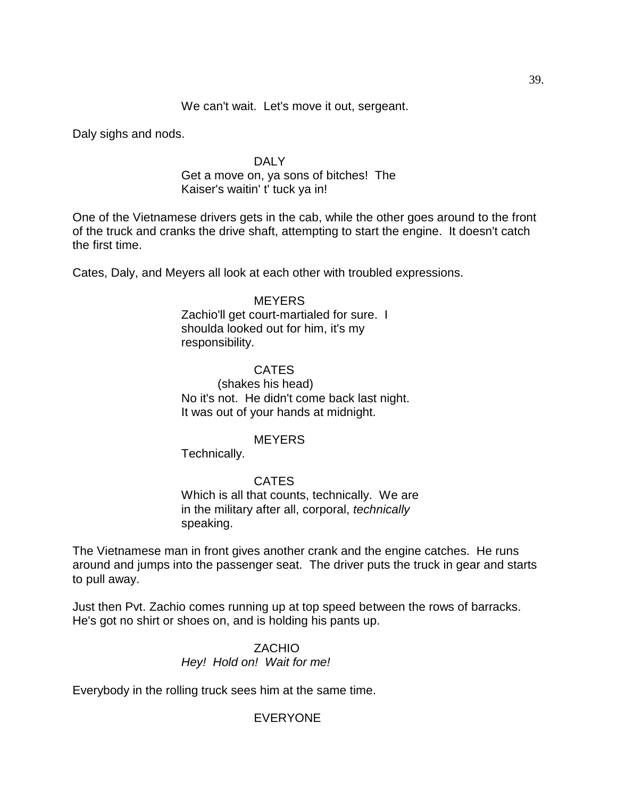We can't wait. Let's move it out, sergeant.

Daly sighs and nods.

### DAI<sub>Y</sub>

### Get a move on, ya sons of bitches! The Kaiser's waitin' t' tuck ya in!

One of the Vietnamese drivers gets in the cab, while the other goes around to the front of the truck and cranks the drive shaft, attempting to start the engine. It doesn't catch the first time.

Cates, Daly, and Meyers all look at each other with troubled expressions.

#### **MEYERS**

Zachio'll get court-martialed for sure. I shoulda looked out for him, it's my responsibility.

### CATES

(shakes his head) No it's not. He didn't come back last night. It was out of your hands at midnight.

### **MEYERS**

Technically.

# CATES

Which is all that counts, technically. We are in the military after all, corporal, *technically*  speaking.

The Vietnamese man in front gives another crank and the engine catches. He runs around and jumps into the passenger seat. The driver puts the truck in gear and starts to pull away.

Just then Pvt. Zachio comes running up at top speed between the rows of barracks. He's got no shirt or shoes on, and is holding his pants up.

# ZACHIO *Hey! Hold on! Wait for me!*

Everybody in the rolling truck sees him at the same time.

# EVERYONE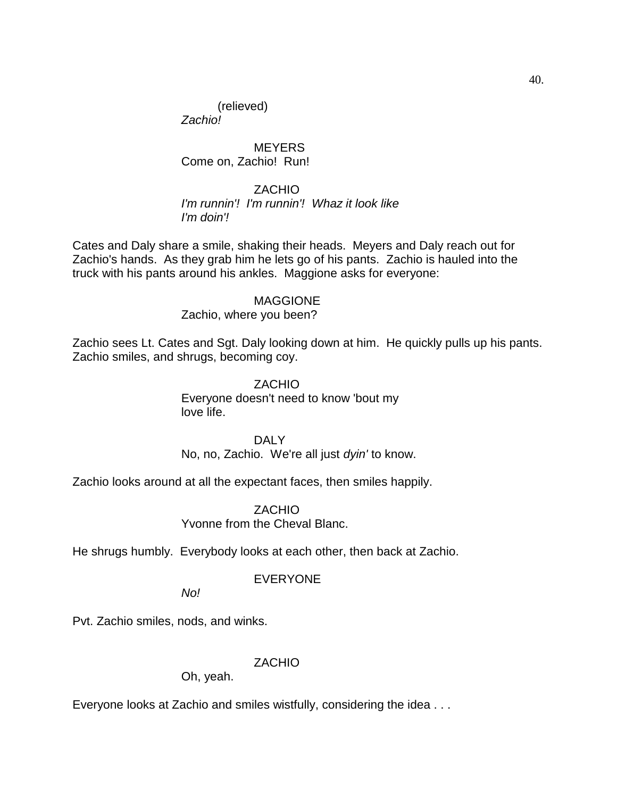(relieved) *Zachio!*

**MEYERS** Come on, Zachio! Run!

ZACHIO *I'm runnin'! I'm runnin'! Whaz it look like I'm doin'!*

Cates and Daly share a smile, shaking their heads. Meyers and Daly reach out for Zachio's hands. As they grab him he lets go of his pants. Zachio is hauled into the truck with his pants around his ankles. Maggione asks for everyone:

#### MAGGIONE

Zachio, where you been?

Zachio sees Lt. Cates and Sgt. Daly looking down at him. He quickly pulls up his pants. Zachio smiles, and shrugs, becoming coy.

> ZACHIO Everyone doesn't need to know 'bout my love life.

> > DALY

No, no, Zachio. We're all just *dyin'* to know.

Zachio looks around at all the expectant faces, then smiles happily.

ZACHIO Yvonne from the Cheval Blanc.

He shrugs humbly. Everybody looks at each other, then back at Zachio.

# EVERYONE

*No!*

Pvt. Zachio smiles, nods, and winks.

# ZACHIO

Oh, yeah.

Everyone looks at Zachio and smiles wistfully, considering the idea . . .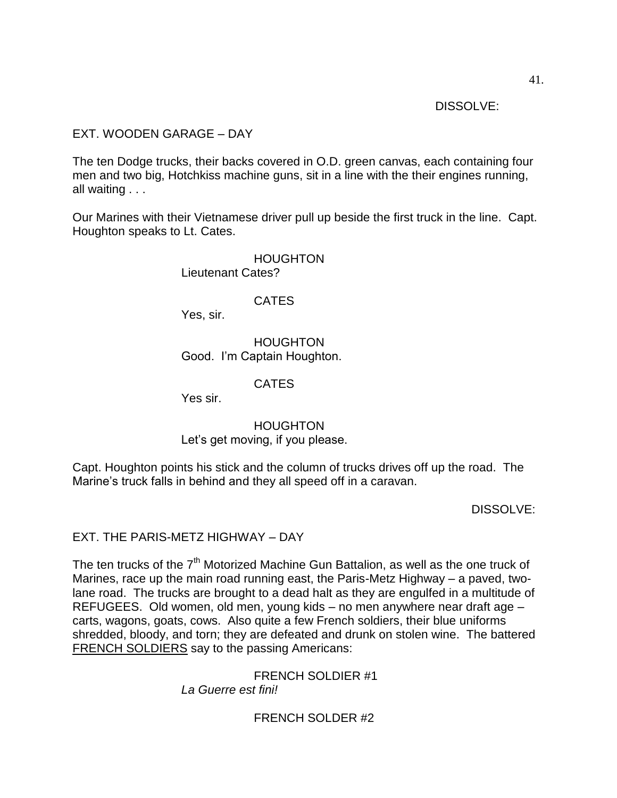DISSOLVE:

# EXT. WOODEN GARAGE – DAY

The ten Dodge trucks, their backs covered in O.D. green canvas, each containing four men and two big, Hotchkiss machine guns, sit in a line with the their engines running, all waiting . . .

Our Marines with their Vietnamese driver pull up beside the first truck in the line. Capt. Houghton speaks to Lt. Cates.

> HOUGHTON Lieutenant Cates?

> > **CATES**

Yes, sir.

HOUGHTON Good. I'm Captain Houghton.

CATES

Yes sir.

HOUGHTON Let's get moving, if you please.

Capt. Houghton points his stick and the column of trucks drives off up the road. The Marine's truck falls in behind and they all speed off in a caravan.

DISSOLVE:

EXT. THE PARIS-METZ HIGHWAY – DAY

The ten trucks of the  $7<sup>th</sup>$  Motorized Machine Gun Battalion, as well as the one truck of Marines, race up the main road running east, the Paris-Metz Highway – a paved, twolane road. The trucks are brought to a dead halt as they are engulfed in a multitude of REFUGEES. Old women, old men, young kids – no men anywhere near draft age – carts, wagons, goats, cows. Also quite a few French soldiers, their blue uniforms shredded, bloody, and torn; they are defeated and drunk on stolen wine. The battered FRENCH SOLDIERS say to the passing Americans:

> FRENCH SOLDIER #1 *La Guerre est fini!*

> > FRENCH SOLDER #2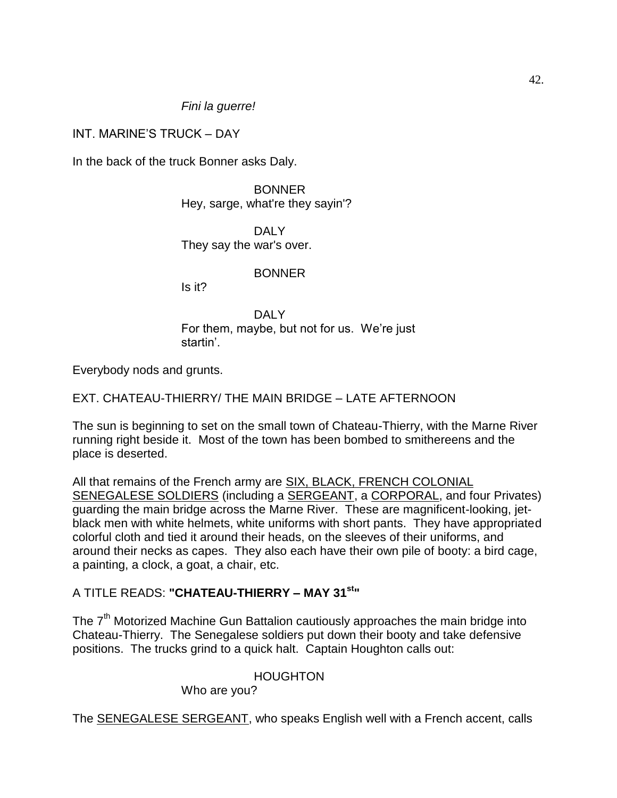*Fini la guerre!*

INT. MARINE'S TRUCK – DAY

In the back of the truck Bonner asks Daly.

BONNER Hey, sarge, what're they sayin'?

DALY They say the war's over.

**BONNER** 

Is it?

DALY For them, maybe, but not for us. We're just startin'.

Everybody nods and grunts.

EXT. CHATEAU-THIERRY/ THE MAIN BRIDGE – LATE AFTERNOON

The sun is beginning to set on the small town of Chateau-Thierry, with the Marne River running right beside it. Most of the town has been bombed to smithereens and the place is deserted.

All that remains of the French army are **SIX, BLACK, FRENCH COLONIAL** SENEGALESE SOLDIERS (including a SERGEANT, a CORPORAL, and four Privates) guarding the main bridge across the Marne River. These are magnificent-looking, jetblack men with white helmets, white uniforms with short pants. They have appropriated colorful cloth and tied it around their heads, on the sleeves of their uniforms, and around their necks as capes. They also each have their own pile of booty: a bird cage, a painting, a clock, a goat, a chair, etc.

# A TITLE READS: **"CHATEAU-THIERRY – MAY 31st"**

The 7<sup>th</sup> Motorized Machine Gun Battalion cautiously approaches the main bridge into Chateau-Thierry. The Senegalese soldiers put down their booty and take defensive positions. The trucks grind to a quick halt. Captain Houghton calls out:

# HOUGHTON

Who are you?

The **SENEGALESE SERGEANT**, who speaks English well with a French accent, calls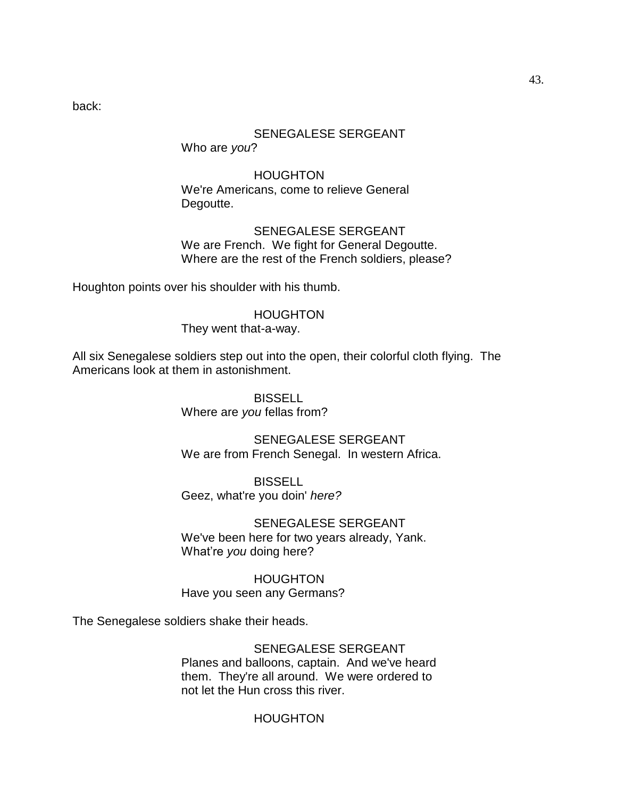back:

### SENEGALESE SERGEANT

Who are *you*?

HOUGHTON We're Americans, come to relieve General Degoutte.

SENEGALESE SERGEANT We are French. We fight for General Degoutte. Where are the rest of the French soldiers, please?

Houghton points over his shoulder with his thumb.

#### HOUGHTON

They went that-a-way.

All six Senegalese soldiers step out into the open, their colorful cloth flying. The Americans look at them in astonishment.

> **BISSELL** Where are *you* fellas from?

SENEGALESE SERGEANT We are from French Senegal. In western Africa.

BISSELL Geez, what're you doin' *here?*

SENEGALESE SERGEANT We've been here for two years already, Yank. What're *you* doing here?

HOUGHTON Have you seen any Germans?

The Senegalese soldiers shake their heads.

SENEGALESE SERGEANT Planes and balloons, captain. And we've heard them. They're all around. We were ordered to not let the Hun cross this river.

### HOUGHTON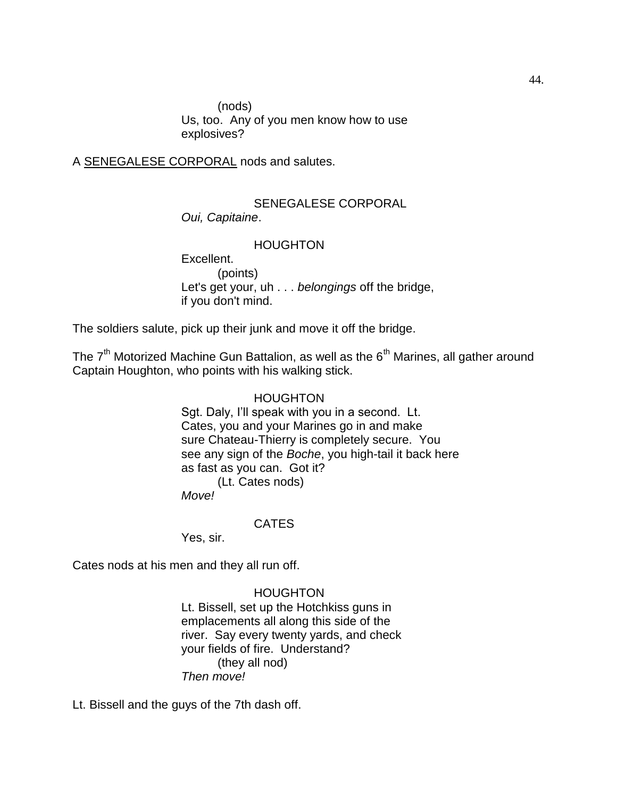(nods) Us, too. Any of you men know how to use explosives?

A SENEGALESE CORPORAL nods and salutes.

### SENEGALESE CORPORAL *Oui, Capitaine*.

### **HOUGHTON**

Excellent. (points) Let's get your, uh . . . *belongings* off the bridge, if you don't mind.

The soldiers salute, pick up their junk and move it off the bridge.

The  $7<sup>th</sup>$  Motorized Machine Gun Battalion, as well as the  $6<sup>th</sup>$  Marines, all gather around Captain Houghton, who points with his walking stick.

#### HOUGHTON

Sgt. Daly, I'll speak with you in a second. Lt. Cates, you and your Marines go in and make sure Chateau-Thierry is completely secure. You see any sign of the *Boche*, you high-tail it back here as fast as you can. Got it? (Lt. Cates nods)

*Move!*

### CATES

Yes, sir.

Cates nods at his men and they all run off.

HOUGHTON

Lt. Bissell, set up the Hotchkiss guns in emplacements all along this side of the river. Say every twenty yards, and check your fields of fire. Understand? (they all nod) *Then move!*

Lt. Bissell and the guys of the 7th dash off.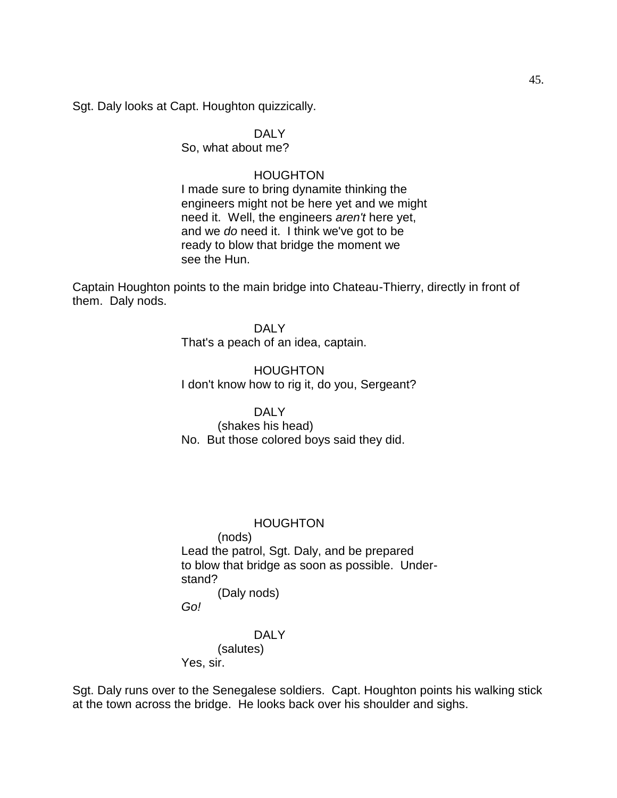Sgt. Daly looks at Capt. Houghton quizzically.

# DALY

So, what about me?

### HOUGHTON

I made sure to bring dynamite thinking the engineers might not be here yet and we might need it. Well, the engineers *aren't* here yet, and we *do* need it. I think we've got to be ready to blow that bridge the moment we see the Hun.

Captain Houghton points to the main bridge into Chateau-Thierry, directly in front of them. Daly nods.

> DALY That's a peach of an idea, captain.

HOUGHTON I don't know how to rig it, do you, Sergeant?

### DALY

(shakes his head) No. But those colored boys said they did.

### **HOUGHTON**

(nods) Lead the patrol, Sgt. Daly, and be prepared to blow that bridge as soon as possible. Understand? (Daly nods)

*Go!*

# DALY (salutes)

Yes, sir.

Sgt. Daly runs over to the Senegalese soldiers. Capt. Houghton points his walking stick at the town across the bridge. He looks back over his shoulder and sighs.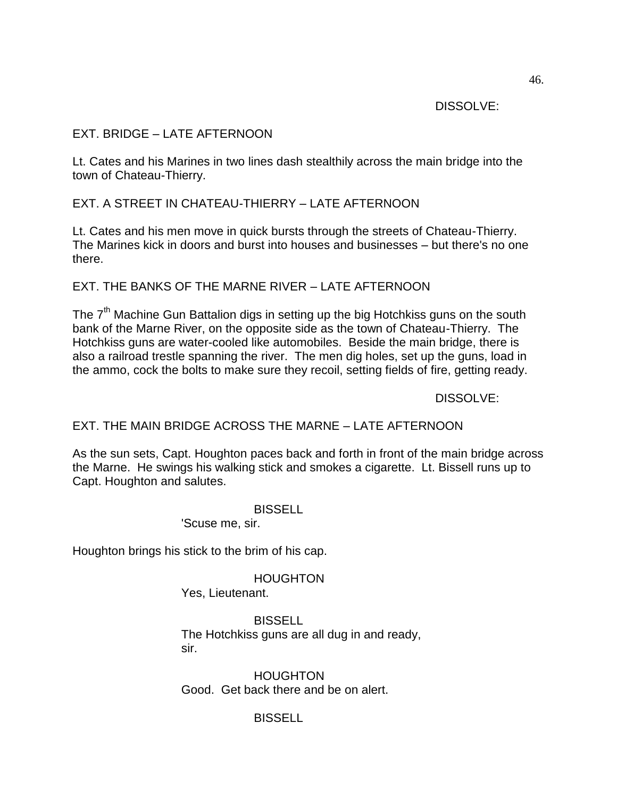DISSOLVE:

# EXT. BRIDGE – LATE AFTERNOON

Lt. Cates and his Marines in two lines dash stealthily across the main bridge into the town of Chateau-Thierry.

EXT. A STREET IN CHATEAU-THIERRY – LATE AFTERNOON

Lt. Cates and his men move in quick bursts through the streets of Chateau-Thierry. The Marines kick in doors and burst into houses and businesses – but there's no one there.

# EXT. THE BANKS OF THE MARNE RIVER – LATE AFTERNOON

The  $7<sup>th</sup>$  Machine Gun Battalion digs in setting up the big Hotchkiss guns on the south bank of the Marne River, on the opposite side as the town of Chateau-Thierry. The Hotchkiss guns are water-cooled like automobiles. Beside the main bridge, there is also a railroad trestle spanning the river. The men dig holes, set up the guns, load in the ammo, cock the bolts to make sure they recoil, setting fields of fire, getting ready.

DISSOLVE:

# EXT. THE MAIN BRIDGE ACROSS THE MARNE – LATE AFTERNOON

As the sun sets, Capt. Houghton paces back and forth in front of the main bridge across the Marne. He swings his walking stick and smokes a cigarette. Lt. Bissell runs up to Capt. Houghton and salutes.

**BISSELL** 

'Scuse me, sir.

Houghton brings his stick to the brim of his cap.

**HOUGHTON** 

Yes, Lieutenant.

BISSELL The Hotchkiss guns are all dug in and ready, sir.

**HOUGHTON** Good. Get back there and be on alert.

**BISSELL**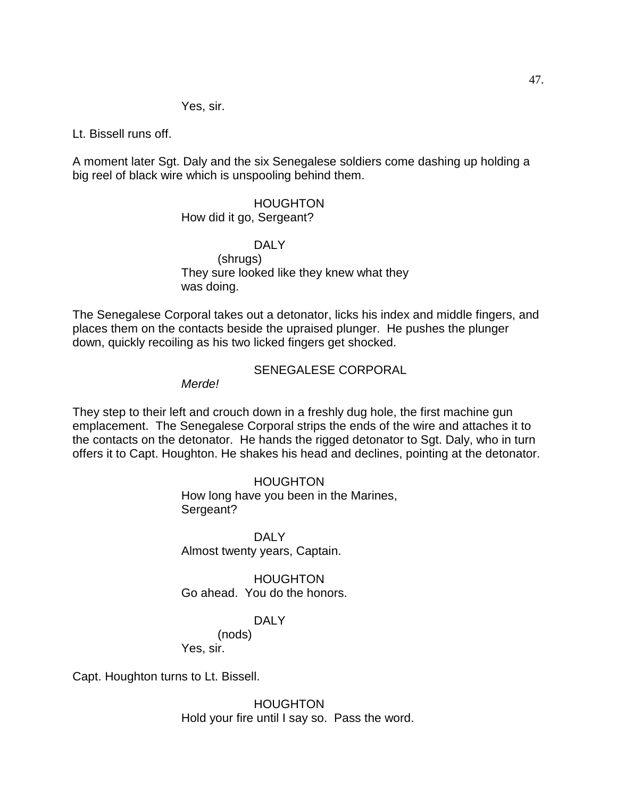Yes, sir.

Lt. Bissell runs off.

A moment later Sgt. Daly and the six Senegalese soldiers come dashing up holding a big reel of black wire which is unspooling behind them.

# HOUGHTON

# How did it go, Sergeant?

DALY (shrugs) They sure looked like they knew what they was doing.

The Senegalese Corporal takes out a detonator, licks his index and middle fingers, and places them on the contacts beside the upraised plunger. He pushes the plunger down, quickly recoiling as his two licked fingers get shocked.

### SENEGALESE CORPORAL

*Merde!*

They step to their left and crouch down in a freshly dug hole, the first machine gun emplacement. The Senegalese Corporal strips the ends of the wire and attaches it to the contacts on the detonator. He hands the rigged detonator to Sgt. Daly, who in turn offers it to Capt. Houghton. He shakes his head and declines, pointing at the detonator.

### HOUGHTON

How long have you been in the Marines, Sergeant?

DALY Almost twenty years, Captain.

HOUGHTON Go ahead. You do the honors.

# DALY

(nods)

Yes, sir.

Capt. Houghton turns to Lt. Bissell.

**HOUGHTON** Hold your fire until I say so. Pass the word.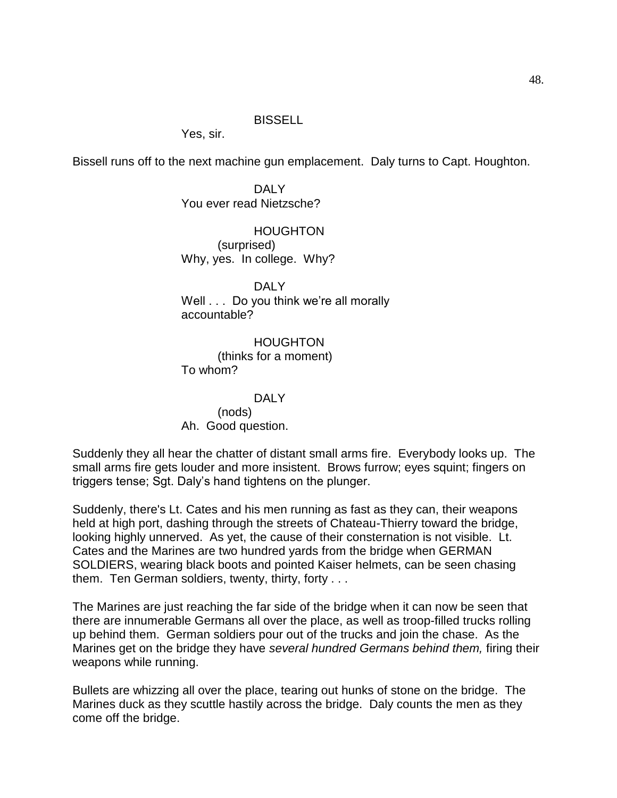#### BISSELL

Yes, sir.

Bissell runs off to the next machine gun emplacement. Daly turns to Capt. Houghton.

DALY You ever read Nietzsche?

HOUGHTON (surprised) Why, yes. In college. Why?

DALY Well . . . Do you think we're all morally accountable?

HOUGHTON (thinks for a moment) To whom?

DAI Y (nods) Ah. Good question.

Suddenly they all hear the chatter of distant small arms fire. Everybody looks up. The small arms fire gets louder and more insistent. Brows furrow; eyes squint; fingers on triggers tense; Sgt. Daly's hand tightens on the plunger.

Suddenly, there's Lt. Cates and his men running as fast as they can, their weapons held at high port, dashing through the streets of Chateau-Thierry toward the bridge, looking highly unnerved. As yet, the cause of their consternation is not visible. Lt. Cates and the Marines are two hundred yards from the bridge when GERMAN SOLDIERS, wearing black boots and pointed Kaiser helmets, can be seen chasing them. Ten German soldiers, twenty, thirty, forty . . .

The Marines are just reaching the far side of the bridge when it can now be seen that there are innumerable Germans all over the place, as well as troop-filled trucks rolling up behind them. German soldiers pour out of the trucks and join the chase. As the Marines get on the bridge they have *several hundred Germans behind them,* firing their weapons while running.

Bullets are whizzing all over the place, tearing out hunks of stone on the bridge. The Marines duck as they scuttle hastily across the bridge. Daly counts the men as they come off the bridge.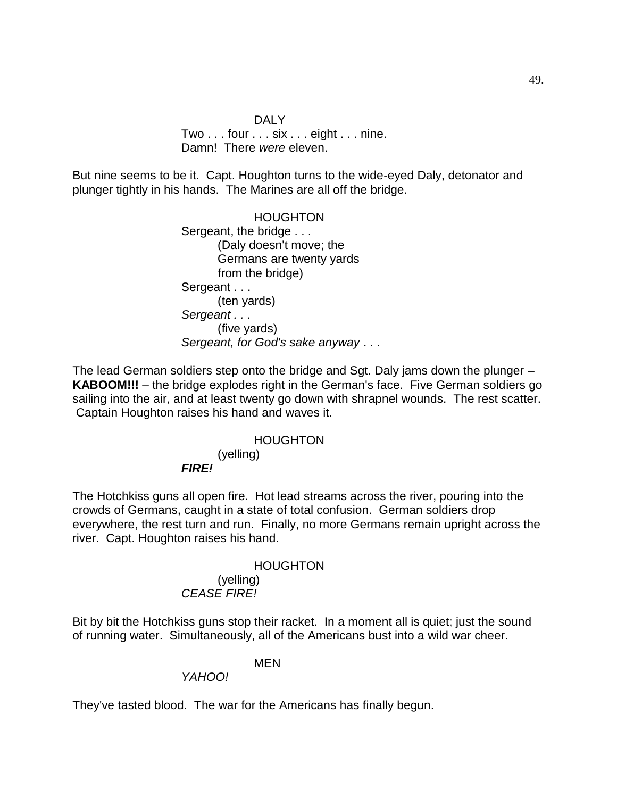### DALY Two . . . four . . . six . . . eight . . . nine. Damn! There *were* eleven.

But nine seems to be it. Capt. Houghton turns to the wide-eyed Daly, detonator and plunger tightly in his hands. The Marines are all off the bridge.

> HOUGHTON Sergeant, the bridge . . . (Daly doesn't move; the Germans are twenty yards from the bridge) Sergeant . . . (ten yards) *Sergeant . . .* (five yards) *Sergeant, for God's sake anyway* . . .

The lead German soldiers step onto the bridge and Sgt. Daly jams down the plunger – **KABOOM!!!** – the bridge explodes right in the German's face. Five German soldiers go sailing into the air, and at least twenty go down with shrapnel wounds. The rest scatter. Captain Houghton raises his hand and waves it.

# HOUGHTON (yelling) *FIRE!*

The Hotchkiss guns all open fire. Hot lead streams across the river, pouring into the crowds of Germans, caught in a state of total confusion. German soldiers drop everywhere, the rest turn and run. Finally, no more Germans remain upright across the river. Capt. Houghton raises his hand.

### HOUGHTON

#### (yelling) *CEASE FIRE!*

Bit by bit the Hotchkiss guns stop their racket. In a moment all is quiet; just the sound of running water. Simultaneously, all of the Americans bust into a wild war cheer.

# MEN

*YAHOO!*

They've tasted blood. The war for the Americans has finally begun.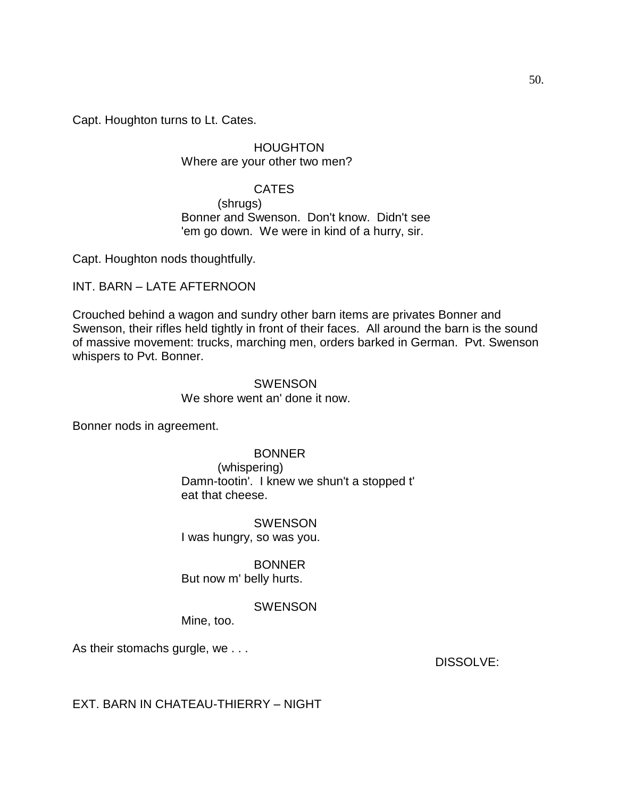Capt. Houghton turns to Lt. Cates.

HOUGHTON Where are your other two men?

### CATES

(shrugs) Bonner and Swenson. Don't know. Didn't see 'em go down. We were in kind of a hurry, sir.

Capt. Houghton nods thoughtfully.

### INT. BARN – LATE AFTERNOON

Crouched behind a wagon and sundry other barn items are privates Bonner and Swenson, their rifles held tightly in front of their faces. All around the barn is the sound of massive movement: trucks, marching men, orders barked in German. Pvt. Swenson whispers to Pvt. Bonner.

### SWENSON We shore went an' done it now.

Bonner nods in agreement.

### BONNER

(whispering) Damn-tootin'. I knew we shun't a stopped t' eat that cheese.

### **SWENSON** I was hungry, so was you.

BONNER But now m' belly hurts.

### **SWENSON**

Mine, too.

As their stomachs gurgle, we . . .

DISSOLVE:

# EXT. BARN IN CHATEAU-THIERRY – NIGHT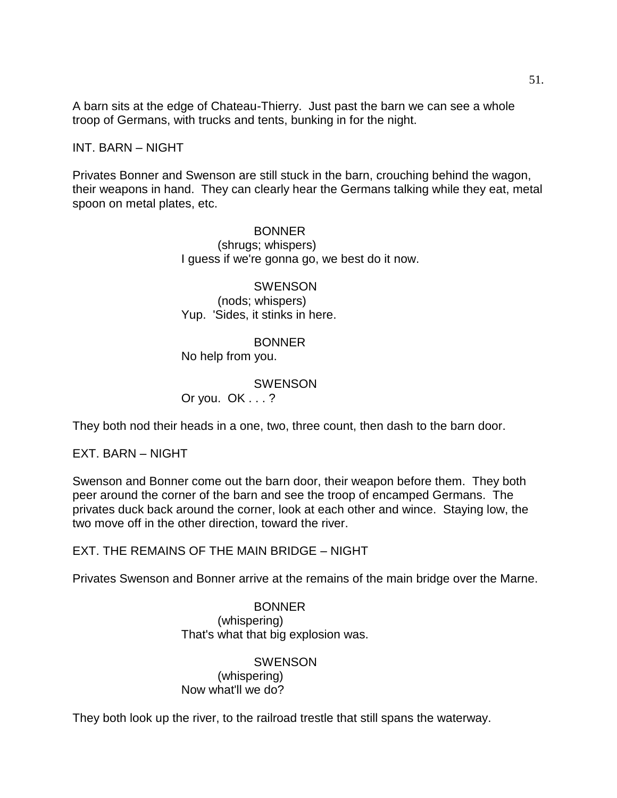A barn sits at the edge of Chateau-Thierry. Just past the barn we can see a whole troop of Germans, with trucks and tents, bunking in for the night.

#### INT. BARN – NIGHT

Privates Bonner and Swenson are still stuck in the barn, crouching behind the wagon, their weapons in hand. They can clearly hear the Germans talking while they eat, metal spoon on metal plates, etc.

#### BONNER

(shrugs; whispers) I guess if we're gonna go, we best do it now.

**SWENSON** (nods; whispers) Yup. 'Sides, it stinks in here.

#### BONNER

No help from you.

#### **SWENSON** Or you. OK . . . ?

They both nod their heads in a one, two, three count, then dash to the barn door.

EXT. BARN – NIGHT

Swenson and Bonner come out the barn door, their weapon before them. They both peer around the corner of the barn and see the troop of encamped Germans. The privates duck back around the corner, look at each other and wince. Staying low, the two move off in the other direction, toward the river.

EXT. THE REMAINS OF THE MAIN BRIDGE – NIGHT

Privates Swenson and Bonner arrive at the remains of the main bridge over the Marne.

### BONNER (whispering) That's what that big explosion was.

#### **SWENSON** (whispering) Now what'll we do?

They both look up the river, to the railroad trestle that still spans the waterway.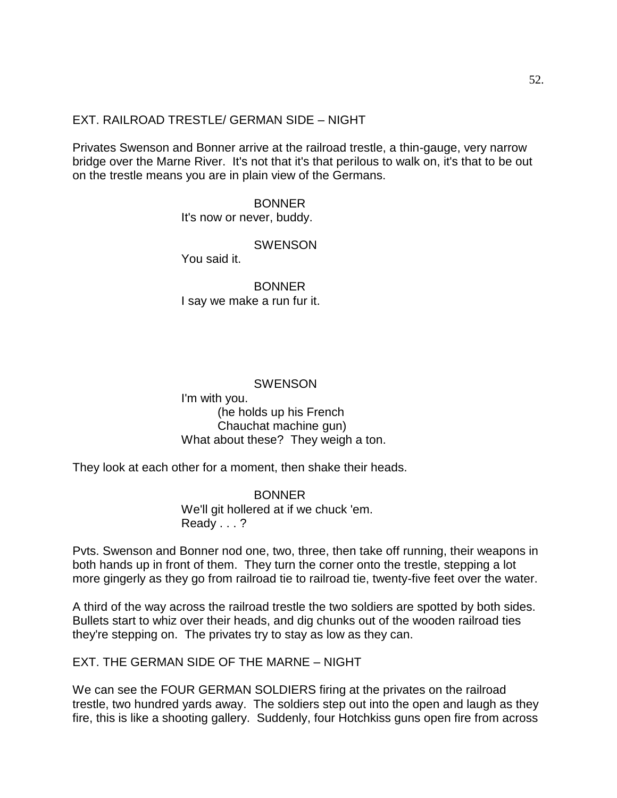### EXT. RAILROAD TRESTLE/ GERMAN SIDE – NIGHT

Privates Swenson and Bonner arrive at the railroad trestle, a thin-gauge, very narrow bridge over the Marne River. It's not that it's that perilous to walk on, it's that to be out on the trestle means you are in plain view of the Germans.

> BONNER It's now or never, buddy.

#### **SWENSON**

You said it.

BONNER I say we make a run fur it.

### SWENSON

I'm with you. (he holds up his French Chauchat machine gun) What about these? They weigh a ton.

They look at each other for a moment, then shake their heads.

BONNER We'll git hollered at if we chuck 'em. Ready . . . ?

Pvts. Swenson and Bonner nod one, two, three, then take off running, their weapons in both hands up in front of them. They turn the corner onto the trestle, stepping a lot more gingerly as they go from railroad tie to railroad tie, twenty-five feet over the water.

A third of the way across the railroad trestle the two soldiers are spotted by both sides. Bullets start to whiz over their heads, and dig chunks out of the wooden railroad ties they're stepping on. The privates try to stay as low as they can.

EXT. THE GERMAN SIDE OF THE MARNE – NIGHT

We can see the FOUR GERMAN SOLDIERS firing at the privates on the railroad trestle, two hundred yards away. The soldiers step out into the open and laugh as they fire, this is like a shooting gallery. Suddenly, four Hotchkiss guns open fire from across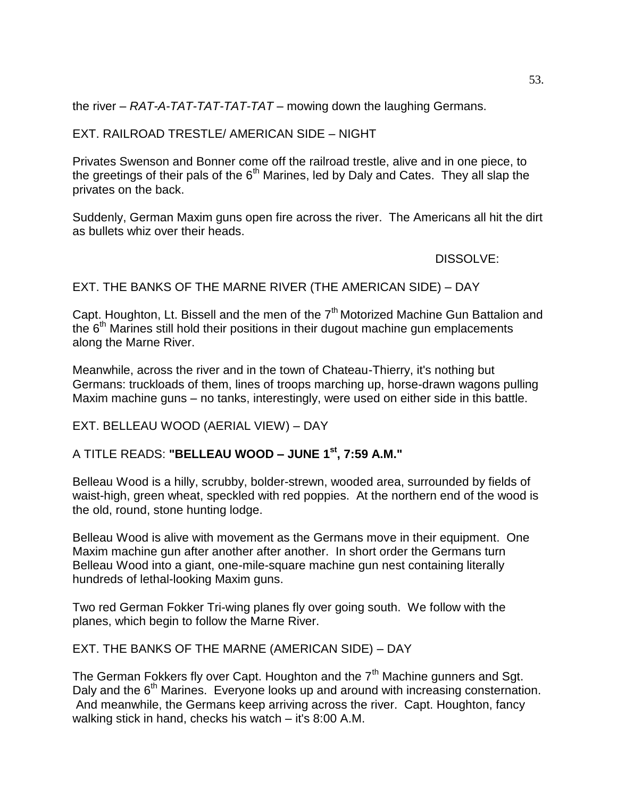the river – *RAT-A-TAT-TAT-TAT-TAT* – mowing down the laughing Germans.

### EXT. RAILROAD TRESTLE/ AMERICAN SIDE – NIGHT

Privates Swenson and Bonner come off the railroad trestle, alive and in one piece, to the greetings of their pals of the  $6<sup>th</sup>$  Marines, led by Daly and Cates. They all slap the privates on the back.

Suddenly, German Maxim guns open fire across the river. The Americans all hit the dirt as bullets whiz over their heads.

DISSOLVE:

EXT. THE BANKS OF THE MARNE RIVER (THE AMERICAN SIDE) – DAY

Capt. Houghton, Lt. Bissell and the men of the  $7<sup>th</sup>$  Motorized Machine Gun Battalion and the  $6<sup>th</sup>$  Marines still hold their positions in their dugout machine gun emplacements along the Marne River.

Meanwhile, across the river and in the town of Chateau-Thierry, it's nothing but Germans: truckloads of them, lines of troops marching up, horse-drawn wagons pulling Maxim machine guns – no tanks, interestingly, were used on either side in this battle.

# EXT. BELLEAU WOOD (AERIAL VIEW) – DAY

# A TITLE READS: **"BELLEAU WOOD – JUNE 1st, 7:59 A.M."**

Belleau Wood is a hilly, scrubby, bolder-strewn, wooded area, surrounded by fields of waist-high, green wheat, speckled with red poppies. At the northern end of the wood is the old, round, stone hunting lodge.

Belleau Wood is alive with movement as the Germans move in their equipment. One Maxim machine gun after another after another. In short order the Germans turn Belleau Wood into a giant, one-mile-square machine gun nest containing literally hundreds of lethal-looking Maxim guns.

Two red German Fokker Tri-wing planes fly over going south. We follow with the planes, which begin to follow the Marne River.

EXT. THE BANKS OF THE MARNE (AMERICAN SIDE) – DAY

The German Fokkers fly over Capt. Houghton and the  $7<sup>th</sup>$  Machine gunners and Sgt. Daly and the  $6<sup>th</sup>$  Marines. Everyone looks up and around with increasing consternation. And meanwhile, the Germans keep arriving across the river. Capt. Houghton, fancy walking stick in hand, checks his watch – it's 8:00 A.M.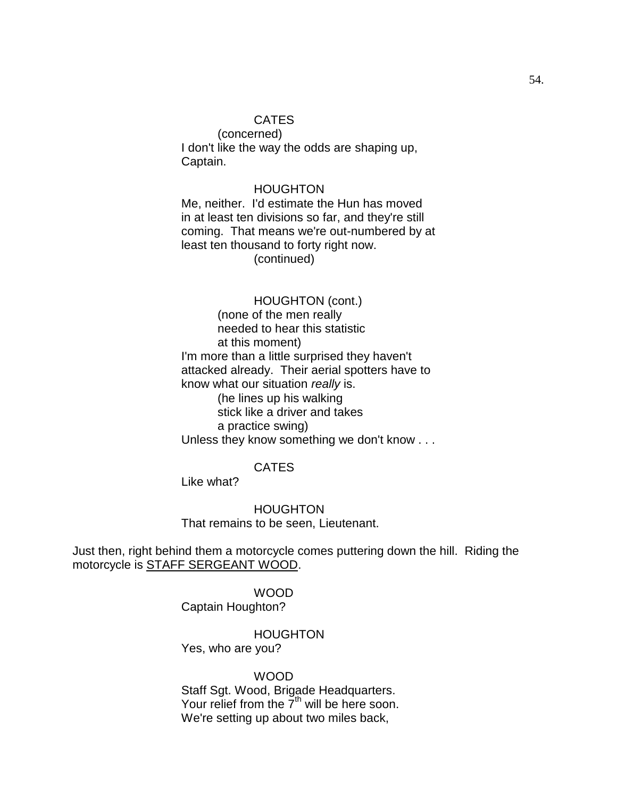### CATES

(concerned) I don't like the way the odds are shaping up, Captain.

#### HOUGHTON

Me, neither. I'd estimate the Hun has moved in at least ten divisions so far, and they're still coming. That means we're out-numbered by at least ten thousand to forty right now. (continued)

#### HOUGHTON (cont.)

(none of the men really needed to hear this statistic at this moment) I'm more than a little surprised they haven't attacked already. Their aerial spotters have to know what our situation *really* is. (he lines up his walking stick like a driver and takes a practice swing) Unless they know something we don't know . . .

### CATES

Like what?

HOUGHTON That remains to be seen, Lieutenant.

Just then, right behind them a motorcycle comes puttering down the hill. Riding the motorcycle is STAFF SERGEANT WOOD.

> WOOD Captain Houghton?

> > HOUGHTON

Yes, who are you?

WOOD Staff Sgt. Wood, Brigade Headquarters. Your relief from the  $7<sup>th</sup>$  will be here soon. We're setting up about two miles back,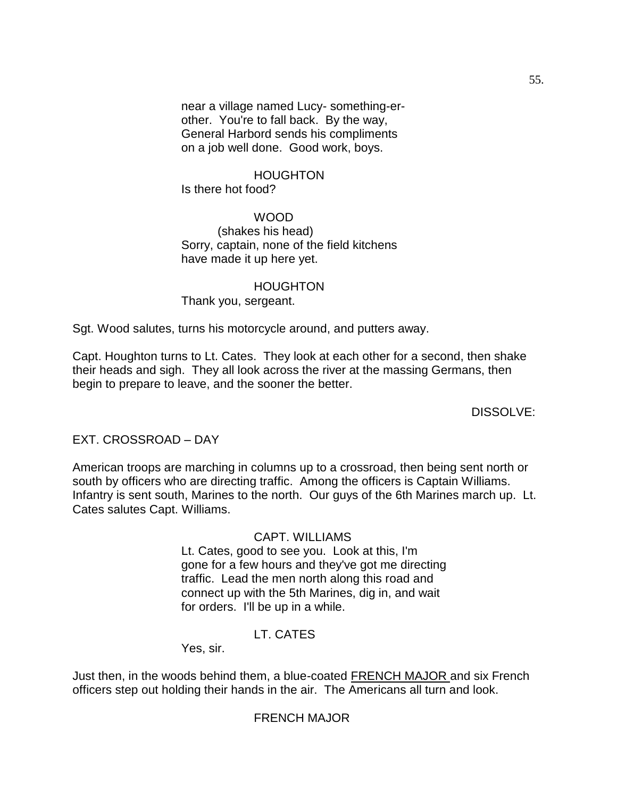near a village named Lucy- something-erother. You're to fall back. By the way, General Harbord sends his compliments on a job well done. Good work, boys.

### HOUGHTON Is there hot food?

### WOOD

(shakes his head) Sorry, captain, none of the field kitchens have made it up here yet.

# HOUGHTON Thank you, sergeant.

Sgt. Wood salutes, turns his motorcycle around, and putters away.

Capt. Houghton turns to Lt. Cates. They look at each other for a second, then shake their heads and sigh. They all look across the river at the massing Germans, then begin to prepare to leave, and the sooner the better.

DISSOLVE:

EXT. CROSSROAD – DAY

American troops are marching in columns up to a crossroad, then being sent north or south by officers who are directing traffic. Among the officers is Captain Williams. Infantry is sent south, Marines to the north. Our guys of the 6th Marines march up. Lt. Cates salutes Capt. Williams.

### CAPT. WILLIAMS

Lt. Cates, good to see you. Look at this, I'm gone for a few hours and they've got me directing traffic. Lead the men north along this road and connect up with the 5th Marines, dig in, and wait for orders. I'll be up in a while.

# LT. CATES

Yes, sir.

Just then, in the woods behind them, a blue-coated FRENCH MAJOR and six French officers step out holding their hands in the air. The Americans all turn and look.

# FRENCH MAJOR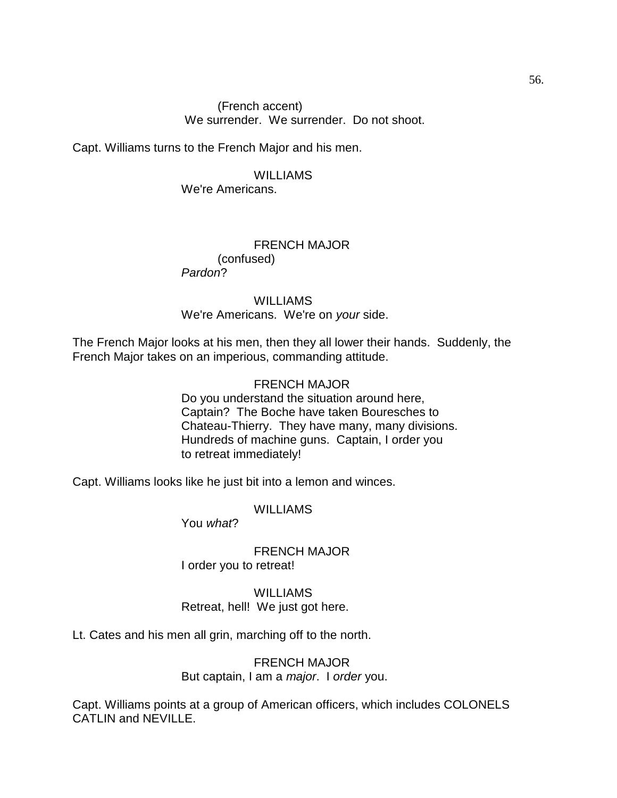### (French accent) We surrender. We surrender. Do not shoot.

Capt. Williams turns to the French Major and his men.

#### WILLIAMS

We're Americans.

# FRENCH MAJOR (confused)

*Pardon*?

### WILLIAMS We're Americans. We're on *your* side.

The French Major looks at his men, then they all lower their hands. Suddenly, the French Major takes on an imperious, commanding attitude.

### FRENCH MAJOR

Do you understand the situation around here, Captain? The Boche have taken Bouresches to Chateau-Thierry. They have many, many divisions. Hundreds of machine guns. Captain, I order you to retreat immediately!

Capt. Williams looks like he just bit into a lemon and winces.

### WILLIAMS

You *what*?

FRENCH MAJOR I order you to retreat!

# WILLIAMS Retreat, hell! We just got here.

Lt. Cates and his men all grin, marching off to the north.

### FRENCH MAJOR But captain, I am a *major*. I *order* you.

Capt. Williams points at a group of American officers, which includes COLONELS CATLIN and NEVILLE.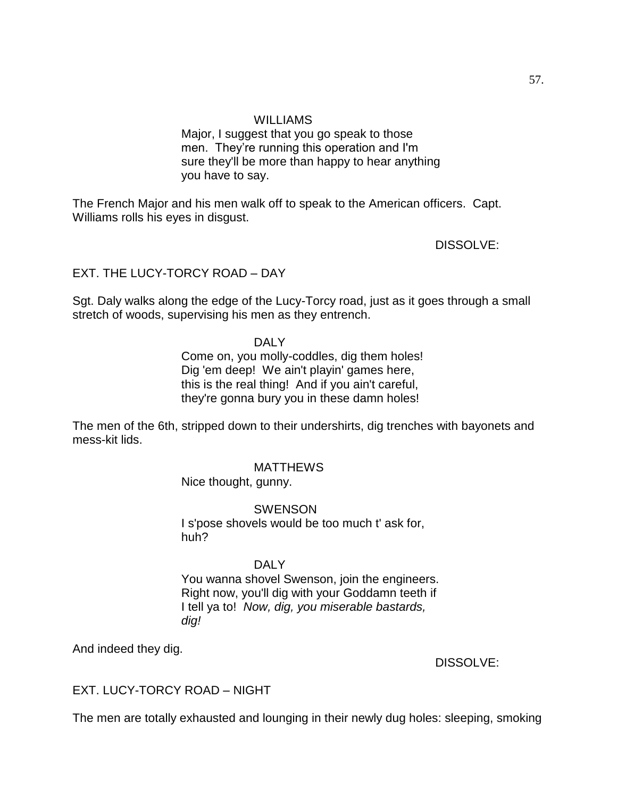### WILLIAMS

Major, I suggest that you go speak to those men. They're running this operation and I'm sure they'll be more than happy to hear anything you have to say.

The French Major and his men walk off to speak to the American officers. Capt. Williams rolls his eyes in disgust.

DISSOLVE:

# EXT. THE LUCY-TORCY ROAD – DAY

Sgt. Daly walks along the edge of the Lucy-Torcy road, just as it goes through a small stretch of woods, supervising his men as they entrench.

### DALY

Come on, you molly-coddles, dig them holes! Dig 'em deep! We ain't playin' games here, this is the real thing! And if you ain't careful, they're gonna bury you in these damn holes!

The men of the 6th, stripped down to their undershirts, dig trenches with bayonets and mess-kit lids.

### **MATTHEWS**

Nice thought, gunny.

#### SWENSON

I s'pose shovels would be too much t' ask for, huh?

#### DAI<sub>Y</sub>

You wanna shovel Swenson, join the engineers. Right now, you'll dig with your Goddamn teeth if I tell ya to! *Now, dig, you miserable bastards, dig!* 

And indeed they dig.

DISSOLVE:

# EXT. LUCY-TORCY ROAD – NIGHT

The men are totally exhausted and lounging in their newly dug holes: sleeping, smoking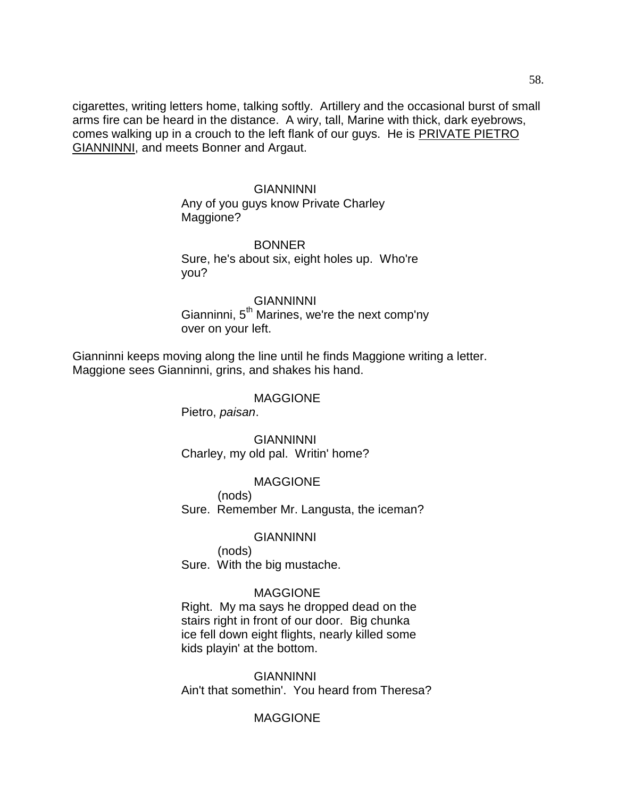cigarettes, writing letters home, talking softly. Artillery and the occasional burst of small arms fire can be heard in the distance. A wiry, tall, Marine with thick, dark eyebrows, comes walking up in a crouch to the left flank of our guys. He is PRIVATE PIETRO GIANNINNI, and meets Bonner and Argaut.

#### GIANNINNI

Any of you guys know Private Charley Maggione?

#### **BONNER**

Sure, he's about six, eight holes up. Who're you?

#### GIANNINNI

Gianninni, 5<sup>th</sup> Marines, we're the next comp'ny over on your left.

Gianninni keeps moving along the line until he finds Maggione writing a letter. Maggione sees Gianninni, grins, and shakes his hand.

#### MAGGIONE

Pietro, *paisan*.

GIANNINNI Charley, my old pal. Writin' home?

### MAGGIONE

(nods) Sure. Remember Mr. Langusta, the iceman?

#### GIANNINNI

(nods) Sure. With the big mustache.

#### MAGGIONE

Right. My ma says he dropped dead on the stairs right in front of our door. Big chunka ice fell down eight flights, nearly killed some kids playin' at the bottom.

GIANNINNI Ain't that somethin'. You heard from Theresa?

### MAGGIONE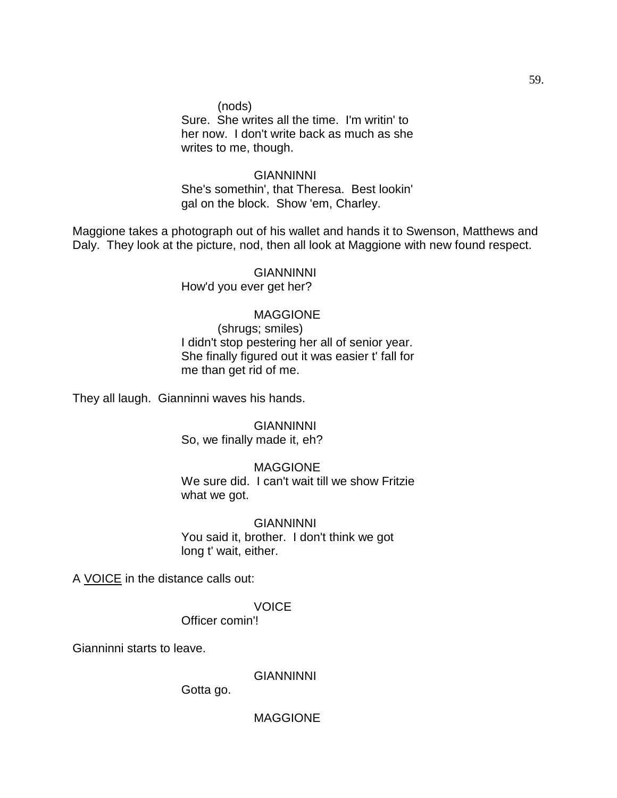(nods) Sure. She writes all the time. I'm writin' to her now. I don't write back as much as she writes to me, though.

GIANNINNI She's somethin', that Theresa. Best lookin' gal on the block. Show 'em, Charley.

Maggione takes a photograph out of his wallet and hands it to Swenson, Matthews and Daly. They look at the picture, nod, then all look at Maggione with new found respect.

> GIANNINNI How'd you ever get her?

#### MAGGIONE

(shrugs; smiles) I didn't stop pestering her all of senior year. She finally figured out it was easier t' fall for me than get rid of me.

They all laugh. Gianninni waves his hands.

GIANNINNI So, we finally made it, eh?

#### MAGGIONE

We sure did. I can't wait till we show Fritzie what we got.

**GIANNINNI** You said it, brother. I don't think we got long t' wait, either.

A VOICE in the distance calls out:

**VOICE** 

Officer comin'!

Gianninni starts to leave.

GIANNINNI

Gotta go.

59.

MAGGIONE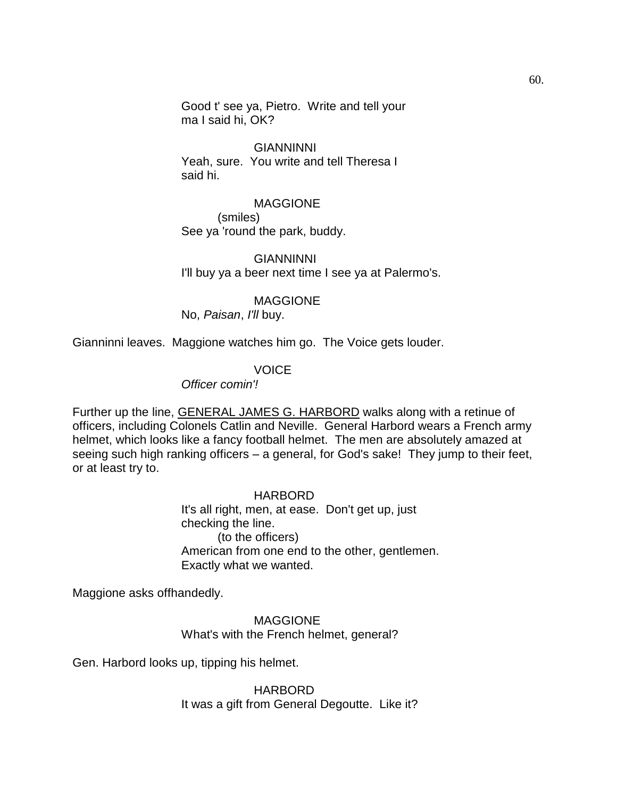Good t' see ya, Pietro. Write and tell your ma I said hi, OK?

#### GIANNINNI

Yeah, sure. You write and tell Theresa I said hi.

#### MAGGIONE

(smiles) See ya 'round the park, buddy.

#### GIANNINNI

I'll buy ya a beer next time I see ya at Palermo's.

#### MAGGIONE

No, *Paisan*, *I'll* buy.

Gianninni leaves. Maggione watches him go. The Voice gets louder.

### **VOICE**

*Officer comin'!*

Further up the line, GENERAL JAMES G. HARBORD walks along with a retinue of officers, including Colonels Catlin and Neville. General Harbord wears a French army helmet, which looks like a fancy football helmet. The men are absolutely amazed at seeing such high ranking officers – a general, for God's sake! They jump to their feet, or at least try to.

#### **HARBORD**

It's all right, men, at ease. Don't get up, just checking the line. (to the officers) American from one end to the other, gentlemen. Exactly what we wanted.

Maggione asks offhandedly.

MAGGIONE What's with the French helmet, general?

Gen. Harbord looks up, tipping his helmet.

HARBORD It was a gift from General Degoutte. Like it?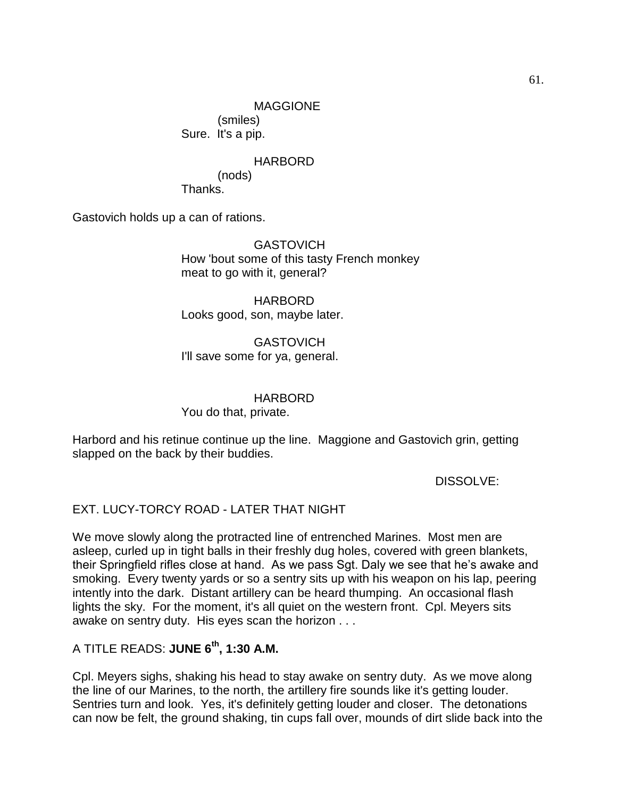(smiles) Sure. It's a pip.

# HARBORD

(nods) Thanks.

Gastovich holds up a can of rations.

**GASTOVICH** How 'bout some of this tasty French monkey meat to go with it, general?

HARBORD Looks good, son, maybe later.

GASTOVICH I'll save some for ya, general.

HARBORD

You do that, private.

Harbord and his retinue continue up the line. Maggione and Gastovich grin, getting slapped on the back by their buddies.

DISSOLVE:

# EXT. LUCY-TORCY ROAD - LATER THAT NIGHT

We move slowly along the protracted line of entrenched Marines. Most men are asleep, curled up in tight balls in their freshly dug holes, covered with green blankets, their Springfield rifles close at hand. As we pass Sgt. Daly we see that he's awake and smoking. Every twenty yards or so a sentry sits up with his weapon on his lap, peering intently into the dark. Distant artillery can be heard thumping. An occasional flash lights the sky. For the moment, it's all quiet on the western front. Cpl. Meyers sits awake on sentry duty. His eyes scan the horizon . . .

# A TITLE READS: **JUNE 6th, 1:30 A.M.**

Cpl. Meyers sighs, shaking his head to stay awake on sentry duty. As we move along the line of our Marines, to the north, the artillery fire sounds like it's getting louder. Sentries turn and look. Yes, it's definitely getting louder and closer. The detonations can now be felt, the ground shaking, tin cups fall over, mounds of dirt slide back into the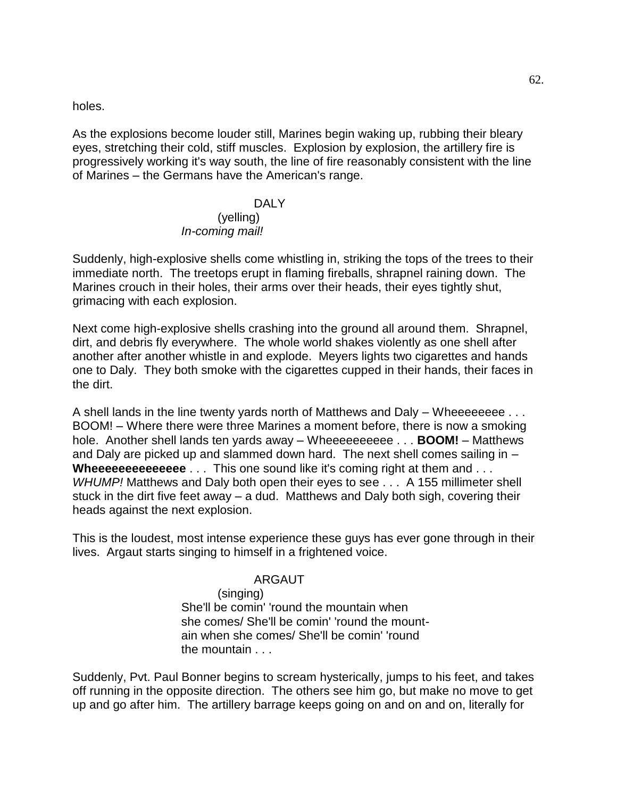holes.

As the explosions become louder still, Marines begin waking up, rubbing their bleary eyes, stretching their cold, stiff muscles. Explosion by explosion, the artillery fire is progressively working it's way south, the line of fire reasonably consistent with the line of Marines – the Germans have the American's range.

### DALY (yelling) *In-coming mail!*

Suddenly, high-explosive shells come whistling in, striking the tops of the trees to their immediate north. The treetops erupt in flaming fireballs, shrapnel raining down. The Marines crouch in their holes, their arms over their heads, their eyes tightly shut, grimacing with each explosion.

Next come high-explosive shells crashing into the ground all around them. Shrapnel, dirt, and debris fly everywhere. The whole world shakes violently as one shell after another after another whistle in and explode. Meyers lights two cigarettes and hands one to Daly. They both smoke with the cigarettes cupped in their hands, their faces in the dirt.

A shell lands in the line twenty yards north of Matthews and Daly – Wheeeeeeee . . . BOOM! – Where there were three Marines a moment before, there is now a smoking hole. Another shell lands ten yards away – Wheeeeeeeeee . . . **BOOM!** – Matthews and Daly are picked up and slammed down hard. The next shell comes sailing in – **Wheeeeeeeeeeeee** . . . This one sound like it's coming right at them and . . . *WHUMP!* Matthews and Daly both open their eyes to see . . . A 155 millimeter shell stuck in the dirt five feet away – a dud. Matthews and Daly both sigh, covering their heads against the next explosion.

This is the loudest, most intense experience these guys has ever gone through in their lives. Argaut starts singing to himself in a frightened voice.

### ARGAUT

(singing)

She'll be comin' 'round the mountain when she comes/ She'll be comin' 'round the mountain when she comes/ She'll be comin' 'round the mountain . . .

Suddenly, Pvt. Paul Bonner begins to scream hysterically, jumps to his feet, and takes off running in the opposite direction. The others see him go, but make no move to get up and go after him. The artillery barrage keeps going on and on and on, literally for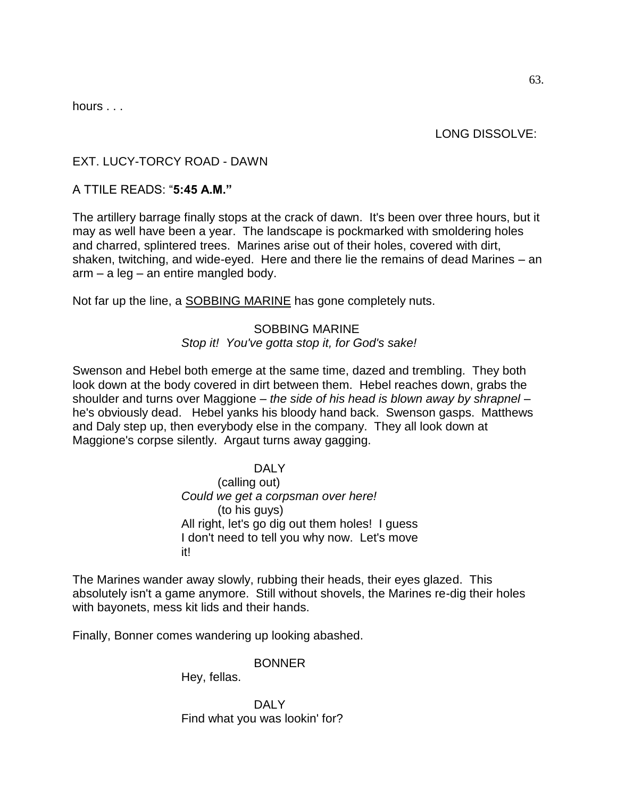hours . . .

LONG DISSOLVE:

# EXT. LUCY-TORCY ROAD - DAWN

# A TTILE READS: ―**5:45 A.M."**

The artillery barrage finally stops at the crack of dawn. It's been over three hours, but it may as well have been a year. The landscape is pockmarked with smoldering holes and charred, splintered trees. Marines arise out of their holes, covered with dirt, shaken, twitching, and wide-eyed. Here and there lie the remains of dead Marines – an arm – a leg – an entire mangled body.

Not far up the line, a **SOBBING MARINE** has gone completely nuts.

# SOBBING MARINE *Stop it! You've gotta stop it, for God's sake!*

Swenson and Hebel both emerge at the same time, dazed and trembling. They both look down at the body covered in dirt between them. Hebel reaches down, grabs the shoulder and turns over Maggione – *the side of his head is blown away by shrapnel* – he's obviously dead. Hebel yanks his bloody hand back. Swenson gasps. Matthews and Daly step up, then everybody else in the company. They all look down at Maggione's corpse silently. Argaut turns away gagging.

# DALY

(calling out) *Could we get a corpsman over here!* (to his guys) All right, let's go dig out them holes! I guess I don't need to tell you why now. Let's move it!

The Marines wander away slowly, rubbing their heads, their eyes glazed. This absolutely isn't a game anymore. Still without shovels, the Marines re-dig their holes with bayonets, mess kit lids and their hands.

Finally, Bonner comes wandering up looking abashed.

### BONNER

Hey, fellas.

DALY Find what you was lookin' for?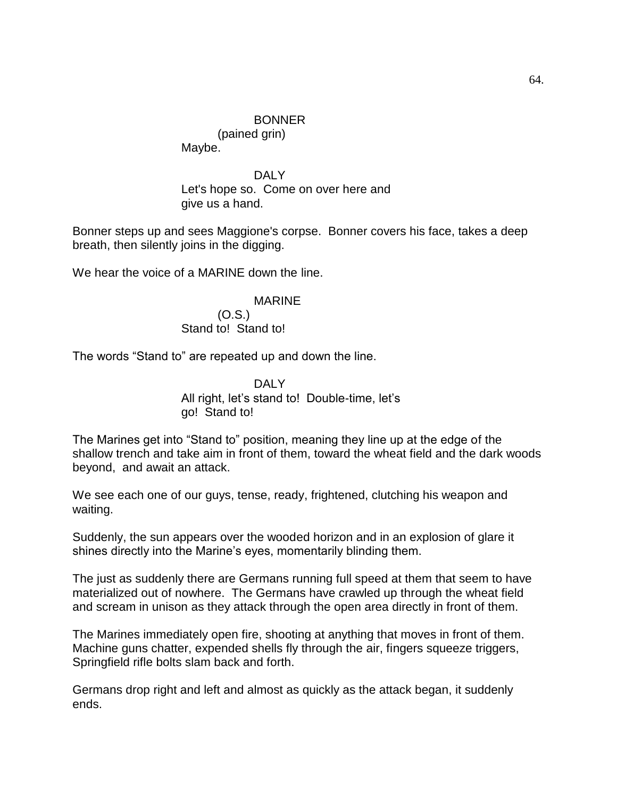(pained grin) Maybe.

DALY Let's hope so. Come on over here and give us a hand.

Bonner steps up and sees Maggione's corpse. Bonner covers his face, takes a deep breath, then silently joins in the digging.

We hear the voice of a MARINE down the line.

#### MARINE

(O.S.) Stand to! Stand to!

The words "Stand to" are repeated up and down the line.

DALY All right, let's stand to! Double-time, let's go! Stand to!

The Marines get into "Stand to" position, meaning they line up at the edge of the shallow trench and take aim in front of them, toward the wheat field and the dark woods beyond, and await an attack.

We see each one of our guys, tense, ready, frightened, clutching his weapon and waiting.

Suddenly, the sun appears over the wooded horizon and in an explosion of glare it shines directly into the Marine's eyes, momentarily blinding them.

The just as suddenly there are Germans running full speed at them that seem to have materialized out of nowhere. The Germans have crawled up through the wheat field and scream in unison as they attack through the open area directly in front of them.

The Marines immediately open fire, shooting at anything that moves in front of them. Machine guns chatter, expended shells fly through the air, fingers squeeze triggers, Springfield rifle bolts slam back and forth.

Germans drop right and left and almost as quickly as the attack began, it suddenly ends.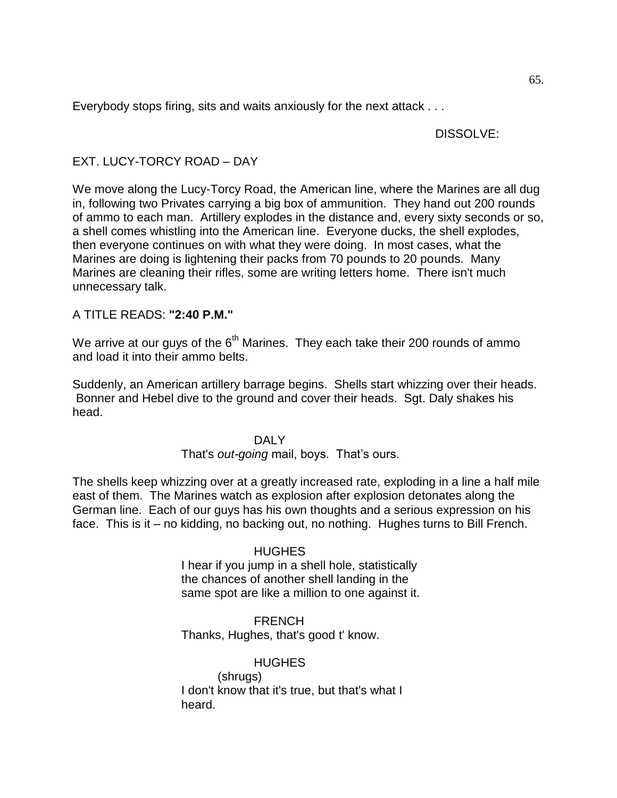Everybody stops firing, sits and waits anxiously for the next attack . . .

### DISSOLVE:

# EXT. LUCY-TORCY ROAD – DAY

We move along the Lucy-Torcy Road, the American line, where the Marines are all dug in, following two Privates carrying a big box of ammunition. They hand out 200 rounds of ammo to each man. Artillery explodes in the distance and, every sixty seconds or so, a shell comes whistling into the American line. Everyone ducks, the shell explodes, then everyone continues on with what they were doing. In most cases, what the Marines are doing is lightening their packs from 70 pounds to 20 pounds. Many Marines are cleaning their rifles, some are writing letters home. There isn't much unnecessary talk.

# A TITLE READS: **"2:40 P.M."**

We arrive at our guys of the  $6<sup>th</sup>$  Marines. They each take their 200 rounds of ammo and load it into their ammo belts.

Suddenly, an American artillery barrage begins. Shells start whizzing over their heads. Bonner and Hebel dive to the ground and cover their heads. Sgt. Daly shakes his head.

### DAI<sub>Y</sub>

# That's *out-going* mail, boys. That's ours.

The shells keep whizzing over at a greatly increased rate, exploding in a line a half mile east of them. The Marines watch as explosion after explosion detonates along the German line. Each of our guys has his own thoughts and a serious expression on his face. This is it – no kidding, no backing out, no nothing. Hughes turns to Bill French.

# **HUGHES**

I hear if you jump in a shell hole, statistically the chances of another shell landing in the same spot are like a million to one against it.

**FRENCH** Thanks, Hughes, that's good t' know.

**HUGHES** (shrugs) I don't know that it's true, but that's what I heard.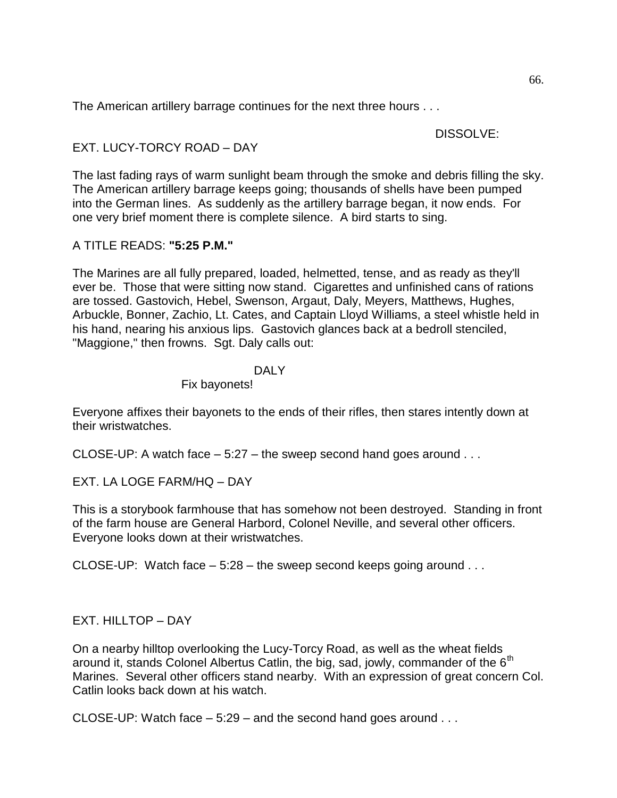The American artillery barrage continues for the next three hours . . .

### DISSOLVE:

EXT. LUCY-TORCY ROAD – DAY

The last fading rays of warm sunlight beam through the smoke and debris filling the sky. The American artillery barrage keeps going; thousands of shells have been pumped into the German lines. As suddenly as the artillery barrage began, it now ends. For one very brief moment there is complete silence. A bird starts to sing.

# A TITLE READS: **"5:25 P.M."**

The Marines are all fully prepared, loaded, helmetted, tense, and as ready as they'll ever be. Those that were sitting now stand. Cigarettes and unfinished cans of rations are tossed. Gastovich, Hebel, Swenson, Argaut, Daly, Meyers, Matthews, Hughes, Arbuckle, Bonner, Zachio, Lt. Cates, and Captain Lloyd Williams, a steel whistle held in his hand, nearing his anxious lips. Gastovich glances back at a bedroll stenciled, "Maggione," then frowns. Sgt. Daly calls out:

### DALY

Fix bayonets!

Everyone affixes their bayonets to the ends of their rifles, then stares intently down at their wristwatches.

CLOSE-UP: A watch face  $-5:27$  – the sweep second hand goes around ...

EXT. LA LOGE FARM/HQ – DAY

This is a storybook farmhouse that has somehow not been destroyed. Standing in front of the farm house are General Harbord, Colonel Neville, and several other officers. Everyone looks down at their wristwatches.

CLOSE-UP: Watch face  $-5:28$  – the sweep second keeps going around  $\dots$ 

# EXT. HILLTOP – DAY

On a nearby hilltop overlooking the Lucy-Torcy Road, as well as the wheat fields around it, stands Colonel Albertus Catlin, the big, sad, jowly, commander of the  $6<sup>th</sup>$ Marines. Several other officers stand nearby. With an expression of great concern Col. Catlin looks back down at his watch.

CLOSE-UP: Watch face  $-5:29$  – and the second hand goes around  $\ldots$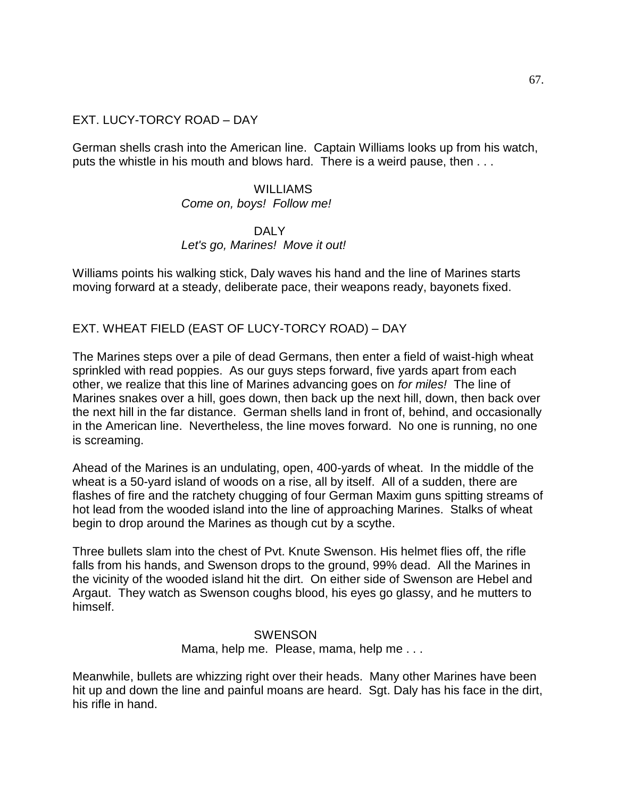### EXT. LUCY-TORCY ROAD – DAY

German shells crash into the American line. Captain Williams looks up from his watch, puts the whistle in his mouth and blows hard. There is a weird pause, then . . .

### WILLIAMS

#### *Come on, boys! Follow me!*

### DALY *Let's go, Marines! Move it out!*

Williams points his walking stick, Daly waves his hand and the line of Marines starts moving forward at a steady, deliberate pace, their weapons ready, bayonets fixed.

EXT. WHEAT FIELD (EAST OF LUCY-TORCY ROAD) – DAY

The Marines steps over a pile of dead Germans, then enter a field of waist-high wheat sprinkled with read poppies. As our guys steps forward, five yards apart from each other, we realize that this line of Marines advancing goes on *for miles!* The line of Marines snakes over a hill, goes down, then back up the next hill, down, then back over the next hill in the far distance. German shells land in front of, behind, and occasionally in the American line. Nevertheless, the line moves forward. No one is running, no one is screaming.

Ahead of the Marines is an undulating, open, 400-yards of wheat. In the middle of the wheat is a 50-yard island of woods on a rise, all by itself. All of a sudden, there are flashes of fire and the ratchety chugging of four German Maxim guns spitting streams of hot lead from the wooded island into the line of approaching Marines. Stalks of wheat begin to drop around the Marines as though cut by a scythe.

Three bullets slam into the chest of Pvt. Knute Swenson. His helmet flies off, the rifle falls from his hands, and Swenson drops to the ground, 99% dead. All the Marines in the vicinity of the wooded island hit the dirt. On either side of Swenson are Hebel and Argaut. They watch as Swenson coughs blood, his eyes go glassy, and he mutters to himself.

### **SWENSON** Mama, help me. Please, mama, help me . . .

Meanwhile, bullets are whizzing right over their heads. Many other Marines have been hit up and down the line and painful moans are heard. Sgt. Daly has his face in the dirt, his rifle in hand.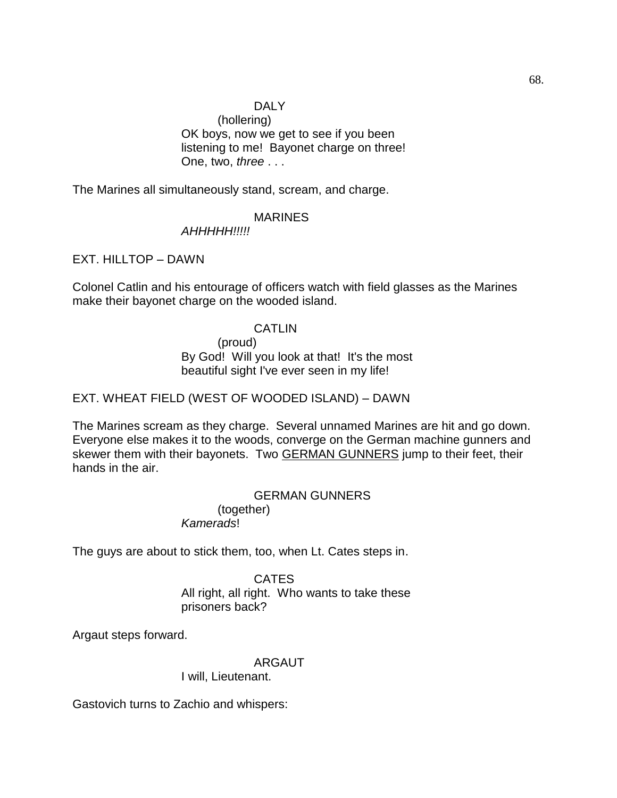# DALY

(hollering) OK boys, now we get to see if you been listening to me! Bayonet charge on three! One, two, *three* . . .

The Marines all simultaneously stand, scream, and charge.

### MARINES

*AHHHHH!!!!!*

EXT. HILLTOP – DAWN

Colonel Catlin and his entourage of officers watch with field glasses as the Marines make their bayonet charge on the wooded island.

### CATLIN

(proud) By God! Will you look at that! It's the most beautiful sight I've ever seen in my life!

### EXT. WHEAT FIELD (WEST OF WOODED ISLAND) – DAWN

The Marines scream as they charge. Several unnamed Marines are hit and go down. Everyone else makes it to the woods, converge on the German machine gunners and skewer them with their bayonets. Two **GERMAN GUNNERS** jump to their feet, their hands in the air.

### GERMAN GUNNERS (together)

*Kamerads*!

The guys are about to stick them, too, when Lt. Cates steps in.

#### **CATES**

All right, all right. Who wants to take these prisoners back?

Argaut steps forward.

### ARGAUT

I will, Lieutenant.

Gastovich turns to Zachio and whispers: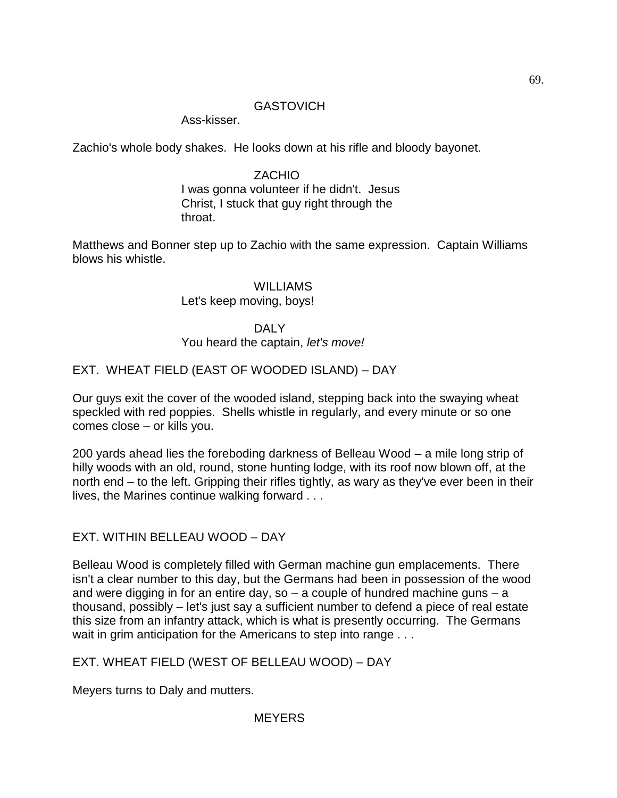### **GASTOVICH**

Ass-kisser.

Zachio's whole body shakes. He looks down at his rifle and bloody bayonet.

### ZACHIO

I was gonna volunteer if he didn't. Jesus Christ, I stuck that guy right through the throat.

Matthews and Bonner step up to Zachio with the same expression. Captain Williams blows his whistle.

### WILLIAMS Let's keep moving, boys!

# DALY

You heard the captain, *let's move!*

# EXT. WHEAT FIELD (EAST OF WOODED ISLAND) – DAY

Our guys exit the cover of the wooded island, stepping back into the swaying wheat speckled with red poppies. Shells whistle in regularly, and every minute or so one comes close – or kills you.

200 yards ahead lies the foreboding darkness of Belleau Wood – a mile long strip of hilly woods with an old, round, stone hunting lodge, with its roof now blown off, at the north end – to the left. Gripping their rifles tightly, as wary as they've ever been in their lives, the Marines continue walking forward . . .

# EXT. WITHIN BELLEAU WOOD – DAY

Belleau Wood is completely filled with German machine gun emplacements. There isn't a clear number to this day, but the Germans had been in possession of the wood and were digging in for an entire day, so – a couple of hundred machine guns – a thousand, possibly – let's just say a sufficient number to defend a piece of real estate this size from an infantry attack, which is what is presently occurring. The Germans wait in grim anticipation for the Americans to step into range . . .

EXT. WHEAT FIELD (WEST OF BELLEAU WOOD) – DAY

Meyers turns to Daly and mutters.

# **MEYERS**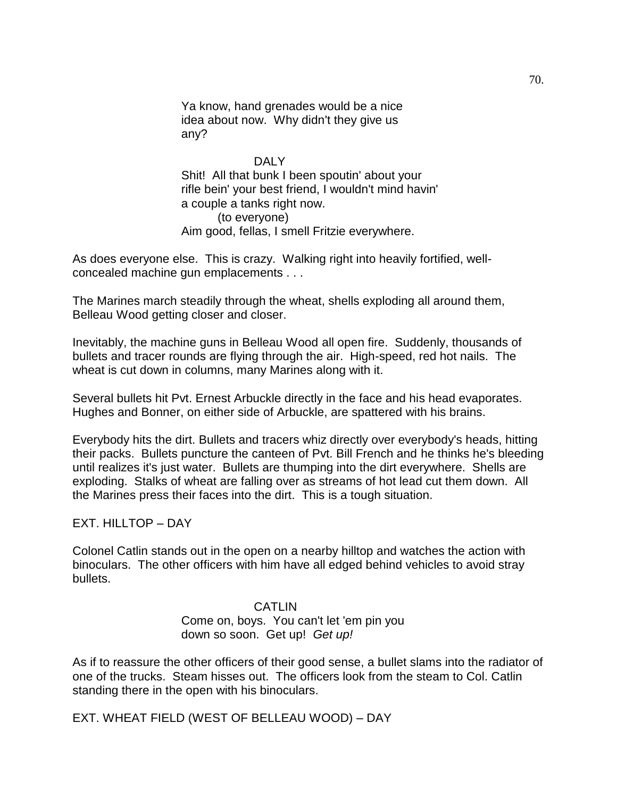Ya know, hand grenades would be a nice idea about now. Why didn't they give us any?

#### DAI<sub>Y</sub>

Shit! All that bunk I been spoutin' about your rifle bein' your best friend, I wouldn't mind havin' a couple a tanks right now. (to everyone) Aim good, fellas, I smell Fritzie everywhere.

As does everyone else. This is crazy. Walking right into heavily fortified, wellconcealed machine gun emplacements . . .

The Marines march steadily through the wheat, shells exploding all around them, Belleau Wood getting closer and closer.

Inevitably, the machine guns in Belleau Wood all open fire. Suddenly, thousands of bullets and tracer rounds are flying through the air. High-speed, red hot nails. The wheat is cut down in columns, many Marines along with it.

Several bullets hit Pvt. Ernest Arbuckle directly in the face and his head evaporates. Hughes and Bonner, on either side of Arbuckle, are spattered with his brains.

Everybody hits the dirt. Bullets and tracers whiz directly over everybody's heads, hitting their packs. Bullets puncture the canteen of Pvt. Bill French and he thinks he's bleeding until realizes it's just water. Bullets are thumping into the dirt everywhere. Shells are exploding. Stalks of wheat are falling over as streams of hot lead cut them down. All the Marines press their faces into the dirt. This is a tough situation.

EXT. HILLTOP – DAY

Colonel Catlin stands out in the open on a nearby hilltop and watches the action with binoculars. The other officers with him have all edged behind vehicles to avoid stray bullets.

### CATLIN

Come on, boys. You can't let 'em pin you down so soon. Get up! *Get up!*

As if to reassure the other officers of their good sense, a bullet slams into the radiator of one of the trucks. Steam hisses out. The officers look from the steam to Col. Catlin standing there in the open with his binoculars.

EXT. WHEAT FIELD (WEST OF BELLEAU WOOD) – DAY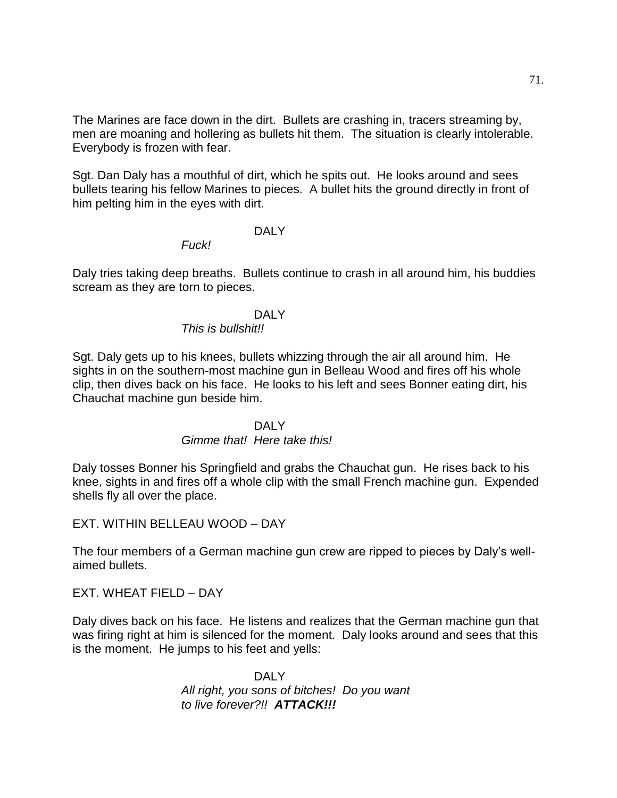The Marines are face down in the dirt. Bullets are crashing in, tracers streaming by, men are moaning and hollering as bullets hit them. The situation is clearly intolerable. Everybody is frozen with fear.

Sgt. Dan Daly has a mouthful of dirt, which he spits out. He looks around and sees bullets tearing his fellow Marines to pieces. A bullet hits the ground directly in front of him pelting him in the eyes with dirt.

#### DAI<sub>Y</sub>

*Fuck!* 

Daly tries taking deep breaths. Bullets continue to crash in all around him, his buddies scream as they are torn to pieces.

#### DALY

### *This is bullshit!!*

Sgt. Daly gets up to his knees, bullets whizzing through the air all around him. He sights in on the southern-most machine gun in Belleau Wood and fires off his whole clip, then dives back on his face. He looks to his left and sees Bonner eating dirt, his Chauchat machine gun beside him.

### DAI Y

#### *Gimme that! Here take this!*

Daly tosses Bonner his Springfield and grabs the Chauchat gun. He rises back to his knee, sights in and fires off a whole clip with the small French machine gun. Expended shells fly all over the place.

EXT. WITHIN BELLEAU WOOD – DAY

The four members of a German machine gun crew are ripped to pieces by Daly's wellaimed bullets.

EXT. WHEAT FIELD – DAY

Daly dives back on his face. He listens and realizes that the German machine gun that was firing right at him is silenced for the moment. Daly looks around and sees that this is the moment. He jumps to his feet and yells:

> DALY *All right, you sons of bitches! Do you want to live forever?!! ATTACK!!!*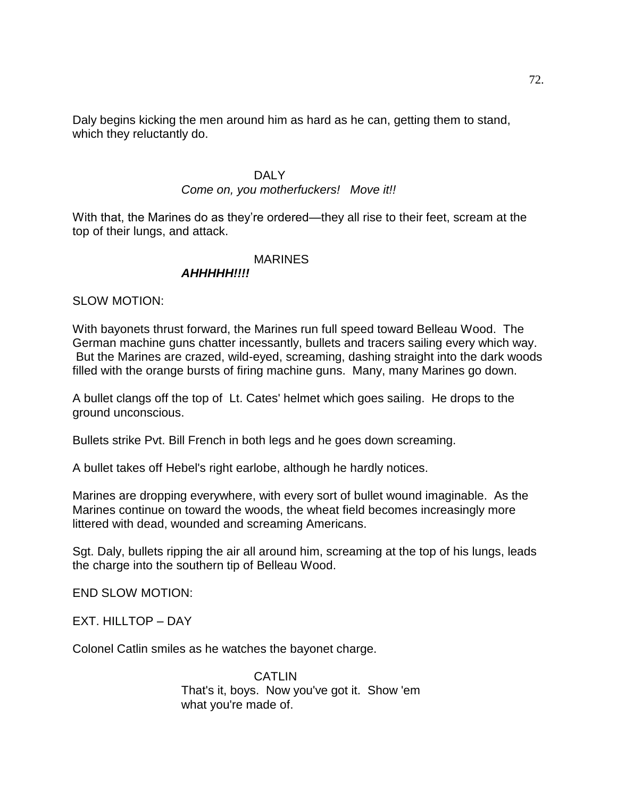Daly begins kicking the men around him as hard as he can, getting them to stand, which they reluctantly do.

#### DALY

### *Come on, you motherfuckers! Move it!!*

With that, the Marines do as they're ordered—they all rise to their feet, scream at the top of their lungs, and attack.

#### MARINES

### *AHHHHH!!!!*

SLOW MOTION:

With bayonets thrust forward, the Marines run full speed toward Belleau Wood. The German machine guns chatter incessantly, bullets and tracers sailing every which way. But the Marines are crazed, wild-eyed, screaming, dashing straight into the dark woods filled with the orange bursts of firing machine guns. Many, many Marines go down.

A bullet clangs off the top of Lt. Cates' helmet which goes sailing. He drops to the ground unconscious.

Bullets strike Pvt. Bill French in both legs and he goes down screaming.

A bullet takes off Hebel's right earlobe, although he hardly notices.

Marines are dropping everywhere, with every sort of bullet wound imaginable. As the Marines continue on toward the woods, the wheat field becomes increasingly more littered with dead, wounded and screaming Americans.

Sgt. Daly, bullets ripping the air all around him, screaming at the top of his lungs, leads the charge into the southern tip of Belleau Wood.

END SLOW MOTION:

EXT. HILLTOP – DAY

Colonel Catlin smiles as he watches the bayonet charge.

**CATLIN** That's it, boys. Now you've got it. Show 'em what you're made of.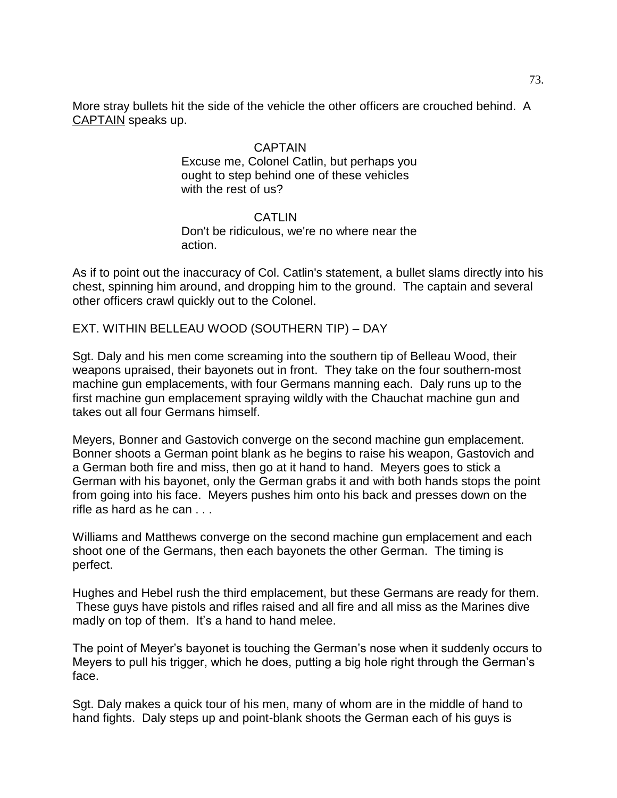More stray bullets hit the side of the vehicle the other officers are crouched behind. A CAPTAIN speaks up.

#### CAPTAIN

Excuse me, Colonel Catlin, but perhaps you ought to step behind one of these vehicles with the rest of us?

## CATLIN Don't be ridiculous, we're no where near the action.

As if to point out the inaccuracy of Col. Catlin's statement, a bullet slams directly into his chest, spinning him around, and dropping him to the ground. The captain and several other officers crawl quickly out to the Colonel.

EXT. WITHIN BELLEAU WOOD (SOUTHERN TIP) – DAY

Sgt. Daly and his men come screaming into the southern tip of Belleau Wood, their weapons upraised, their bayonets out in front. They take on the four southern-most machine gun emplacements, with four Germans manning each. Daly runs up to the first machine gun emplacement spraying wildly with the Chauchat machine gun and takes out all four Germans himself.

Meyers, Bonner and Gastovich converge on the second machine gun emplacement. Bonner shoots a German point blank as he begins to raise his weapon, Gastovich and a German both fire and miss, then go at it hand to hand. Meyers goes to stick a German with his bayonet, only the German grabs it and with both hands stops the point from going into his face. Meyers pushes him onto his back and presses down on the rifle as hard as he can . . .

Williams and Matthews converge on the second machine gun emplacement and each shoot one of the Germans, then each bayonets the other German. The timing is perfect.

Hughes and Hebel rush the third emplacement, but these Germans are ready for them. These guys have pistols and rifles raised and all fire and all miss as the Marines dive madly on top of them. It's a hand to hand melee.

The point of Meyer's bayonet is touching the German's nose when it suddenly occurs to Meyers to pull his trigger, which he does, putting a big hole right through the German's face.

Sgt. Daly makes a quick tour of his men, many of whom are in the middle of hand to hand fights. Daly steps up and point-blank shoots the German each of his guys is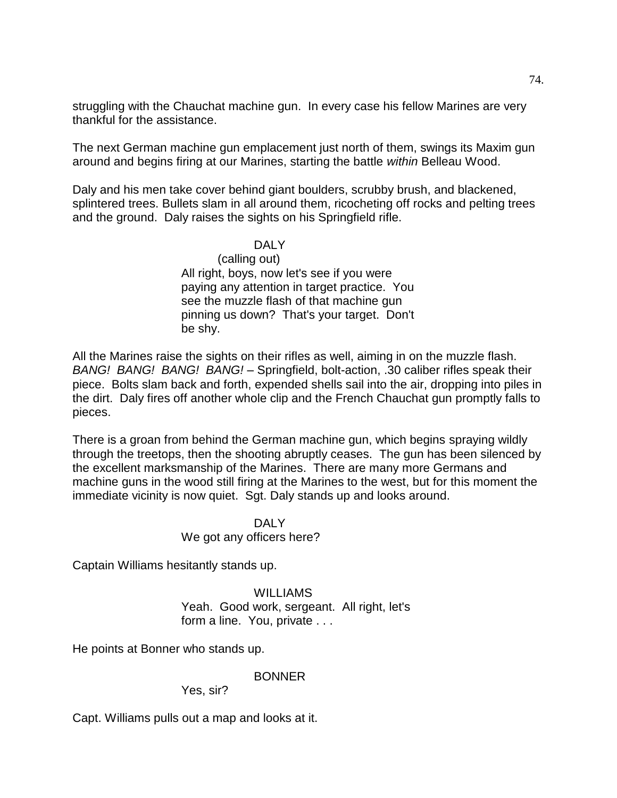struggling with the Chauchat machine gun. In every case his fellow Marines are very thankful for the assistance.

The next German machine gun emplacement just north of them, swings its Maxim gun around and begins firing at our Marines, starting the battle *within* Belleau Wood.

Daly and his men take cover behind giant boulders, scrubby brush, and blackened, splintered trees. Bullets slam in all around them, ricocheting off rocks and pelting trees and the ground. Daly raises the sights on his Springfield rifle.

# DALY

(calling out) All right, boys, now let's see if you were paying any attention in target practice. You see the muzzle flash of that machine gun pinning us down? That's your target. Don't be shy.

All the Marines raise the sights on their rifles as well, aiming in on the muzzle flash. *BANG! BANG! BANG! BANG!* – Springfield, bolt-action, .30 caliber rifles speak their piece. Bolts slam back and forth, expended shells sail into the air, dropping into piles in the dirt. Daly fires off another whole clip and the French Chauchat gun promptly falls to pieces.

There is a groan from behind the German machine gun, which begins spraying wildly through the treetops, then the shooting abruptly ceases. The gun has been silenced by the excellent marksmanship of the Marines. There are many more Germans and machine guns in the wood still firing at the Marines to the west, but for this moment the immediate vicinity is now quiet. Sgt. Daly stands up and looks around.

# DAI Y

## We got any officers here?

Captain Williams hesitantly stands up.

#### WILLIAMS Yeah. Good work, sergeant. All right, let's form a line. You, private . . .

He points at Bonner who stands up.

#### **BONNER**

Yes, sir?

Capt. Williams pulls out a map and looks at it.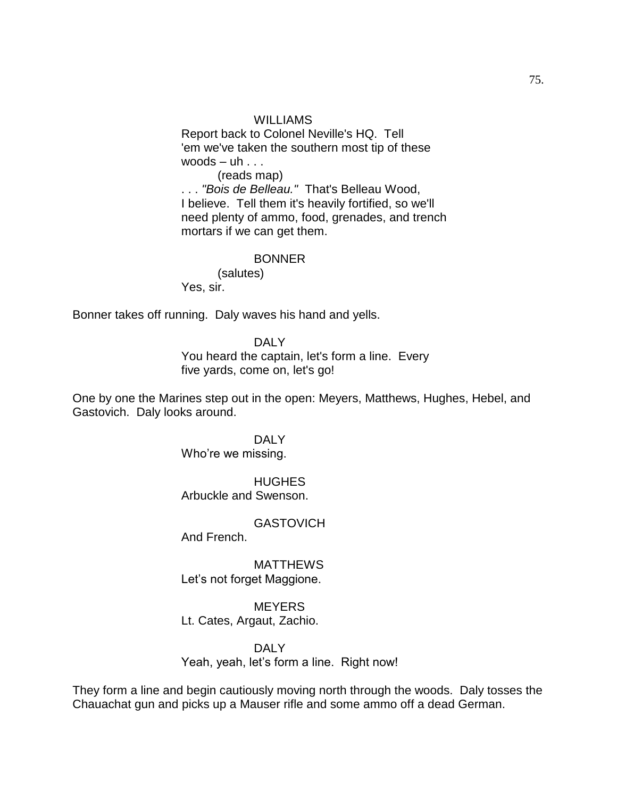#### WILLIAMS

Report back to Colonel Neville's HQ. Tell 'em we've taken the southern most tip of these woods  $-$  uh  $\ldots$ 

(reads map) . . . *"Bois de Belleau."* That's Belleau Wood, I believe. Tell them it's heavily fortified, so we'll need plenty of ammo, food, grenades, and trench mortars if we can get them.

#### BONNER

(salutes)

Yes, sir.

Bonner takes off running. Daly waves his hand and yells.

DALY You heard the captain, let's form a line. Every five yards, come on, let's go!

One by one the Marines step out in the open: Meyers, Matthews, Hughes, Hebel, and Gastovich. Daly looks around.

> DALY Who're we missing.

**HUGHES** Arbuckle and Swenson.

**GASTOVICH** 

And French.

MATTHEWS Let's not forget Maggione.

**MEYERS** Lt. Cates, Argaut, Zachio.

DALY Yeah, yeah, let's form a line. Right now!

They form a line and begin cautiously moving north through the woods. Daly tosses the Chauachat gun and picks up a Mauser rifle and some ammo off a dead German.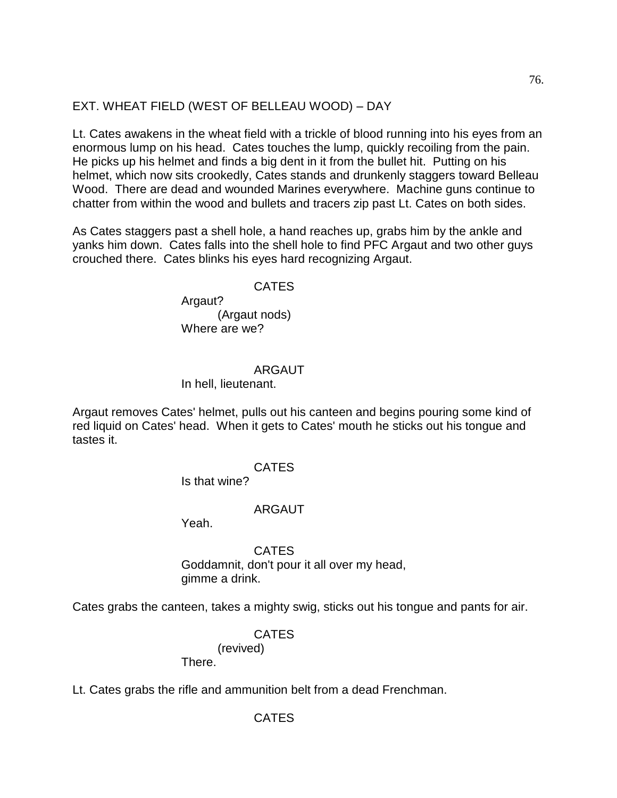# EXT. WHEAT FIELD (WEST OF BELLEAU WOOD) – DAY

Lt. Cates awakens in the wheat field with a trickle of blood running into his eyes from an enormous lump on his head. Cates touches the lump, quickly recoiling from the pain. He picks up his helmet and finds a big dent in it from the bullet hit. Putting on his helmet, which now sits crookedly, Cates stands and drunkenly staggers toward Belleau Wood. There are dead and wounded Marines everywhere. Machine guns continue to chatter from within the wood and bullets and tracers zip past Lt. Cates on both sides.

As Cates staggers past a shell hole, a hand reaches up, grabs him by the ankle and yanks him down. Cates falls into the shell hole to find PFC Argaut and two other guys crouched there. Cates blinks his eyes hard recognizing Argaut.

#### CATES

Argaut? (Argaut nods) Where are we?

#### ARGAUT

#### In hell, lieutenant.

Argaut removes Cates' helmet, pulls out his canteen and begins pouring some kind of red liquid on Cates' head. When it gets to Cates' mouth he sticks out his tongue and tastes it.

#### CATES

Is that wine?

#### ARGAUT

Yeah.

## CATES Goddamnit, don't pour it all over my head, gimme a drink.

Cates grabs the canteen, takes a mighty swig, sticks out his tongue and pants for air.

# CATES

(revived)

There.

Lt. Cates grabs the rifle and ammunition belt from a dead Frenchman.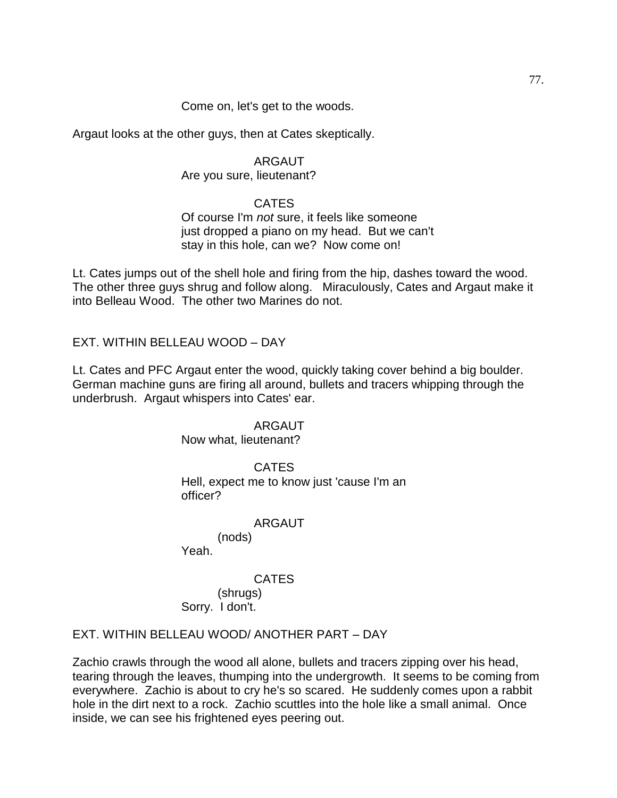## Come on, let's get to the woods.

Argaut looks at the other guys, then at Cates skeptically.

## ARGAUT

## Are you sure, lieutenant?

# CATES

## Of course I'm *not* sure, it feels like someone just dropped a piano on my head. But we can't stay in this hole, can we? Now come on!

Lt. Cates jumps out of the shell hole and firing from the hip, dashes toward the wood. The other three guys shrug and follow along. Miraculously, Cates and Argaut make it into Belleau Wood. The other two Marines do not.

EXT. WITHIN BELLEAU WOOD – DAY

Lt. Cates and PFC Argaut enter the wood, quickly taking cover behind a big boulder. German machine guns are firing all around, bullets and tracers whipping through the underbrush. Argaut whispers into Cates' ear.

#### ARGAUT

Now what, lieutenant?

CATES Hell, expect me to know just 'cause I'm an officer?

#### ARGAUT

(nods) Yeah.

## **CATES**

(shrugs) Sorry. I don't.

# EXT. WITHIN BELLEAU WOOD/ ANOTHER PART – DAY

Zachio crawls through the wood all alone, bullets and tracers zipping over his head, tearing through the leaves, thumping into the undergrowth. It seems to be coming from everywhere. Zachio is about to cry he's so scared. He suddenly comes upon a rabbit hole in the dirt next to a rock. Zachio scuttles into the hole like a small animal. Once inside, we can see his frightened eyes peering out.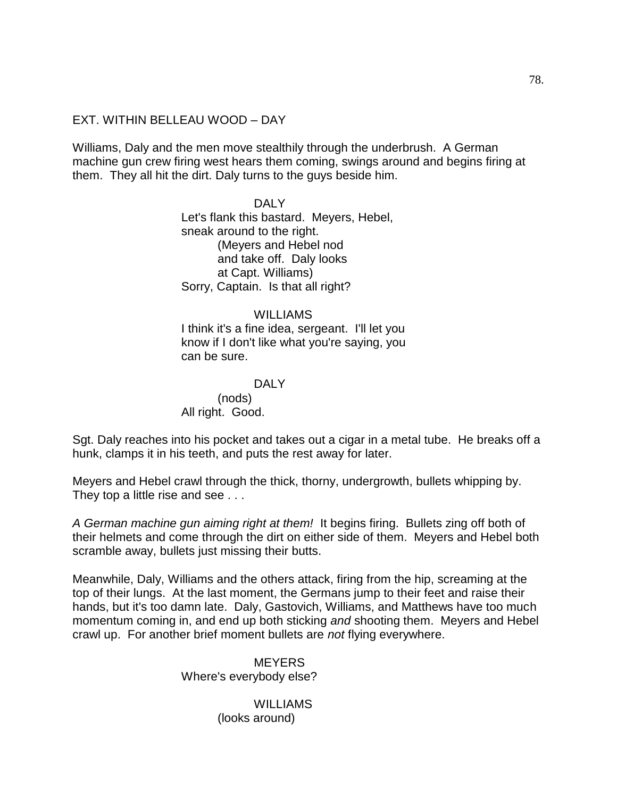## EXT. WITHIN BELLEAU WOOD – DAY

Williams, Daly and the men move stealthily through the underbrush. A German machine gun crew firing west hears them coming, swings around and begins firing at them. They all hit the dirt. Daly turns to the guys beside him.

> DALY Let's flank this bastard. Meyers, Hebel, sneak around to the right. (Meyers and Hebel nod and take off. Daly looks at Capt. Williams) Sorry, Captain. Is that all right?

WILLIAMS I think it's a fine idea, sergeant. I'll let you know if I don't like what you're saying, you can be sure.

DALY (nods) All right. Good.

Sgt. Daly reaches into his pocket and takes out a cigar in a metal tube. He breaks off a hunk, clamps it in his teeth, and puts the rest away for later.

Meyers and Hebel crawl through the thick, thorny, undergrowth, bullets whipping by. They top a little rise and see . . .

*A German machine gun aiming right at them!* It begins firing. Bullets zing off both of their helmets and come through the dirt on either side of them. Meyers and Hebel both scramble away, bullets just missing their butts.

Meanwhile, Daly, Williams and the others attack, firing from the hip, screaming at the top of their lungs. At the last moment, the Germans jump to their feet and raise their hands, but it's too damn late. Daly, Gastovich, Williams, and Matthews have too much momentum coming in, and end up both sticking *and* shooting them. Meyers and Hebel crawl up. For another brief moment bullets are *not* flying everywhere.

> **MEYERS** Where's everybody else?

> > WILLIAMS (looks around)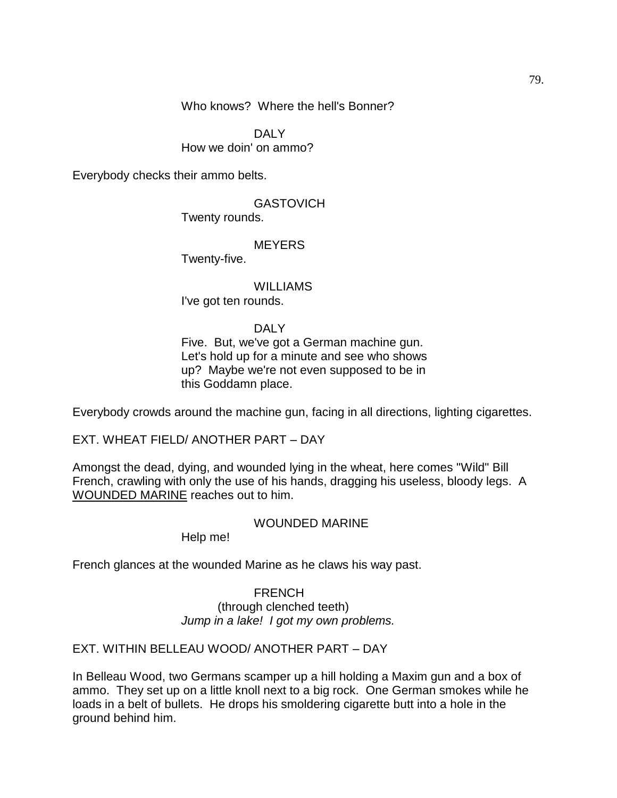Who knows? Where the hell's Bonner?

DALY How we doin' on ammo?

Everybody checks their ammo belts.

# **GASTOVICH**

Twenty rounds.

# **MEYERS**

Twenty-five.

**WILLIAMS** I've got ten rounds.

#### DALY

Five. But, we've got a German machine gun. Let's hold up for a minute and see who shows up? Maybe we're not even supposed to be in this Goddamn place.

Everybody crowds around the machine gun, facing in all directions, lighting cigarettes.

EXT. WHEAT FIELD/ ANOTHER PART – DAY

Amongst the dead, dying, and wounded lying in the wheat, here comes "Wild" Bill French, crawling with only the use of his hands, dragging his useless, bloody legs. A WOUNDED MARINE reaches out to him.

#### WOUNDED MARINE

Help me!

French glances at the wounded Marine as he claws his way past.

#### FRENCH

(through clenched teeth) *Jump in a lake! I got my own problems.*

# EXT. WITHIN BELLEAU WOOD/ ANOTHER PART – DAY

In Belleau Wood, two Germans scamper up a hill holding a Maxim gun and a box of ammo. They set up on a little knoll next to a big rock. One German smokes while he loads in a belt of bullets. He drops his smoldering cigarette butt into a hole in the ground behind him.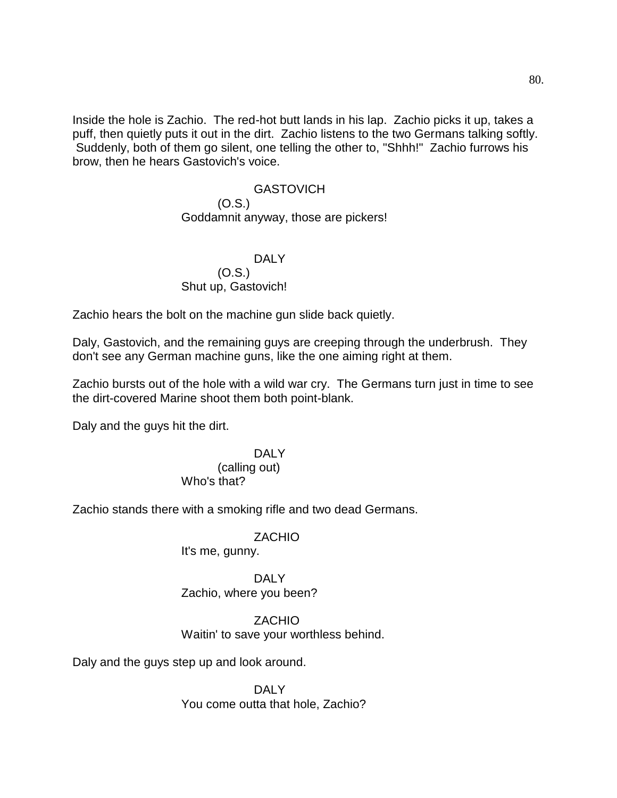Inside the hole is Zachio. The red-hot butt lands in his lap. Zachio picks it up, takes a puff, then quietly puts it out in the dirt. Zachio listens to the two Germans talking softly. Suddenly, both of them go silent, one telling the other to, "Shhh!" Zachio furrows his brow, then he hears Gastovich's voice.

#### **GASTOVICH**

#### (O.S.) Goddamnit anyway, those are pickers!

#### DALY (O.S.) Shut up, Gastovich!

Zachio hears the bolt on the machine gun slide back quietly.

Daly, Gastovich, and the remaining guys are creeping through the underbrush. They don't see any German machine guns, like the one aiming right at them.

Zachio bursts out of the hole with a wild war cry. The Germans turn just in time to see the dirt-covered Marine shoot them both point-blank.

Daly and the guys hit the dirt.

# DALY

#### (calling out) Who's that?

Zachio stands there with a smoking rifle and two dead Germans.

#### ZACHIO

It's me, gunny.

# DAI<sub>Y</sub> Zachio, where you been?

## ZACHIO Waitin' to save your worthless behind.

Daly and the guys step up and look around.

## DALY You come outta that hole, Zachio?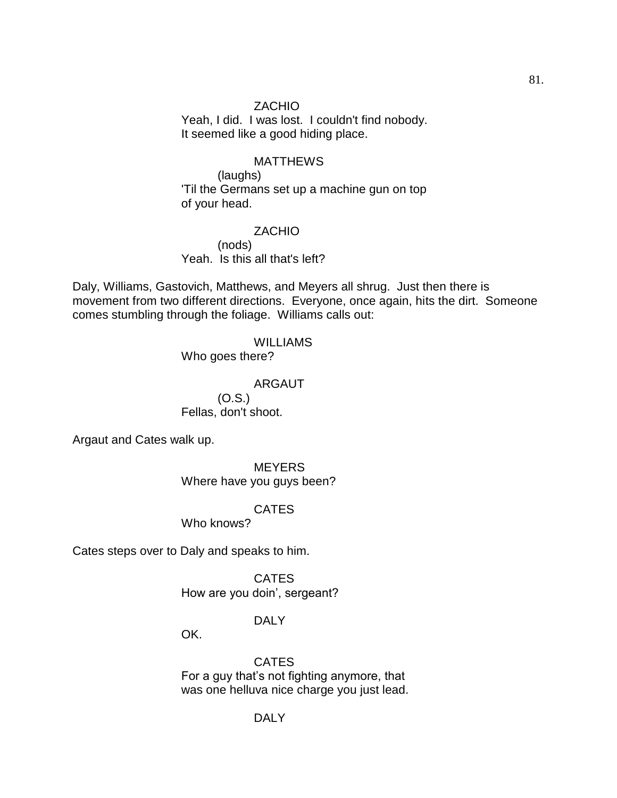**ZACHIO** Yeah, I did. I was lost. I couldn't find nobody. It seemed like a good hiding place.

#### MATTHEWS

(laughs) 'Til the Germans set up a machine gun on top of your head.

ZACHIO (nods) Yeah. Is this all that's left?

Daly, Williams, Gastovich, Matthews, and Meyers all shrug. Just then there is movement from two different directions. Everyone, once again, hits the dirt. Someone comes stumbling through the foliage. Williams calls out:

# WILLIAMS

Who goes there?

#### ARGAUT (O.S.)

Fellas, don't shoot.

Argaut and Cates walk up.

**MEYERS** Where have you guys been?

## CATES

Who knows?

Cates steps over to Daly and speaks to him.

**CATES** How are you doin', sergeant?

## DALY

OK.

CATES For a guy that's not fighting anymore, that was one helluva nice charge you just lead.

#### DALY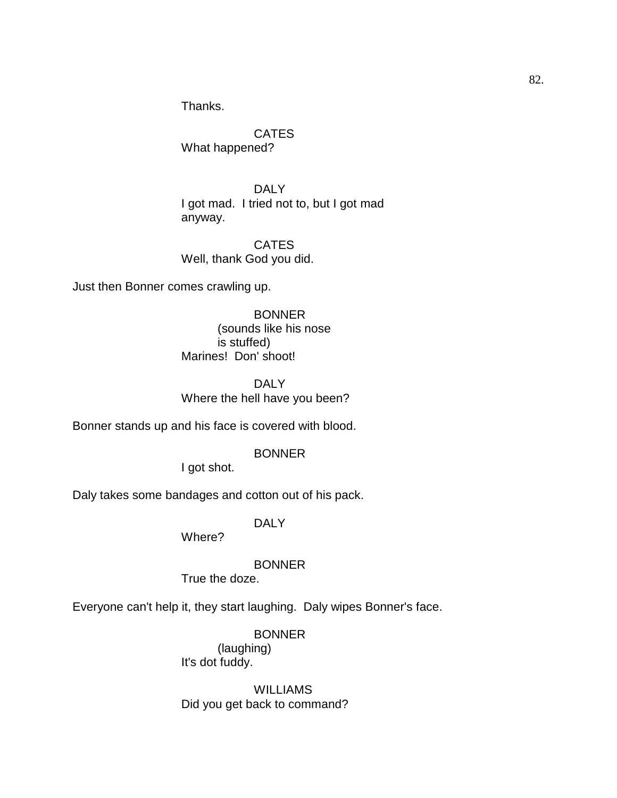Thanks.

**CATES** What happened?

DALY I got mad. I tried not to, but I got mad anyway.

**CATES** Well, thank God you did.

Just then Bonner comes crawling up.

BONNER (sounds like his nose is stuffed) Marines! Don' shoot!

DALY Where the hell have you been?

Bonner stands up and his face is covered with blood.

#### BONNER

I got shot.

Daly takes some bandages and cotton out of his pack.

DALY

Where?

BONNER

True the doze.

Everyone can't help it, they start laughing. Daly wipes Bonner's face.

BONNER

(laughing) It's dot fuddy.

WILLIAMS Did you get back to command?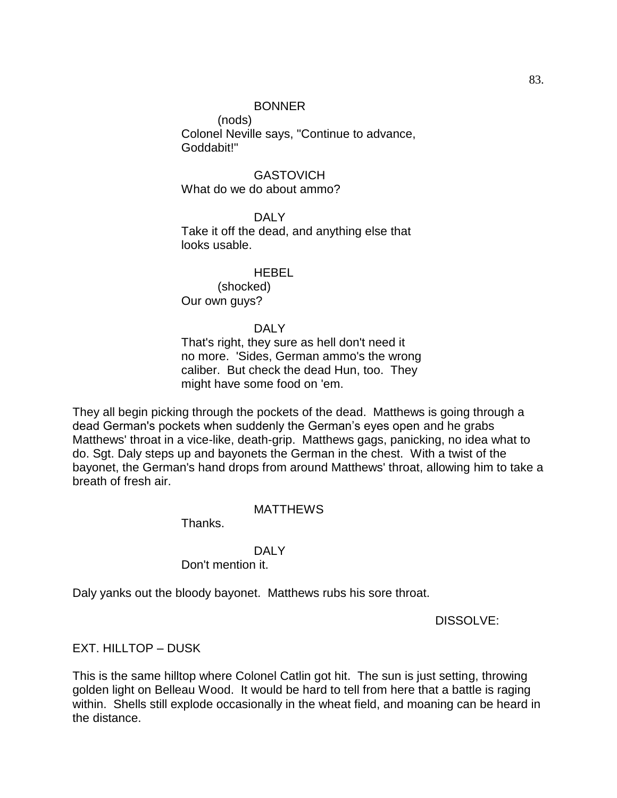## BONNER

(nods) Colonel Neville says, "Continue to advance, Goddabit!"

**GASTOVICH** What do we do about ammo?

DALY Take it off the dead, and anything else that looks usable.

#### HEBEL

(shocked) Our own guys?

#### DALY

That's right, they sure as hell don't need it no more. 'Sides, German ammo's the wrong caliber. But check the dead Hun, too. They might have some food on 'em.

They all begin picking through the pockets of the dead. Matthews is going through a dead German's pockets when suddenly the German's eyes open and he grabs Matthews' throat in a vice-like, death-grip. Matthews gags, panicking, no idea what to do. Sgt. Daly steps up and bayonets the German in the chest. With a twist of the bayonet, the German's hand drops from around Matthews' throat, allowing him to take a breath of fresh air.

#### **MATTHEWS**

Thanks.

#### DAI Y

Don't mention it.

Daly yanks out the bloody bayonet. Matthews rubs his sore throat.

DISSOLVE:

## EXT. HILLTOP – DUSK

This is the same hilltop where Colonel Catlin got hit. The sun is just setting, throwing golden light on Belleau Wood. It would be hard to tell from here that a battle is raging within. Shells still explode occasionally in the wheat field, and moaning can be heard in the distance.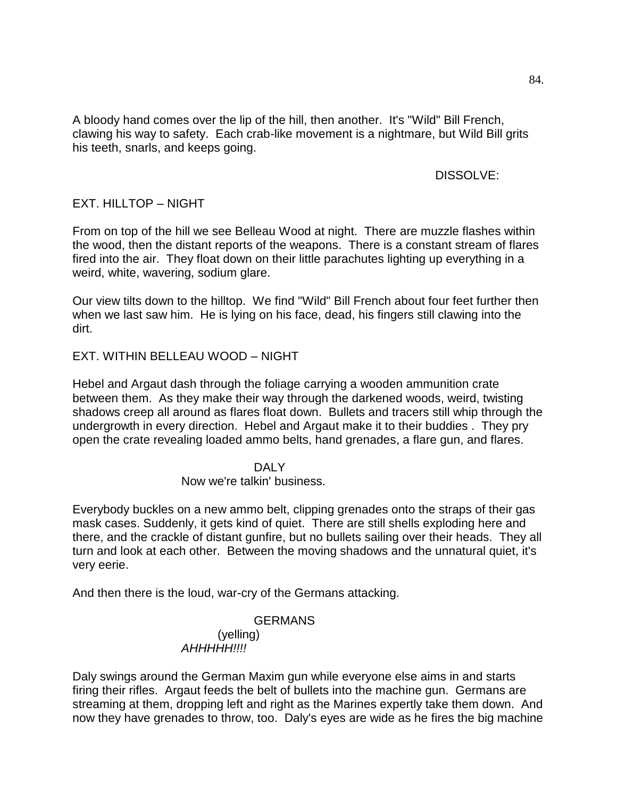# DISSOLVE:

# EXT. HILLTOP – NIGHT

From on top of the hill we see Belleau Wood at night. There are muzzle flashes within the wood, then the distant reports of the weapons. There is a constant stream of flares fired into the air. They float down on their little parachutes lighting up everything in a weird, white, wavering, sodium glare.

Our view tilts down to the hilltop. We find "Wild" Bill French about four feet further then when we last saw him. He is lying on his face, dead, his fingers still clawing into the dirt.

# EXT. WITHIN BELLEAU WOOD – NIGHT

Hebel and Argaut dash through the foliage carrying a wooden ammunition crate between them. As they make their way through the darkened woods, weird, twisting shadows creep all around as flares float down. Bullets and tracers still whip through the undergrowth in every direction. Hebel and Argaut make it to their buddies . They pry open the crate revealing loaded ammo belts, hand grenades, a flare gun, and flares.

## DAI<sub>Y</sub> Now we're talkin' business.

Everybody buckles on a new ammo belt, clipping grenades onto the straps of their gas mask cases. Suddenly, it gets kind of quiet. There are still shells exploding here and there, and the crackle of distant gunfire, but no bullets sailing over their heads. They all turn and look at each other. Between the moving shadows and the unnatural quiet, it's very eerie.

And then there is the loud, war-cry of the Germans attacking.

## GERMANS (yelling) *AHHHHH!!!!*

Daly swings around the German Maxim gun while everyone else aims in and starts firing their rifles. Argaut feeds the belt of bullets into the machine gun. Germans are streaming at them, dropping left and right as the Marines expertly take them down. And now they have grenades to throw, too. Daly's eyes are wide as he fires the big machine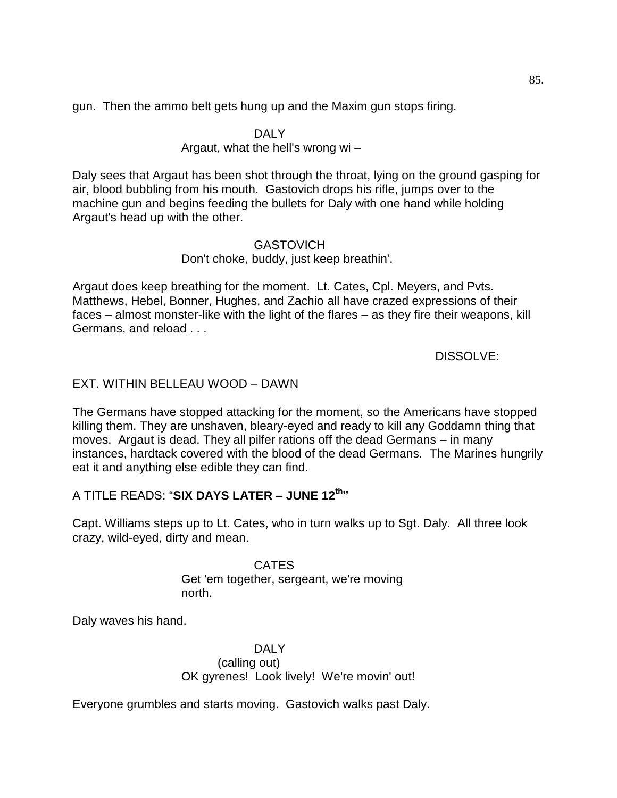gun. Then the ammo belt gets hung up and the Maxim gun stops firing.

## DALY

# Argaut, what the hell's wrong wi –

Daly sees that Argaut has been shot through the throat, lying on the ground gasping for air, blood bubbling from his mouth. Gastovich drops his rifle, jumps over to the machine gun and begins feeding the bullets for Daly with one hand while holding Argaut's head up with the other.

## GASTOVICH

# Don't choke, buddy, just keep breathin'.

Argaut does keep breathing for the moment. Lt. Cates, Cpl. Meyers, and Pvts. Matthews, Hebel, Bonner, Hughes, and Zachio all have crazed expressions of their faces – almost monster-like with the light of the flares – as they fire their weapons, kill Germans, and reload . . .

DISSOLVE:

# EXT. WITHIN BELLEAU WOOD – DAWN

The Germans have stopped attacking for the moment, so the Americans have stopped killing them. They are unshaven, bleary-eyed and ready to kill any Goddamn thing that moves. Argaut is dead. They all pilfer rations off the dead Germans – in many instances, hardtack covered with the blood of the dead Germans. The Marines hungrily eat it and anything else edible they can find.

# A TITLE READS: ―**SIX DAYS LATER – JUNE 12th"**

Capt. Williams steps up to Lt. Cates, who in turn walks up to Sgt. Daly. All three look crazy, wild-eyed, dirty and mean.

> CATES Get 'em together, sergeant, we're moving north.

Daly waves his hand.

DALY (calling out) OK gyrenes! Look lively! We're movin' out!

Everyone grumbles and starts moving. Gastovich walks past Daly.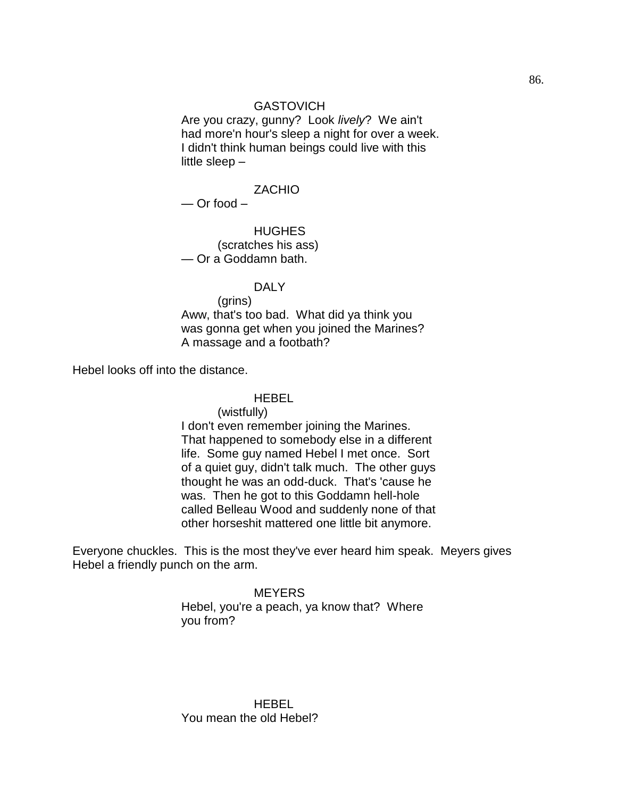#### **GASTOVICH**

Are you crazy, gunny? Look *lively*? We ain't had more'n hour's sleep a night for over a week. I didn't think human beings could live with this little sleep –

#### ZACHIO

— Or food –

HUGHES (scratches his ass) — Or a Goddamn bath.

#### DALY

(grins) Aww, that's too bad. What did ya think you was gonna get when you joined the Marines? A massage and a footbath?

Hebel looks off into the distance.

#### HEBEL

(wistfully)

I don't even remember joining the Marines. That happened to somebody else in a different life. Some guy named Hebel I met once. Sort of a quiet guy, didn't talk much. The other guys thought he was an odd-duck. That's 'cause he was. Then he got to this Goddamn hell-hole called Belleau Wood and suddenly none of that other horseshit mattered one little bit anymore.

Everyone chuckles. This is the most they've ever heard him speak. Meyers gives Hebel a friendly punch on the arm.

#### **MEYERS**

Hebel, you're a peach, ya know that? Where you from?

HEBEL You mean the old Hebel?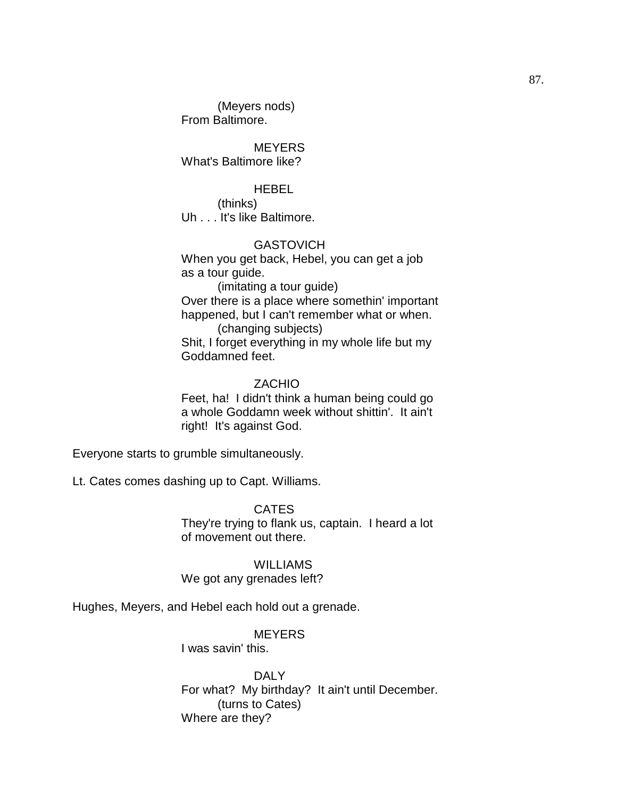(Meyers nods) From Baltimore.

**MEYERS** What's Baltimore like?

## HEBEL

(thinks) Uh . . . It's like Baltimore.

## **GASTOVICH**

When you get back, Hebel, you can get a job as a tour guide.

(imitating a tour guide) Over there is a place where somethin' important happened, but I can't remember what or when. (changing subjects)

Shit, I forget everything in my whole life but my Goddamned feet.

## ZACHIO

Feet, ha! I didn't think a human being could go a whole Goddamn week without shittin'. It ain't right! It's against God.

Everyone starts to grumble simultaneously.

Lt. Cates comes dashing up to Capt. Williams.

**CATES** They're trying to flank us, captain. I heard a lot of movement out there.

WILLIAMS We got any grenades left?

Hughes, Meyers, and Hebel each hold out a grenade.

**MEYERS** 

I was savin' this.

DAI Y For what? My birthday? It ain't until December. (turns to Cates) Where are they?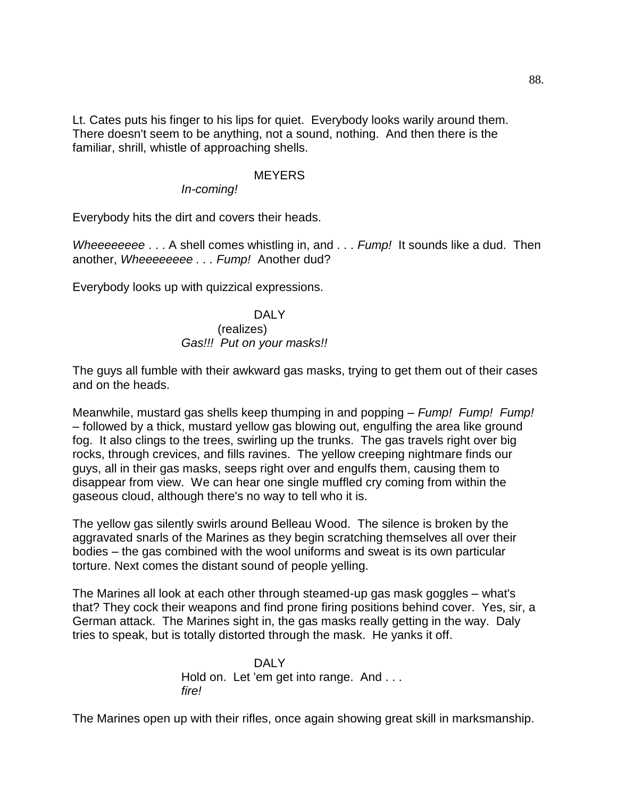Lt. Cates puts his finger to his lips for quiet. Everybody looks warily around them. There doesn't seem to be anything, not a sound, nothing. And then there is the familiar, shrill, whistle of approaching shells.

#### **MEYERS**

*In-coming!*

Everybody hits the dirt and covers their heads.

*Wheeeeeeee* . . . A shell comes whistling in, and . . . *Fump!* It sounds like a dud. Then another, *Wheeeeeeee . . . Fump!* Another dud?

Everybody looks up with quizzical expressions.

# DAI Y

#### (realizes) *Gas!!! Put on your masks!!*

The guys all fumble with their awkward gas masks, trying to get them out of their cases and on the heads.

Meanwhile, mustard gas shells keep thumping in and popping – *Fump! Fump! Fump!* – followed by a thick, mustard yellow gas blowing out, engulfing the area like ground fog. It also clings to the trees, swirling up the trunks. The gas travels right over big rocks, through crevices, and fills ravines. The yellow creeping nightmare finds our guys, all in their gas masks, seeps right over and engulfs them, causing them to disappear from view. We can hear one single muffled cry coming from within the gaseous cloud, although there's no way to tell who it is.

The yellow gas silently swirls around Belleau Wood. The silence is broken by the aggravated snarls of the Marines as they begin scratching themselves all over their bodies – the gas combined with the wool uniforms and sweat is its own particular torture. Next comes the distant sound of people yelling.

The Marines all look at each other through steamed-up gas mask goggles – what's that? They cock their weapons and find prone firing positions behind cover. Yes, sir, a German attack. The Marines sight in, the gas masks really getting in the way. Daly tries to speak, but is totally distorted through the mask. He yanks it off.

> DAI Y Hold on. Let 'em get into range. And . . . *fire!*

The Marines open up with their rifles, once again showing great skill in marksmanship.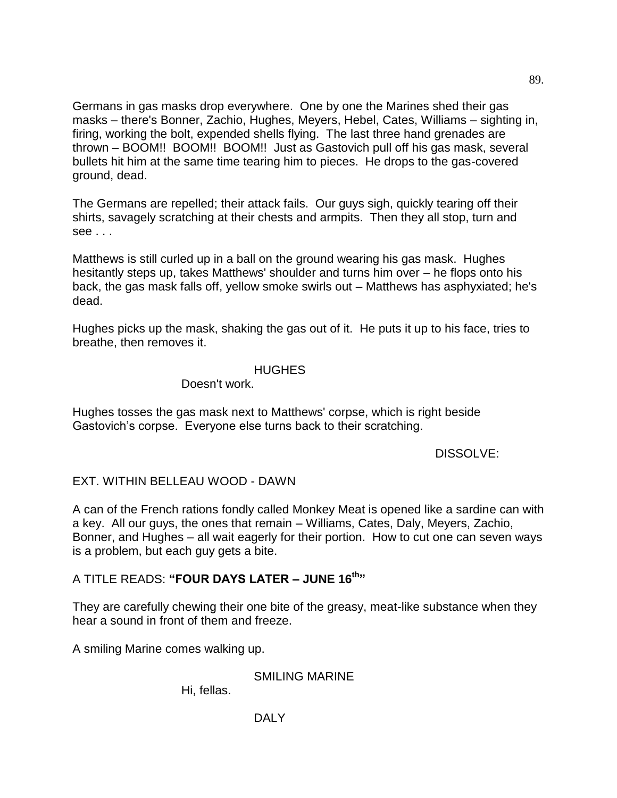Germans in gas masks drop everywhere. One by one the Marines shed their gas masks – there's Bonner, Zachio, Hughes, Meyers, Hebel, Cates, Williams – sighting in, firing, working the bolt, expended shells flying. The last three hand grenades are thrown – BOOM!! BOOM!! BOOM!! Just as Gastovich pull off his gas mask, several bullets hit him at the same time tearing him to pieces. He drops to the gas-covered ground, dead.

The Germans are repelled; their attack fails. Our guys sigh, quickly tearing off their shirts, savagely scratching at their chests and armpits. Then they all stop, turn and see . . .

Matthews is still curled up in a ball on the ground wearing his gas mask. Hughes hesitantly steps up, takes Matthews' shoulder and turns him over – he flops onto his back, the gas mask falls off, yellow smoke swirls out – Matthews has asphyxiated; he's dead.

Hughes picks up the mask, shaking the gas out of it. He puts it up to his face, tries to breathe, then removes it.

#### HUGHES

Doesn't work.

Hughes tosses the gas mask next to Matthews' corpse, which is right beside Gastovich's corpse. Everyone else turns back to their scratching.

#### DISSOLVE:

# EXT. WITHIN BELLEAU WOOD - DAWN

A can of the French rations fondly called Monkey Meat is opened like a sardine can with a key. All our guys, the ones that remain – Williams, Cates, Daly, Meyers, Zachio, Bonner, and Hughes – all wait eagerly for their portion. How to cut one can seven ways is a problem, but each guy gets a bite.

# A TITLE READS: **"FOUR DAYS LATER – JUNE 16th"**

They are carefully chewing their one bite of the greasy, meat-like substance when they hear a sound in front of them and freeze.

A smiling Marine comes walking up.

SMILING MARINE

Hi, fellas.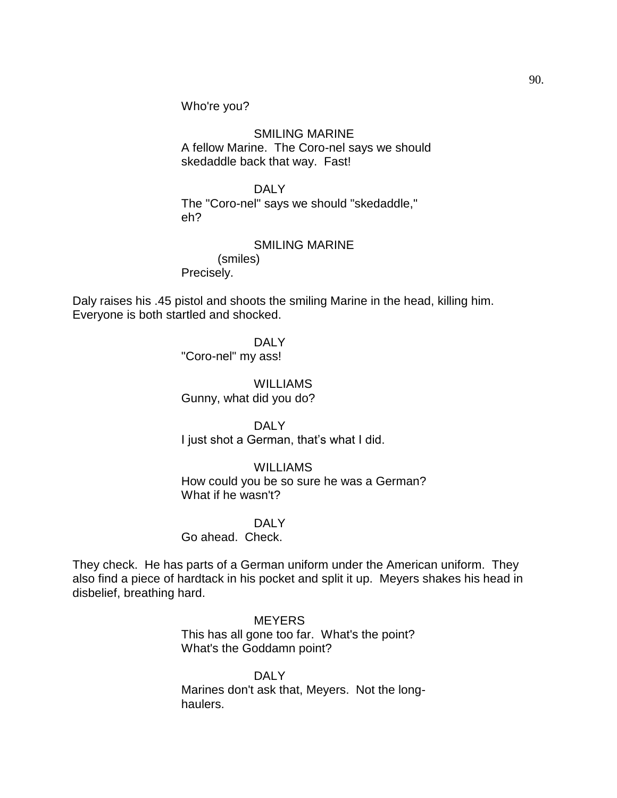Who're you?

SMILING MARINE A fellow Marine. The Coro-nel says we should skedaddle back that way. Fast!

DALY The "Coro-nel" says we should "skedaddle," eh?

SMILING MARINE (smiles) Precisely.

Daly raises his .45 pistol and shoots the smiling Marine in the head, killing him. Everyone is both startled and shocked.

> DALY "Coro-nel" my ass!

WILLIAMS Gunny, what did you do?

DALY I just shot a German, that's what I did.

# **WILLIAMS**

How could you be so sure he was a German? What if he wasn't?

#### DAI Y

Go ahead. Check.

They check. He has parts of a German uniform under the American uniform. They also find a piece of hardtack in his pocket and split it up. Meyers shakes his head in disbelief, breathing hard.

> **MEYERS** This has all gone too far. What's the point? What's the Goddamn point?

DAI<sub>Y</sub> Marines don't ask that, Meyers. Not the longhaulers.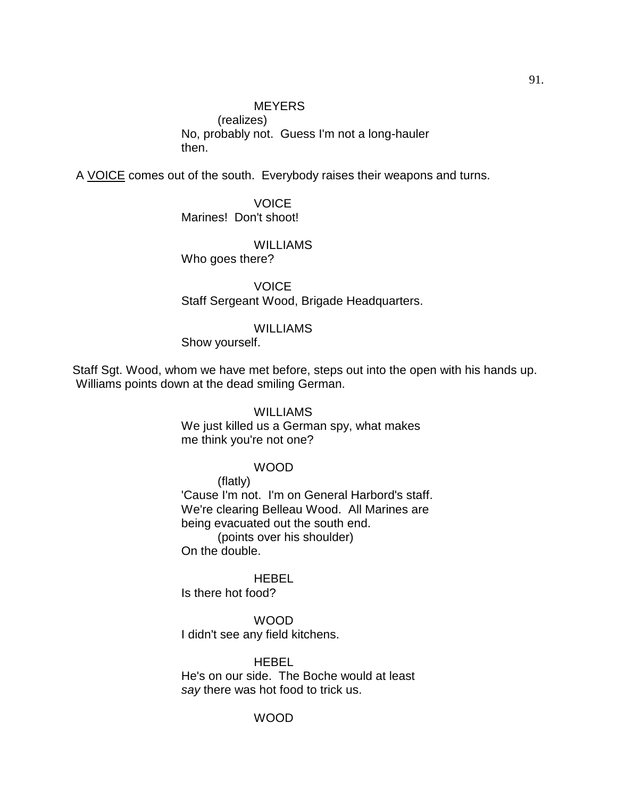# **MEYERS**

(realizes) No, probably not. Guess I'm not a long-hauler then.

A VOICE comes out of the south. Everybody raises their weapons and turns.

VOICE Marines! Don't shoot!

**WILLIAMS** 

Who goes there?

**VOICE** Staff Sergeant Wood, Brigade Headquarters.

#### **WILLIAMS**

Show yourself.

Staff Sgt. Wood, whom we have met before, steps out into the open with his hands up. Williams points down at the dead smiling German.

## **WILLIAMS**

We just killed us a German spy, what makes me think you're not one?

#### WOOD

(flatly)

'Cause I'm not. I'm on General Harbord's staff. We're clearing Belleau Wood. All Marines are being evacuated out the south end. (points over his shoulder) On the double.

**HEBEL** 

Is there hot food?

WOOD I didn't see any field kitchens.

**HEBEL** He's on our side. The Boche would at least *say* there was hot food to trick us.

#### WOOD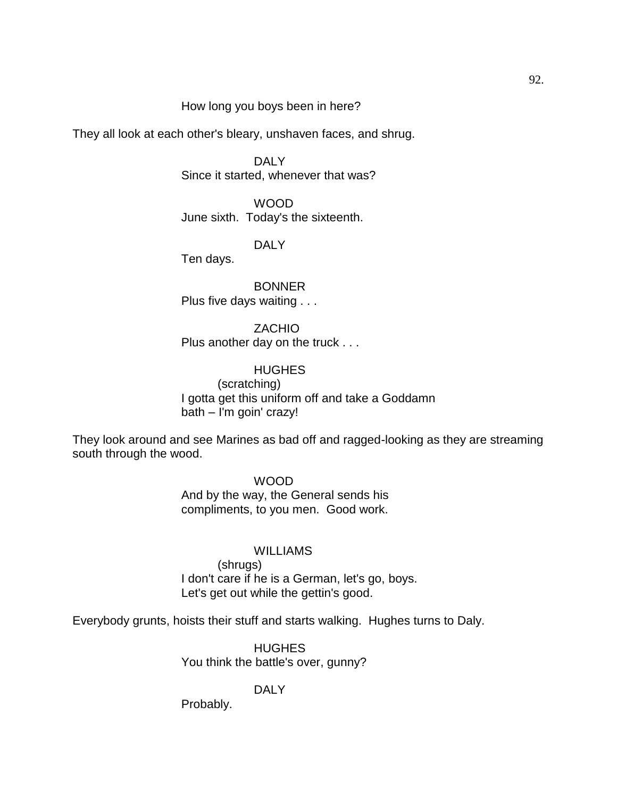#### How long you boys been in here?

They all look at each other's bleary, unshaven faces, and shrug.

DAI<sub>Y</sub> Since it started, whenever that was?

WOOD June sixth. Today's the sixteenth.

DALY

Ten days.

BONNER Plus five days waiting . . .

**ZACHIO** Plus another day on the truck . . .

**HUGHES** (scratching) I gotta get this uniform off and take a Goddamn bath – I'm goin' crazy!

They look around and see Marines as bad off and ragged-looking as they are streaming south through the wood.

> WOOD And by the way, the General sends his compliments, to you men. Good work.

#### WILLIAMS

(shrugs) I don't care if he is a German, let's go, boys. Let's get out while the gettin's good.

Everybody grunts, hoists their stuff and starts walking. Hughes turns to Daly.

HUGHES You think the battle's over, gunny?

DALY

Probably.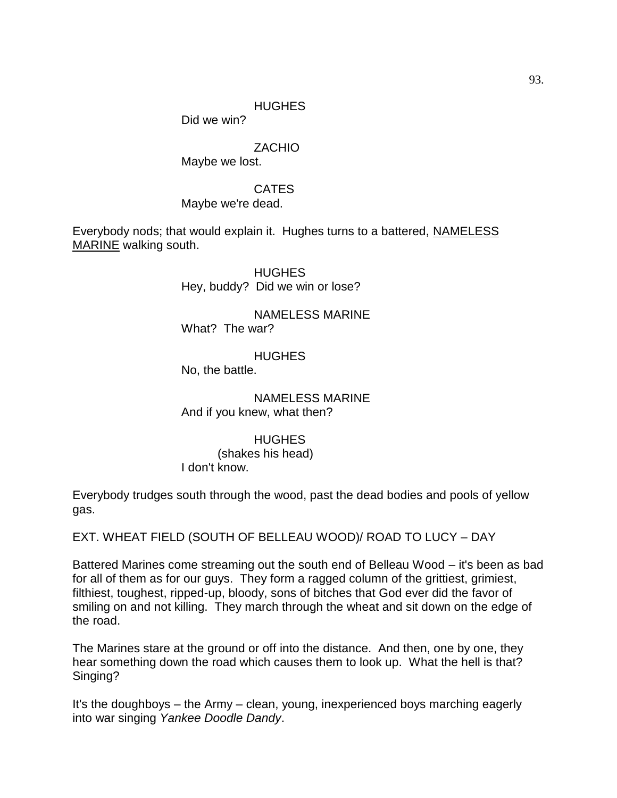## HUGHES

Did we win?

## ZACHIO

Maybe we lost.

## CATES

Maybe we're dead.

Everybody nods; that would explain it. Hughes turns to a battered, NAMELESS MARINE walking south.

> **HUGHES** Hey, buddy? Did we win or lose?

NAMELESS MARINE What? The war?

**HUGHES** No, the battle.

NAMELESS MARINE And if you knew, what then?

#### **HUGHES**

(shakes his head) I don't know.

Everybody trudges south through the wood, past the dead bodies and pools of yellow gas.

EXT. WHEAT FIELD (SOUTH OF BELLEAU WOOD)/ ROAD TO LUCY – DAY

Battered Marines come streaming out the south end of Belleau Wood – it's been as bad for all of them as for our guys. They form a ragged column of the grittiest, grimiest, filthiest, toughest, ripped-up, bloody, sons of bitches that God ever did the favor of smiling on and not killing. They march through the wheat and sit down on the edge of the road.

The Marines stare at the ground or off into the distance. And then, one by one, they hear something down the road which causes them to look up. What the hell is that? Singing?

It's the doughboys – the Army – clean, young, inexperienced boys marching eagerly into war singing *Yankee Doodle Dandy*.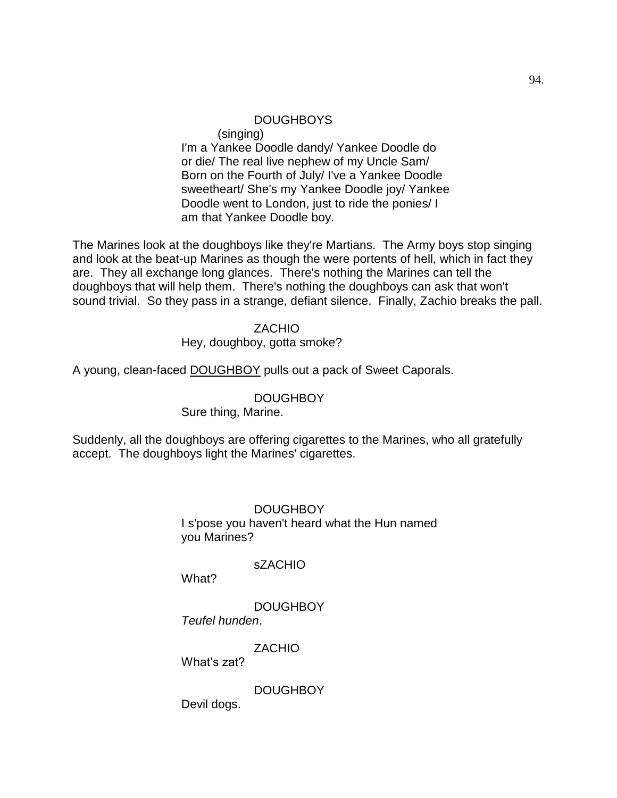## DOUGHBOYS

(singing)

I'm a Yankee Doodle dandy/ Yankee Doodle do or die/ The real live nephew of my Uncle Sam/ Born on the Fourth of July/ I've a Yankee Doodle sweetheart/ She's my Yankee Doodle joy/ Yankee Doodle went to London, just to ride the ponies/ I am that Yankee Doodle boy.

The Marines look at the doughboys like they're Martians. The Army boys stop singing and look at the beat-up Marines as though the were portents of hell, which in fact they are. They all exchange long glances. There's nothing the Marines can tell the doughboys that will help them. There's nothing the doughboys can ask that won't sound trivial. So they pass in a strange, defiant silence. Finally, Zachio breaks the pall.

## **ZACHIO**

Hey, doughboy, gotta smoke?

A young, clean-faced DOUGHBOY pulls out a pack of Sweet Caporals.

#### DOUGHBOY

Sure thing, Marine.

Suddenly, all the doughboys are offering cigarettes to the Marines, who all gratefully accept. The doughboys light the Marines' cigarettes.

> **DOUGHBOY** I s'pose you haven't heard what the Hun named you Marines?

## sZACHIO

What?

**DOUGHBOY** 

*Teufel hunden*.

**ZACHIO** 

What's zat?

**DOUGHBOY** 

Devil dogs.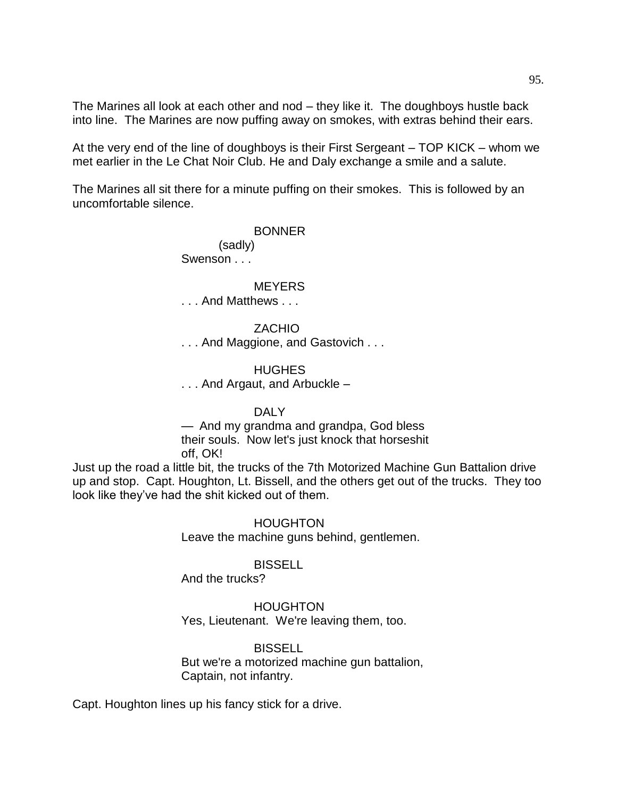The Marines all look at each other and nod – they like it. The doughboys hustle back into line. The Marines are now puffing away on smokes, with extras behind their ears.

At the very end of the line of doughboys is their First Sergeant – TOP KICK – whom we met earlier in the Le Chat Noir Club. He and Daly exchange a smile and a salute.

The Marines all sit there for a minute puffing on their smokes. This is followed by an uncomfortable silence.

#### BONNER

 (sadly) Swenson . . .

#### **MEYERS**

. . . And Matthews . . .

#### **ZACHIO**

. . . And Maggione, and Gastovich . . .

HUGHES

. . . And Argaut, and Arbuckle –

#### DALY

— And my grandma and grandpa, God bless their souls. Now let's just knock that horseshit off, OK!

Just up the road a little bit, the trucks of the 7th Motorized Machine Gun Battalion drive up and stop. Capt. Houghton, Lt. Bissell, and the others get out of the trucks. They too look like they've had the shit kicked out of them.

> HOUGHTON Leave the machine guns behind, gentlemen.

#### **BISSELL**

And the trucks?

#### **HOUGHTON**

Yes, Lieutenant. We're leaving them, too.

#### **BISSELL**

But we're a motorized machine gun battalion, Captain, not infantry.

Capt. Houghton lines up his fancy stick for a drive.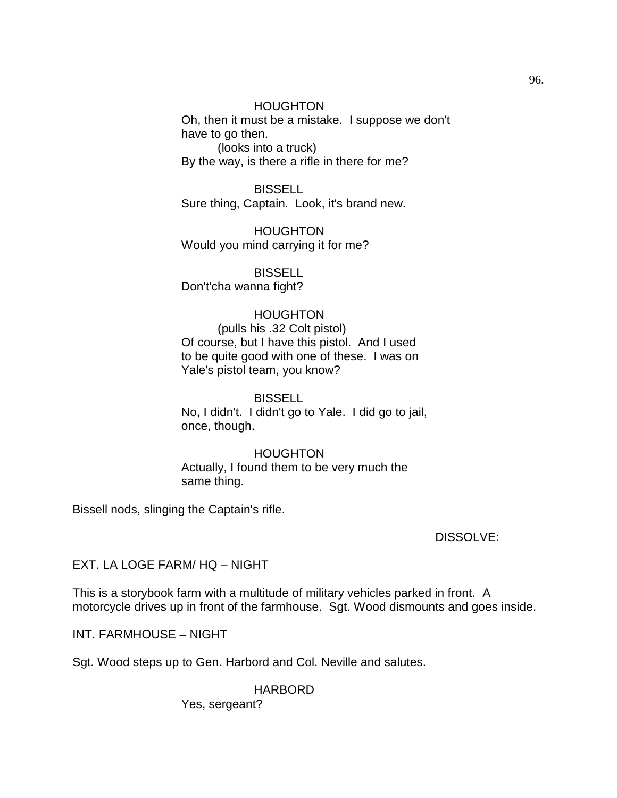#### HOUGHTON

Oh, then it must be a mistake. I suppose we don't have to go then.

(looks into a truck) By the way, is there a rifle in there for me?

BISSELL Sure thing, Captain. Look, it's brand new.

HOUGHTON Would you mind carrying it for me?

**BISSELL** Don't'cha wanna fight?

#### HOUGHTON

(pulls his .32 Colt pistol) Of course, but I have this pistol. And I used to be quite good with one of these. I was on Yale's pistol team, you know?

BISSELL No, I didn't. I didn't go to Yale. I did go to jail, once, though.

HOUGHTON Actually, I found them to be very much the same thing.

Bissell nods, slinging the Captain's rifle.

#### DISSOLVE:

EXT. LA LOGE FARM/ HQ – NIGHT

This is a storybook farm with a multitude of military vehicles parked in front. A motorcycle drives up in front of the farmhouse. Sgt. Wood dismounts and goes inside.

INT. FARMHOUSE – NIGHT

Sgt. Wood steps up to Gen. Harbord and Col. Neville and salutes.

HARBORD

Yes, sergeant?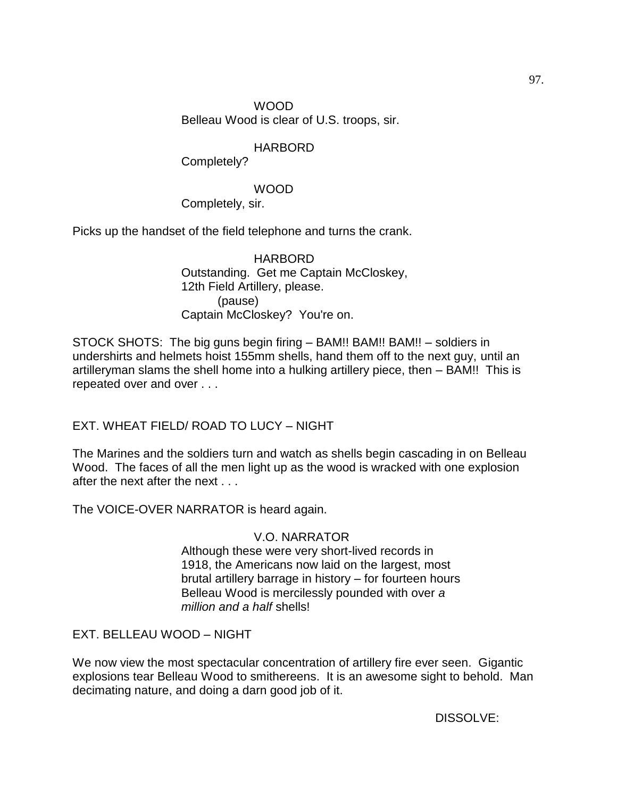WOOD Belleau Wood is clear of U.S. troops, sir.

# HARBORD

Completely?

## WOOD

Completely, sir.

Picks up the handset of the field telephone and turns the crank.

## HARBORD Outstanding. Get me Captain McCloskey, 12th Field Artillery, please. (pause) Captain McCloskey? You're on.

STOCK SHOTS: The big guns begin firing – BAM!! BAM!! BAM!! – soldiers in undershirts and helmets hoist 155mm shells, hand them off to the next guy, until an artilleryman slams the shell home into a hulking artillery piece, then – BAM!! This is repeated over and over . . .

EXT. WHEAT FIELD/ ROAD TO LUCY – NIGHT

The Marines and the soldiers turn and watch as shells begin cascading in on Belleau Wood. The faces of all the men light up as the wood is wracked with one explosion after the next after the next . . .

The VOICE-OVER NARRATOR is heard again.

# V.O. NARRATOR

Although these were very short-lived records in 1918, the Americans now laid on the largest, most brutal artillery barrage in history – for fourteen hours Belleau Wood is mercilessly pounded with over *a million and a half* shells!

# EXT. BELLEAU WOOD – NIGHT

We now view the most spectacular concentration of artillery fire ever seen. Gigantic explosions tear Belleau Wood to smithereens. It is an awesome sight to behold. Man decimating nature, and doing a darn good job of it.

DISSOLVE: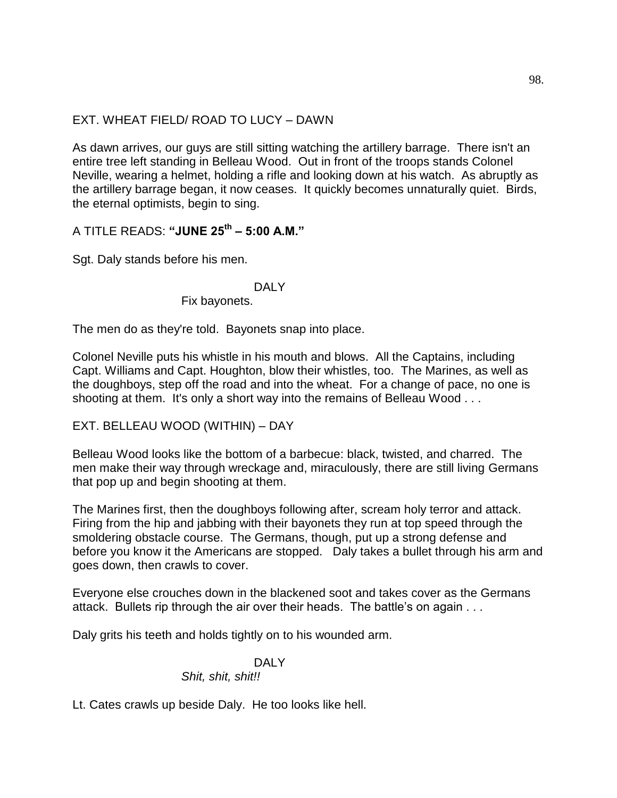# EXT. WHEAT FIELD/ ROAD TO LUCY – DAWN

As dawn arrives, our guys are still sitting watching the artillery barrage. There isn't an entire tree left standing in Belleau Wood. Out in front of the troops stands Colonel Neville, wearing a helmet, holding a rifle and looking down at his watch. As abruptly as the artillery barrage began, it now ceases. It quickly becomes unnaturally quiet. Birds, the eternal optimists, begin to sing.

A TITLE READS: **"JUNE 25th – 5:00 A.M."**

Sgt. Daly stands before his men.

## DALY

Fix bayonets.

The men do as they're told. Bayonets snap into place.

Colonel Neville puts his whistle in his mouth and blows. All the Captains, including Capt. Williams and Capt. Houghton, blow their whistles, too. The Marines, as well as the doughboys, step off the road and into the wheat. For a change of pace, no one is shooting at them. It's only a short way into the remains of Belleau Wood . . .

EXT. BELLEAU WOOD (WITHIN) – DAY

Belleau Wood looks like the bottom of a barbecue: black, twisted, and charred. The men make their way through wreckage and, miraculously, there are still living Germans that pop up and begin shooting at them.

The Marines first, then the doughboys following after, scream holy terror and attack. Firing from the hip and jabbing with their bayonets they run at top speed through the smoldering obstacle course. The Germans, though, put up a strong defense and before you know it the Americans are stopped. Daly takes a bullet through his arm and goes down, then crawls to cover.

Everyone else crouches down in the blackened soot and takes cover as the Germans attack. Bullets rip through the air over their heads. The battle's on again . . .

Daly grits his teeth and holds tightly on to his wounded arm.

# DAI Y

#### *Shit, shit, shit!!*

Lt. Cates crawls up beside Daly. He too looks like hell.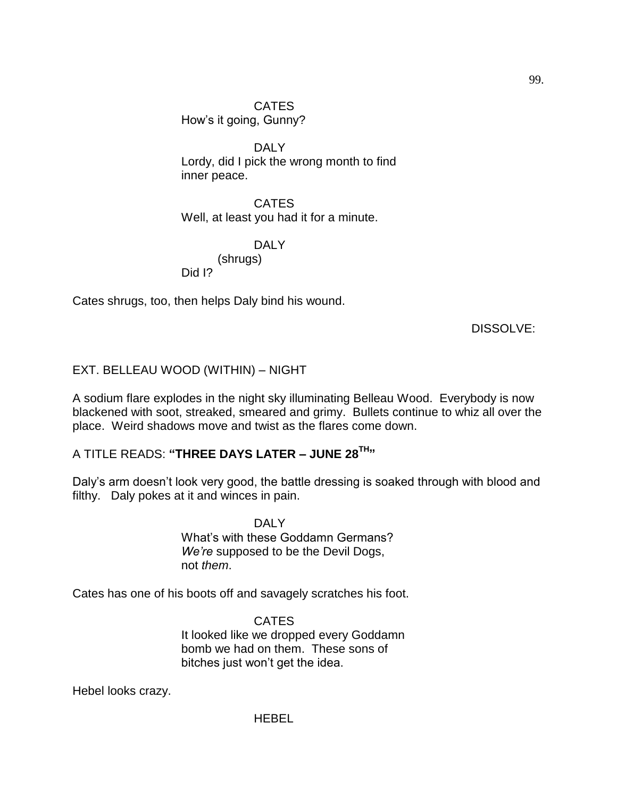DALY Lordy, did I pick the wrong month to find inner peace.

CATES Well, at least you had it for a minute.

DALY (shrugs) Did I?

Cates shrugs, too, then helps Daly bind his wound.

DISSOLVE:

# EXT. BELLEAU WOOD (WITHIN) – NIGHT

A sodium flare explodes in the night sky illuminating Belleau Wood. Everybody is now blackened with soot, streaked, smeared and grimy. Bullets continue to whiz all over the place. Weird shadows move and twist as the flares come down.

# A TITLE READS: **"THREE DAYS LATER – JUNE 28TH"**

Daly's arm doesn't look very good, the battle dressing is soaked through with blood and filthy. Daly pokes at it and winces in pain.

> DAI Y What's with these Goddamn Germans? *We're* supposed to be the Devil Dogs, not *them*.

Cates has one of his boots off and savagely scratches his foot.

CATES It looked like we dropped every Goddamn bomb we had on them. These sons of bitches just won't get the idea.

Hebel looks crazy.

**HEBEL**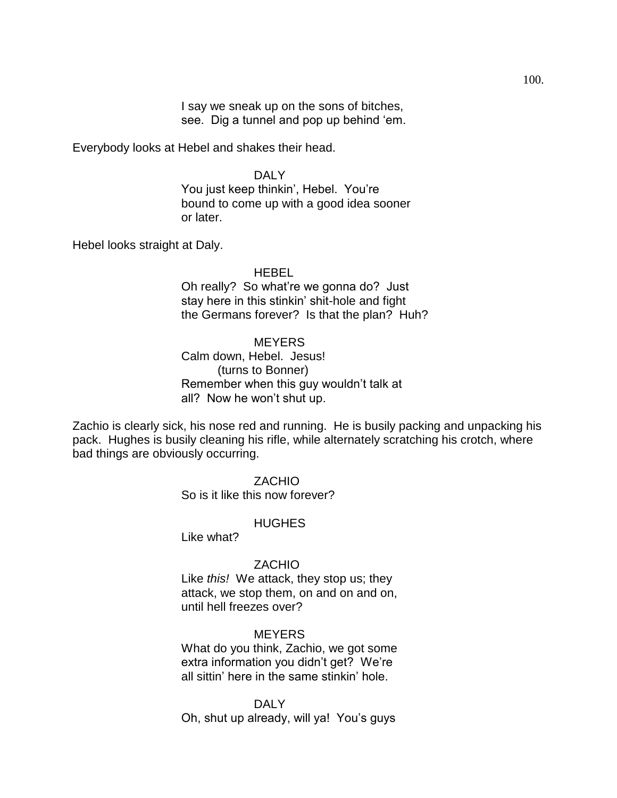I say we sneak up on the sons of bitches, see. Dig a tunnel and pop up behind 'em.

Everybody looks at Hebel and shakes their head.

#### DALY

You just keep thinkin', Hebel. You're bound to come up with a good idea sooner or later.

Hebel looks straight at Daly.

#### HEBEL

Oh really? So what're we gonna do? Just stay here in this stinkin' shit-hole and fight the Germans forever? Is that the plan? Huh?

#### **MEYERS**

Calm down, Hebel. Jesus! (turns to Bonner) Remember when this guy wouldn't talk at all? Now he won't shut up.

Zachio is clearly sick, his nose red and running. He is busily packing and unpacking his pack. Hughes is busily cleaning his rifle, while alternately scratching his crotch, where bad things are obviously occurring.

#### ZACHIO

So is it like this now forever?

#### **HUGHES**

Like what?

#### ZACHIO

Like *this!* We attack, they stop us; they attack, we stop them, on and on and on, until hell freezes over?

#### **MEYERS**

What do you think, Zachio, we got some extra information you didn't get? We're all sittin' here in the same stinkin' hole.

DALY Oh, shut up already, will ya! You's guys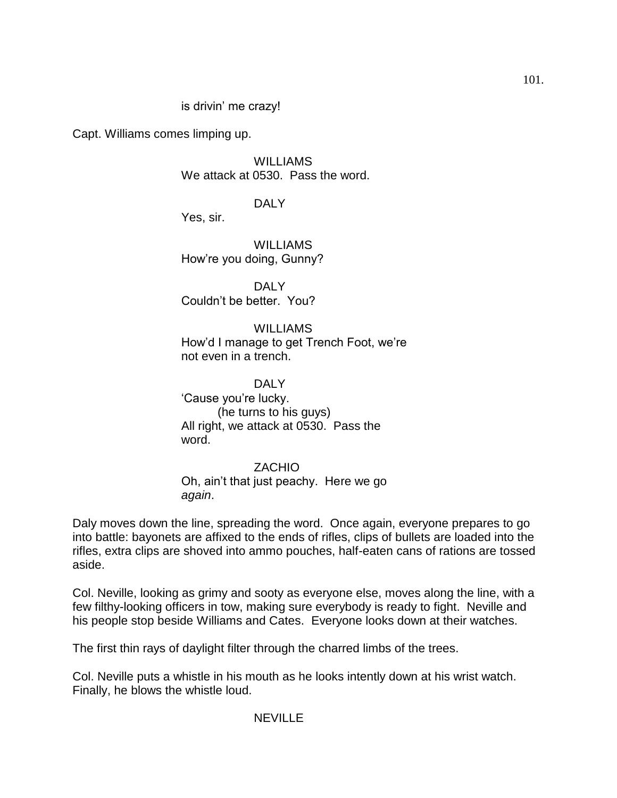## is drivin' me crazy!

Capt. Williams comes limping up.

**WILLIAMS** We attack at 0530. Pass the word.

DALY

Yes, sir.

WILLIAMS How're you doing, Gunny?

DALY Couldn't be better. You?

**WILLIAMS** How'd I manage to get Trench Foot, we're not even in a trench.

DALY ‗Cause you're lucky. (he turns to his guys) All right, we attack at 0530. Pass the word.

ZACHIO Oh, ain't that just peachy. Here we go *again*.

Daly moves down the line, spreading the word. Once again, everyone prepares to go into battle: bayonets are affixed to the ends of rifles, clips of bullets are loaded into the rifles, extra clips are shoved into ammo pouches, half-eaten cans of rations are tossed aside.

Col. Neville, looking as grimy and sooty as everyone else, moves along the line, with a few filthy-looking officers in tow, making sure everybody is ready to fight. Neville and his people stop beside Williams and Cates. Everyone looks down at their watches.

The first thin rays of daylight filter through the charred limbs of the trees.

Col. Neville puts a whistle in his mouth as he looks intently down at his wrist watch. Finally, he blows the whistle loud.

#### **NEVILLE**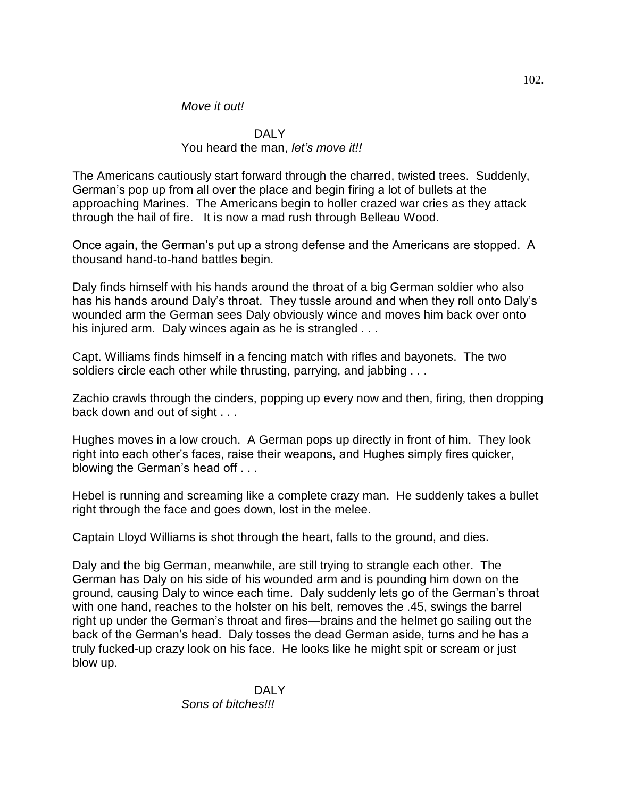## *Move it out!*

#### DALY You heard the man, *let's move it!!*

The Americans cautiously start forward through the charred, twisted trees. Suddenly, German's pop up from all over the place and begin firing a lot of bullets at the approaching Marines. The Americans begin to holler crazed war cries as they attack through the hail of fire. It is now a mad rush through Belleau Wood.

Once again, the German's put up a strong defense and the Americans are stopped. A thousand hand-to-hand battles begin.

Daly finds himself with his hands around the throat of a big German soldier who also has his hands around Daly's throat. They tussle around and when they roll onto Daly's wounded arm the German sees Daly obviously wince and moves him back over onto his injured arm. Daly winces again as he is strangled . . .

Capt. Williams finds himself in a fencing match with rifles and bayonets. The two soldiers circle each other while thrusting, parrying, and jabbing . . .

Zachio crawls through the cinders, popping up every now and then, firing, then dropping back down and out of sight . . .

Hughes moves in a low crouch. A German pops up directly in front of him. They look right into each other's faces, raise their weapons, and Hughes simply fires quicker, blowing the German's head off . . .

Hebel is running and screaming like a complete crazy man. He suddenly takes a bullet right through the face and goes down, lost in the melee.

Captain Lloyd Williams is shot through the heart, falls to the ground, and dies.

Daly and the big German, meanwhile, are still trying to strangle each other. The German has Daly on his side of his wounded arm and is pounding him down on the ground, causing Daly to wince each time. Daly suddenly lets go of the German's throat with one hand, reaches to the holster on his belt, removes the .45, swings the barrel right up under the German's throat and fires—brains and the helmet go sailing out the back of the German's head. Daly tosses the dead German aside, turns and he has a truly fucked-up crazy look on his face. He looks like he might spit or scream or just blow up.

> DAI Y *Sons of bitches!!!*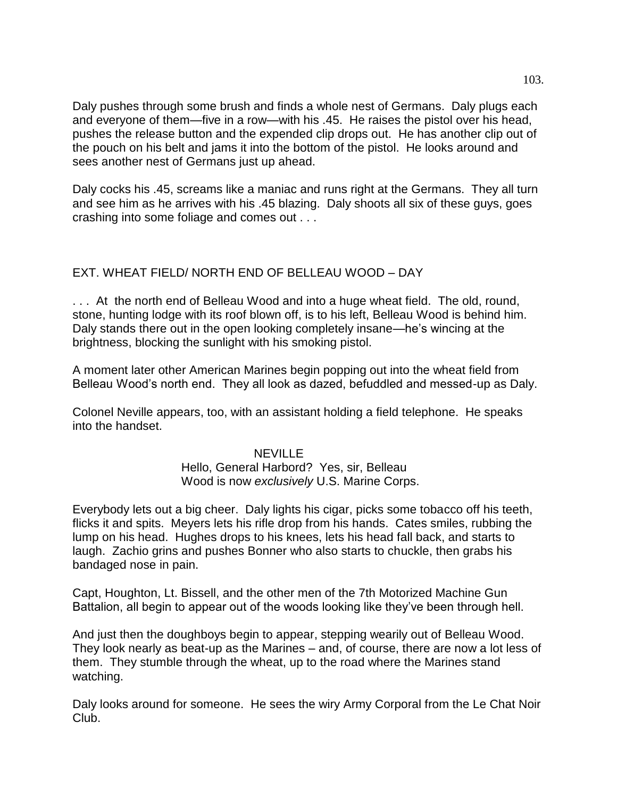Daly pushes through some brush and finds a whole nest of Germans. Daly plugs each and everyone of them—five in a row—with his .45. He raises the pistol over his head, pushes the release button and the expended clip drops out. He has another clip out of the pouch on his belt and jams it into the bottom of the pistol. He looks around and sees another nest of Germans just up ahead.

Daly cocks his .45, screams like a maniac and runs right at the Germans. They all turn and see him as he arrives with his .45 blazing. Daly shoots all six of these guys, goes crashing into some foliage and comes out . . .

# EXT. WHEAT FIELD/ NORTH END OF BELLEAU WOOD – DAY

. . . At the north end of Belleau Wood and into a huge wheat field. The old, round, stone, hunting lodge with its roof blown off, is to his left, Belleau Wood is behind him. Daly stands there out in the open looking completely insane—he's wincing at the brightness, blocking the sunlight with his smoking pistol.

A moment later other American Marines begin popping out into the wheat field from Belleau Wood's north end. They all look as dazed, befuddled and messed-up as Daly.

Colonel Neville appears, too, with an assistant holding a field telephone. He speaks into the handset.

#### NEVILLE

# Hello, General Harbord? Yes, sir, Belleau Wood is now *exclusively* U.S. Marine Corps.

Everybody lets out a big cheer. Daly lights his cigar, picks some tobacco off his teeth, flicks it and spits. Meyers lets his rifle drop from his hands. Cates smiles, rubbing the lump on his head. Hughes drops to his knees, lets his head fall back, and starts to laugh. Zachio grins and pushes Bonner who also starts to chuckle, then grabs his bandaged nose in pain.

Capt, Houghton, Lt. Bissell, and the other men of the 7th Motorized Machine Gun Battalion, all begin to appear out of the woods looking like they've been through hell.

And just then the doughboys begin to appear, stepping wearily out of Belleau Wood. They look nearly as beat-up as the Marines – and, of course, there are now a lot less of them. They stumble through the wheat, up to the road where the Marines stand watching.

Daly looks around for someone. He sees the wiry Army Corporal from the Le Chat Noir Club.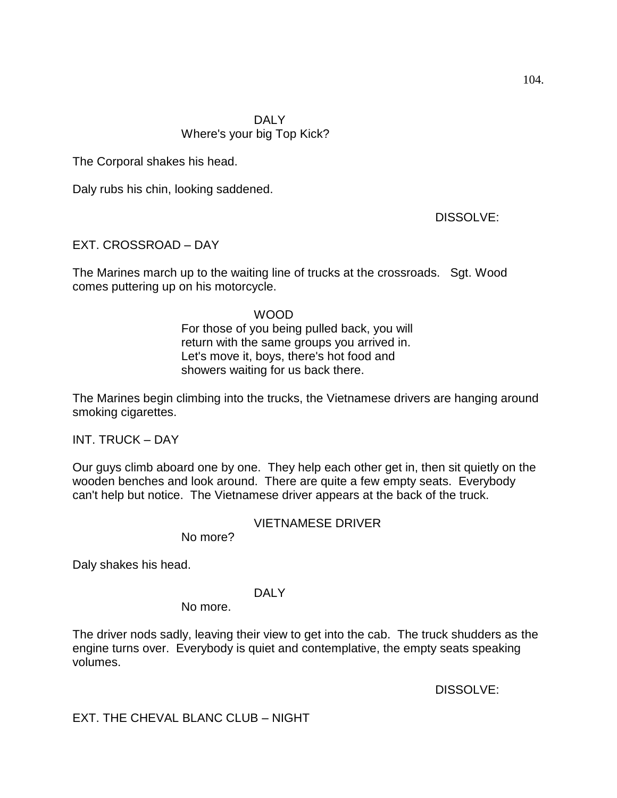The Corporal shakes his head.

Daly rubs his chin, looking saddened.

DISSOLVE:

EXT. CROSSROAD – DAY

The Marines march up to the waiting line of trucks at the crossroads. Sgt. Wood comes puttering up on his motorcycle.

## WOOD

For those of you being pulled back, you will return with the same groups you arrived in. Let's move it, boys, there's hot food and showers waiting for us back there.

The Marines begin climbing into the trucks, the Vietnamese drivers are hanging around smoking cigarettes.

INT. TRUCK – DAY

Our guys climb aboard one by one. They help each other get in, then sit quietly on the wooden benches and look around. There are quite a few empty seats. Everybody can't help but notice. The Vietnamese driver appears at the back of the truck.

# VIETNAMESE DRIVER

No more?

Daly shakes his head.

#### DALY

No more.

The driver nods sadly, leaving their view to get into the cab. The truck shudders as the engine turns over. Everybody is quiet and contemplative, the empty seats speaking volumes.

DISSOLVE:

EXT. THE CHEVAL BLANC CLUB – NIGHT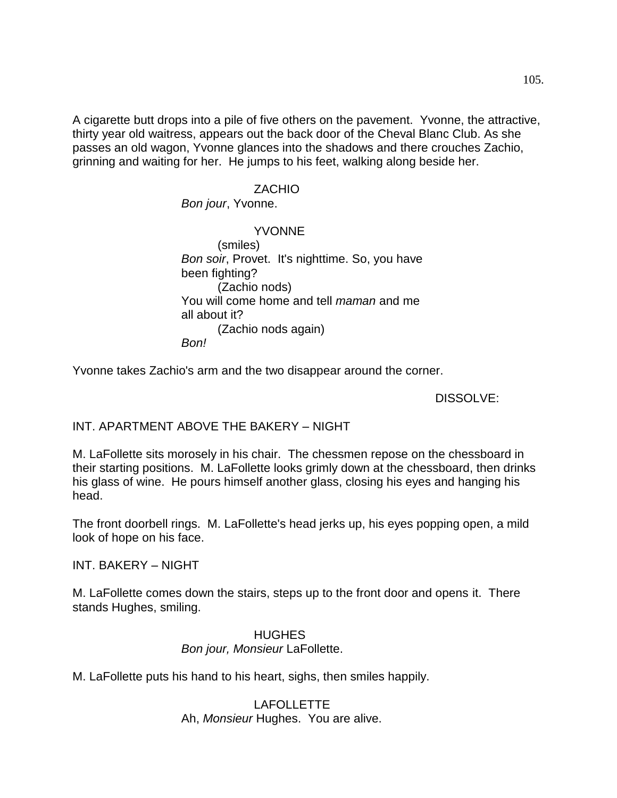A cigarette butt drops into a pile of five others on the pavement. Yvonne, the attractive, thirty year old waitress, appears out the back door of the Cheval Blanc Club. As she passes an old wagon, Yvonne glances into the shadows and there crouches Zachio, grinning and waiting for her. He jumps to his feet, walking along beside her.

#### ZACHIO

#### *Bon jour*, Yvonne.

YVONNE (smiles) *Bon soir*, Provet. It's nighttime. So, you have been fighting? (Zachio nods) You will come home and tell *maman* and me all about it? (Zachio nods again) *Bon!*

Yvonne takes Zachio's arm and the two disappear around the corner.

## DISSOLVE:

INT. APARTMENT ABOVE THE BAKERY – NIGHT

M. LaFollette sits morosely in his chair. The chessmen repose on the chessboard in their starting positions. M. LaFollette looks grimly down at the chessboard, then drinks his glass of wine. He pours himself another glass, closing his eyes and hanging his head.

The front doorbell rings. M. LaFollette's head jerks up, his eyes popping open, a mild look of hope on his face.

INT. BAKERY – NIGHT

M. LaFollette comes down the stairs, steps up to the front door and opens it. There stands Hughes, smiling.

# HUGHES *Bon jour, Monsieur* LaFollette.

M. LaFollette puts his hand to his heart, sighs, then smiles happily.

LAFOLLETTE Ah, *Monsieur* Hughes. You are alive.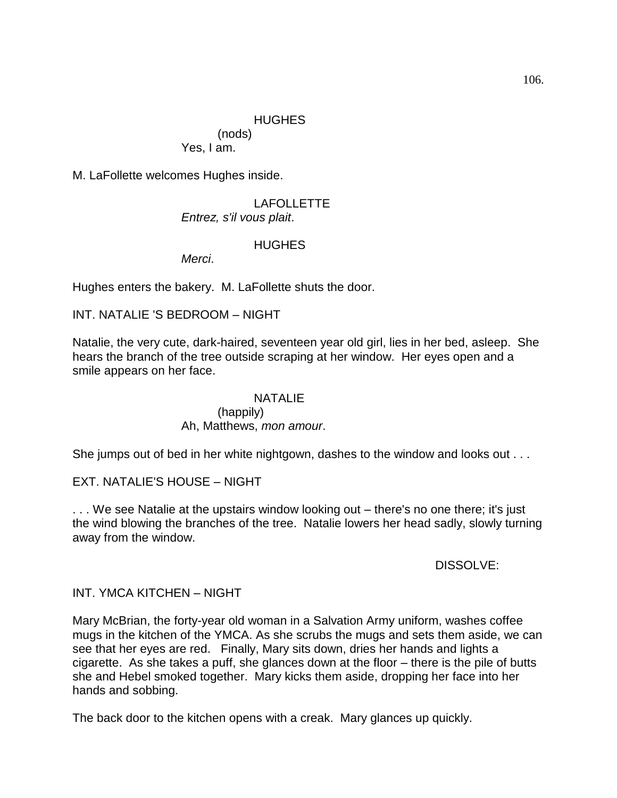## HUGHES

(nods) Yes, I am.

M. LaFollette welcomes Hughes inside.

## LAFOLLETTE *Entrez, s'il vous plait*.

## **HUGHES**

*Merci*.

Hughes enters the bakery. M. LaFollette shuts the door.

## INT. NATALIE 'S BEDROOM – NIGHT

Natalie, the very cute, dark-haired, seventeen year old girl, lies in her bed, asleep. She hears the branch of the tree outside scraping at her window. Her eyes open and a smile appears on her face.

#### NATALIE

## (happily) Ah, Matthews, *mon amour*.

She jumps out of bed in her white nightgown, dashes to the window and looks out . . .

# EXT. NATALIE'S HOUSE – NIGHT

. . . We see Natalie at the upstairs window looking out – there's no one there; it's just the wind blowing the branches of the tree. Natalie lowers her head sadly, slowly turning away from the window.

#### DISSOLVE:

#### INT. YMCA KITCHEN – NIGHT

Mary McBrian, the forty-year old woman in a Salvation Army uniform, washes coffee mugs in the kitchen of the YMCA. As she scrubs the mugs and sets them aside, we can see that her eyes are red. Finally, Mary sits down, dries her hands and lights a cigarette. As she takes a puff, she glances down at the floor – there is the pile of butts she and Hebel smoked together. Mary kicks them aside, dropping her face into her hands and sobbing.

The back door to the kitchen opens with a creak. Mary glances up quickly.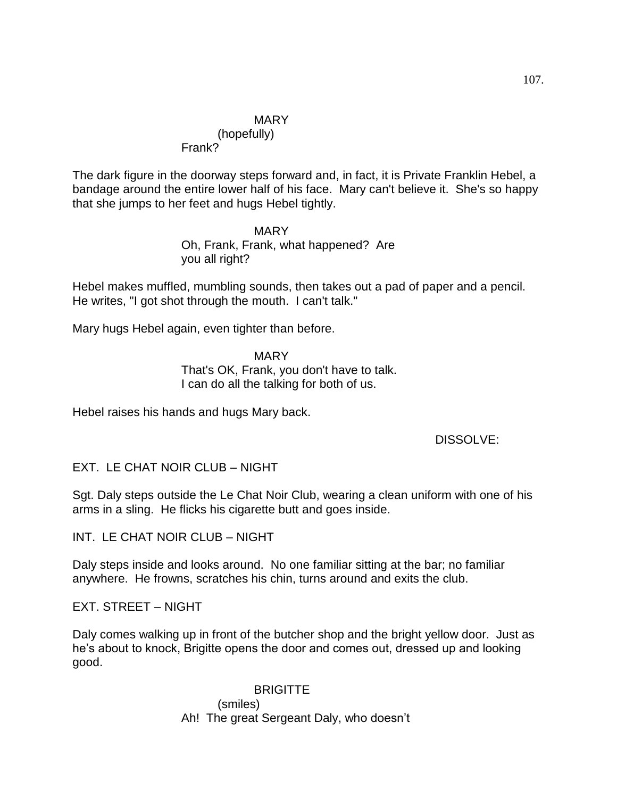# **MARY**

# (hopefully)

Frank?

The dark figure in the doorway steps forward and, in fact, it is Private Franklin Hebel, a bandage around the entire lower half of his face. Mary can't believe it. She's so happy that she jumps to her feet and hugs Hebel tightly.

> MARY Oh, Frank, Frank, what happened? Are you all right?

Hebel makes muffled, mumbling sounds, then takes out a pad of paper and a pencil. He writes, "I got shot through the mouth. I can't talk."

Mary hugs Hebel again, even tighter than before.

MARY That's OK, Frank, you don't have to talk. I can do all the talking for both of us.

Hebel raises his hands and hugs Mary back.

DISSOLVE:

EXT. LE CHAT NOIR CLUB – NIGHT

Sgt. Daly steps outside the Le Chat Noir Club, wearing a clean uniform with one of his arms in a sling. He flicks his cigarette butt and goes inside.

INT. LE CHAT NOIR CLUB – NIGHT

Daly steps inside and looks around. No one familiar sitting at the bar; no familiar anywhere. He frowns, scratches his chin, turns around and exits the club.

EXT. STREET – NIGHT

Daly comes walking up in front of the butcher shop and the bright yellow door. Just as he's about to knock, Brigitte opens the door and comes out, dressed up and looking good.

> **BRIGITTE** (smiles) Ah! The great Sergeant Daly, who doesn't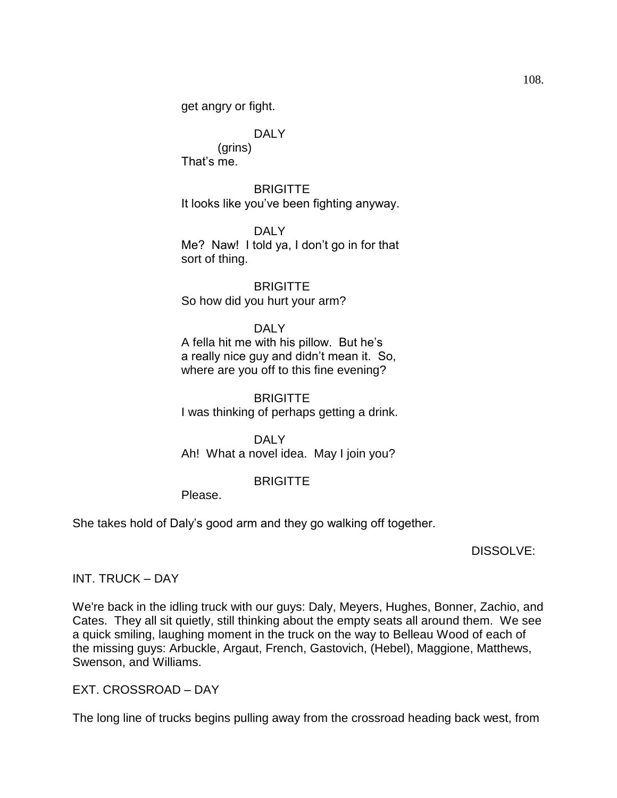get angry or fight.

# DALY

(grins) That's me.

**BRIGITTE** It looks like you've been fighting anyway.

DAI<sub>Y</sub> Me? Naw! I told ya, I don't go in for that sort of thing.

**BRIGITTE** So how did you hurt your arm?

# DALY

A fella hit me with his pillow. But he's a really nice guy and didn't mean it. So, where are you off to this fine evening?

**BRIGITTE** I was thinking of perhaps getting a drink.

DAI Y Ah! What a novel idea. May I join you?

# **BRIGITTE**

Please.

She takes hold of Daly's good arm and they go walking off together.

DISSOLVE:

INT. TRUCK – DAY

We're back in the idling truck with our guys: Daly, Meyers, Hughes, Bonner, Zachio, and Cates. They all sit quietly, still thinking about the empty seats all around them. We see a quick smiling, laughing moment in the truck on the way to Belleau Wood of each of the missing guys: Arbuckle, Argaut, French, Gastovich, (Hebel), Maggione, Matthews, Swenson, and Williams.

EXT. CROSSROAD – DAY

The long line of trucks begins pulling away from the crossroad heading back west, from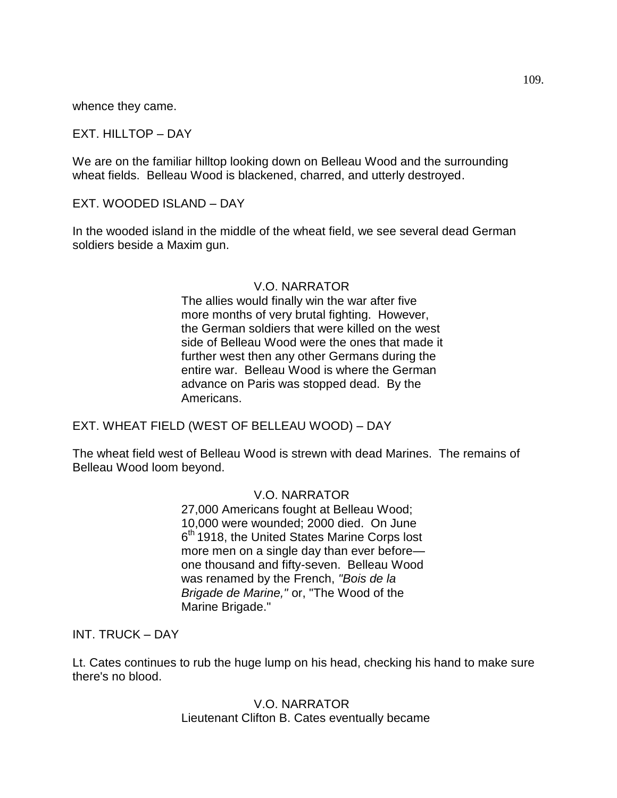whence they came.

EXT. HILLTOP – DAY

We are on the familiar hilltop looking down on Belleau Wood and the surrounding wheat fields. Belleau Wood is blackened, charred, and utterly destroyed.

EXT. WOODED ISLAND – DAY

In the wooded island in the middle of the wheat field, we see several dead German soldiers beside a Maxim gun.

### V.O. NARRATOR

The allies would finally win the war after five more months of very brutal fighting. However, the German soldiers that were killed on the west side of Belleau Wood were the ones that made it further west then any other Germans during the entire war. Belleau Wood is where the German advance on Paris was stopped dead. By the Americans.

EXT. WHEAT FIELD (WEST OF BELLEAU WOOD) – DAY

The wheat field west of Belleau Wood is strewn with dead Marines. The remains of Belleau Wood loom beyond.

### V.O. NARRATOR

27,000 Americans fought at Belleau Wood; 10,000 were wounded; 2000 died. On June 6<sup>th</sup> 1918, the United States Marine Corps lost more men on a single day than ever before one thousand and fifty-seven. Belleau Wood was renamed by the French, *"Bois de la Brigade de Marine,"* or, "The Wood of the Marine Brigade."

INT. TRUCK – DAY

Lt. Cates continues to rub the huge lump on his head, checking his hand to make sure there's no blood.

> V.O. NARRATOR Lieutenant Clifton B. Cates eventually became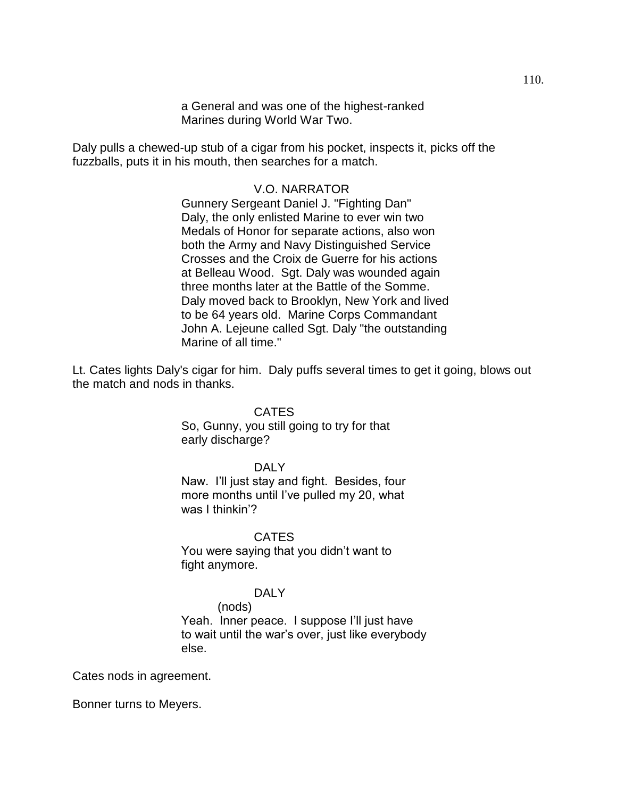a General and was one of the highest-ranked Marines during World War Two.

Daly pulls a chewed-up stub of a cigar from his pocket, inspects it, picks off the fuzzballs, puts it in his mouth, then searches for a match.

### V.O. NARRATOR

Gunnery Sergeant Daniel J. "Fighting Dan" Daly, the only enlisted Marine to ever win two Medals of Honor for separate actions, also won both the Army and Navy Distinguished Service Crosses and the Croix de Guerre for his actions at Belleau Wood. Sgt. Daly was wounded again three months later at the Battle of the Somme. Daly moved back to Brooklyn, New York and lived to be 64 years old. Marine Corps Commandant John A. Lejeune called Sgt. Daly "the outstanding Marine of all time."

Lt. Cates lights Daly's cigar for him. Daly puffs several times to get it going, blows out the match and nods in thanks.

### CATES

So, Gunny, you still going to try for that early discharge?

#### DAI<sub>Y</sub>

Naw. I'll just stay and fight. Besides, four more months until I've pulled my 20, what was I thinkin'?

#### **CATES**

You were saying that you didn't want to fight anymore.

### DALY

# (nods)

Yeah. Inner peace. I suppose I'll just have to wait until the war's over, just like everybody else.

Cates nods in agreement.

Bonner turns to Meyers.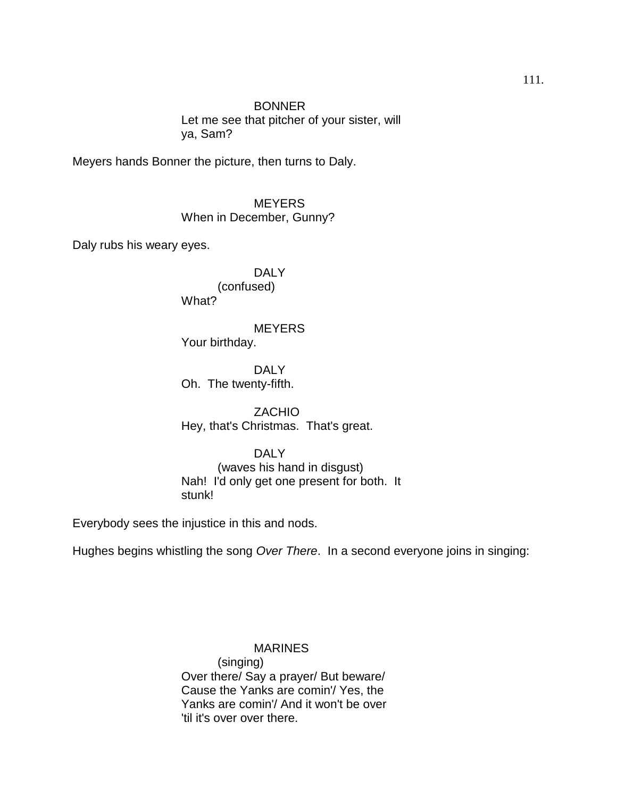**BONNER** Let me see that pitcher of your sister, will ya, Sam?

Meyers hands Bonner the picture, then turns to Daly.

**MEYERS** When in December, Gunny?

Daly rubs his weary eyes.

DALY (confused) What?

#### **MEYERS**

Your birthday.

DAI Y Oh. The twenty-fifth.

ZACHIO Hey, that's Christmas. That's great.

#### DALY

(waves his hand in disgust) Nah! I'd only get one present for both. It stunk!

Everybody sees the injustice in this and nods.

Hughes begins whistling the song *Over There*. In a second everyone joins in singing:

MARINES (singing) Over there/ Say a prayer/ But beware/ Cause the Yanks are comin'/ Yes, the Yanks are comin'/ And it won't be over 'til it's over over there.